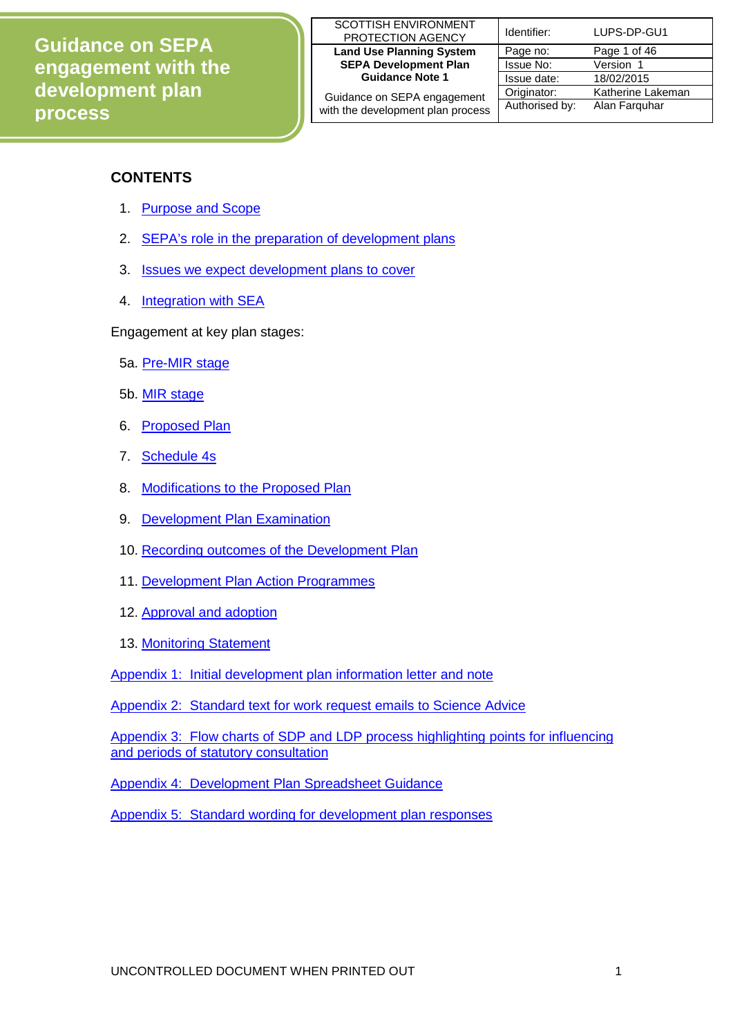| SCOTTISH ENVIRONMENT<br>PROTECTION AGENCY | Identifier: | LUPS-DP-GU1                            |
|-------------------------------------------|-------------|----------------------------------------|
| <b>Land Use Planning System</b>           | Page no:    | Page 1 of 46                           |
| <b>SEPA Development Plan</b>              | Issue No:   | Version 1                              |
| <b>Guidance Note 1</b>                    | Issue date: | 18/02/2015                             |
|                                           |             | $\mathbf{r}$ $\mathbf{r}$ $\mathbf{r}$ |

| ,,,,,,,,,,,,,,,,,,,,,,,,          |                |                   |
|-----------------------------------|----------------|-------------------|
| <b>Land Use Planning System</b>   | Page no:       | Page 1 of 46      |
| <b>SEPA Development Plan</b>      | Issue No:      | Version 1         |
| <b>Guidance Note 1</b>            | Issue date:    | 18/02/2015        |
| Guidance on SEPA engagement       | Originator:    | Katherine Lakeman |
| with the development plan process | Authorised by: | Alan Farguhar     |

# **CONTENTS**

- 1. [Purpose and Scope](#page-1-0)
- 2. [SEPA's role in the preparation of development plans](#page-1-1)
- 3. [Issues we expect development plans to cover](#page-1-2)
- 4. [Integration with SEA](#page-2-0)

Engagement at key plan stages:

- 5a. [Pre-MIR stage](#page-2-1)
- 5b. [MIR stage](#page-3-0)
- 6. [Proposed Plan](#page-8-0)
- 7. [Schedule 4s](#page-11-0)
- 8. [Modifications to the Proposed Plan](#page-12-0)
- 9. [Development Plan Examination](#page-12-1)
- 10. [Recording outcomes of the Development Plan](#page-12-2)
- 11. [Development Plan Action Programmes](#page-13-0)
- 12. [Approval and adoption](#page-15-0)
- 13. [Monitoring Statement](#page-15-1)

[Appendix 1: Initial development plan information letter](#page-17-0) and note

[Appendix 2: Standard text for work request emails to Science Advice](#page-26-0) 

[Appendix 3: Flow charts of SDP and LDP process highlighting points for influencing](#page-27-0)  [and periods of statutory consultation](#page-27-0)

[Appendix 4: Development Plan Spreadsheet Guidance](#page-30-0)

[Appendix 5: Standard wording for development plan responses](#page-42-0)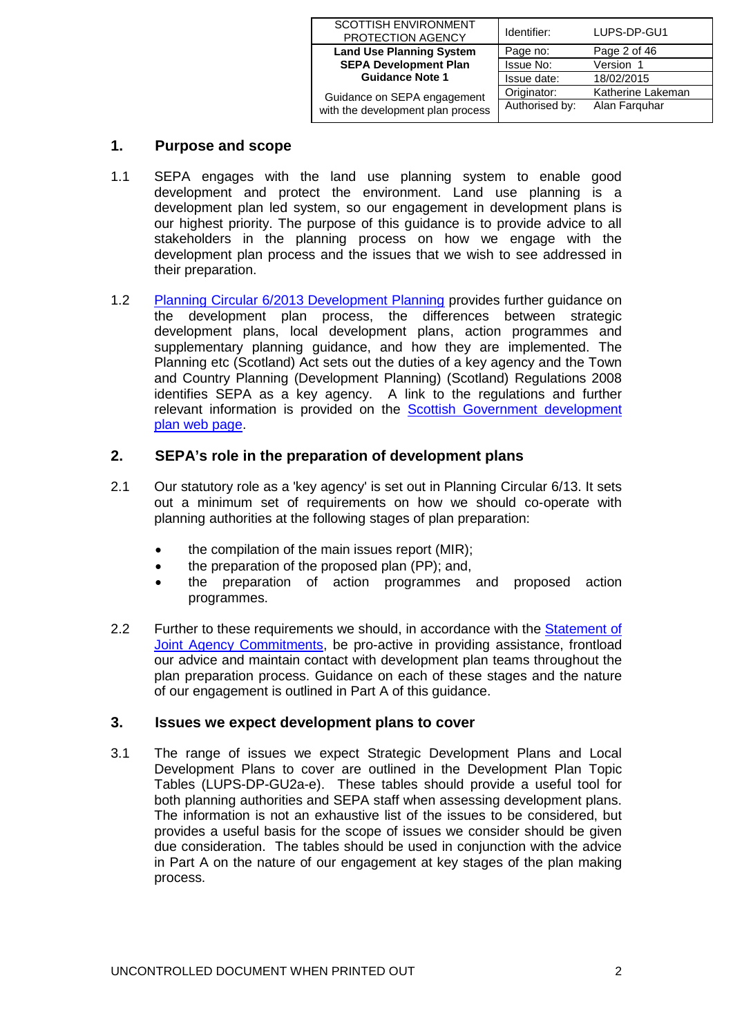| <b>SCOTTISH ENVIRONMENT</b><br>PROTECTION AGENCY | Identifier:    | LUPS-DP-GU1       |
|--------------------------------------------------|----------------|-------------------|
| <b>Land Use Planning System</b>                  | Page no:       | Page 2 of 46      |
| <b>SEPA Development Plan</b>                     | Issue No:      | Version 1         |
| <b>Guidance Note 1</b>                           | Issue date:    | 18/02/2015        |
| Guidance on SEPA engagement                      | Originator:    | Katherine Lakeman |
| with the development plan process                | Authorised by: | Alan Farguhar     |

# <span id="page-1-0"></span>**1. Purpose and scope**

- 1.1 SEPA engages with the land use planning system to enable good development and protect the environment. Land use planning is a development plan led system, so our engagement in development plans is our highest priority. The purpose of this guidance is to provide advice to all stakeholders in the planning process on how we engage with the development plan process and the issues that we wish to see addressed in their preparation.
- 1.2 [Planning Circular 6/2013 Development Planning](http://www.scotland.gov.uk/Publications/2013/12/9924) provides further guidance on the development plan process, the differences between strategic development plans, local development plans, action programmes and supplementary planning guidance, and how they are implemented. The Planning etc (Scotland) Act sets out the duties of a key agency and the Town and Country Planning (Development Planning) (Scotland) Regulations 2008 identifies SEPA as a key agency. A link to the regulations and further relevant information is provided on the **Scottish Government development** [plan web page.](http://www.scotland.gov.uk/Topics/Built-Environment/planning/National-Planning-Policy/themes/dev-plan)

# <span id="page-1-1"></span>**2. SEPA's role in the preparation of development plans**

- 2.1 Our statutory role as a 'key agency' is set out in Planning Circular 6/13. It sets out a minimum set of requirements on how we should co-operate with planning authorities at the following stages of plan preparation:
	- the compilation of the main issues report (MIR);
	- the preparation of the proposed plan (PP); and,
	- the preparation of action programmes and proposed action programmes.
- 2.2 Further to these requirements we should, in accordance with the Statement of [Joint Agency Commitments,](http://www.scotland.gov.uk/Resource/Doc/212607/0109545.pdf) be pro-active in providing assistance, frontload our advice and maintain contact with development plan teams throughout the plan preparation process. Guidance on each of these stages and the nature of our engagement is outlined in Part A of this guidance.

# <span id="page-1-2"></span>**3. Issues we expect development plans to cover**

3.1 The range of issues we expect Strategic Development Plans and Local Development Plans to cover are outlined in the Development Plan Topic Tables (LUPS-DP-GU2a-e). These tables should provide a useful tool for both planning authorities and SEPA staff when assessing development plans. The information is not an exhaustive list of the issues to be considered, but provides a useful basis for the scope of issues we consider should be given due consideration. The tables should be used in conjunction with the advice in Part A on the nature of our engagement at key stages of the plan making process.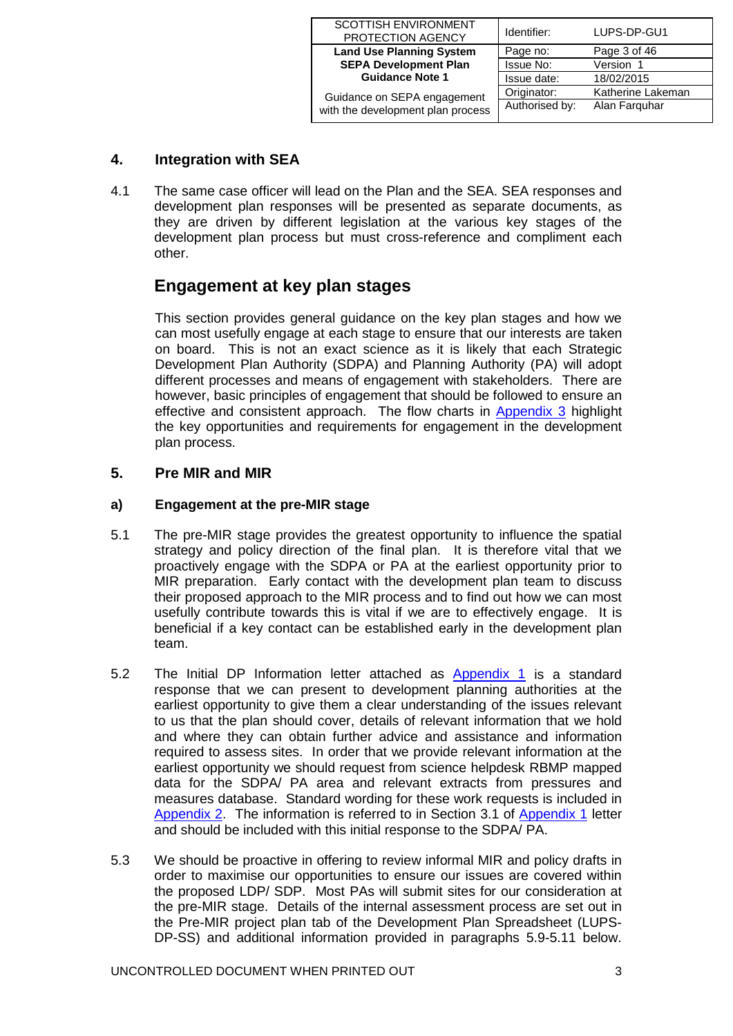| <b>SCOTTISH ENVIRONMENT</b><br>PROTECTION AGENCY | Identifier:    | LUPS-DP-GU1       |
|--------------------------------------------------|----------------|-------------------|
| <b>Land Use Planning System</b>                  | Page no:       | Page 3 of 46      |
| <b>SEPA Development Plan</b>                     | Issue No:      | Version 1         |
| <b>Guidance Note 1</b>                           | Issue date:    | 18/02/2015        |
| Guidance on SEPA engagement                      | Originator:    | Katherine Lakeman |
| with the development plan process                | Authorised by: | Alan Farguhar     |

# <span id="page-2-0"></span>**4. Integration with SEA**

4.1 The same case officer will lead on the Plan and the SEA. SEA responses and development plan responses will be presented as separate documents, as they are driven by different legislation at the various key stages of the development plan process but must cross-reference and compliment each other.

# **Engagement at key plan stages**

This section provides general guidance on the key plan stages and how we can most usefully engage at each stage to ensure that our interests are taken on board. This is not an exact science as it is likely that each Strategic Development Plan Authority (SDPA) and Planning Authority (PA) will adopt different processes and means of engagement with stakeholders. There are however, basic principles of engagement that should be followed to ensure an effective and consistent approach. The flow charts in [Appendix 3](#page-27-0) highlight the key opportunities and requirements for engagement in the development plan process.

# **5. Pre MIR and MIR**

## <span id="page-2-1"></span>**a) Engagement at the pre-MIR stage**

- 5.1 The pre-MIR stage provides the greatest opportunity to influence the spatial strategy and policy direction of the final plan. It is therefore vital that we proactively engage with the SDPA or PA at the earliest opportunity prior to MIR preparation. Early contact with the development plan team to discuss their proposed approach to the MIR process and to find out how we can most usefully contribute towards this is vital if we are to effectively engage. It is beneficial if a key contact can be established early in the development plan team.
- 5.2 The Initial DP Information letter attached as [Appendix 1](#page-17-0) is a standard response that we can present to development planning authorities at the earliest opportunity to give them a clear understanding of the issues relevant to us that the plan should cover, details of relevant information that we hold and where they can obtain further advice and assistance and information required to assess sites. In order that we provide relevant information at the earliest opportunity we should request from science helpdesk RBMP mapped data for the SDPA/ PA area and relevant extracts from pressures and measures database. Standard wording for these work requests is included in [Appendix 2.](#page-26-0) The information is referred to in Section 3.1 of [Appendix 1](#page-17-0) letter and should be included with this initial response to the SDPA/ PA.
- 5.3 We should be proactive in offering to review informal MIR and policy drafts in order to maximise our opportunities to ensure our issues are covered within the proposed LDP/ SDP. Most PAs will submit sites for our consideration at the pre-MIR stage. Details of the internal assessment process are set out in the Pre-MIR project plan tab of the Development Plan Spreadsheet (LUPS-DP-SS) and additional information provided in paragraphs 5.9-5.11 below.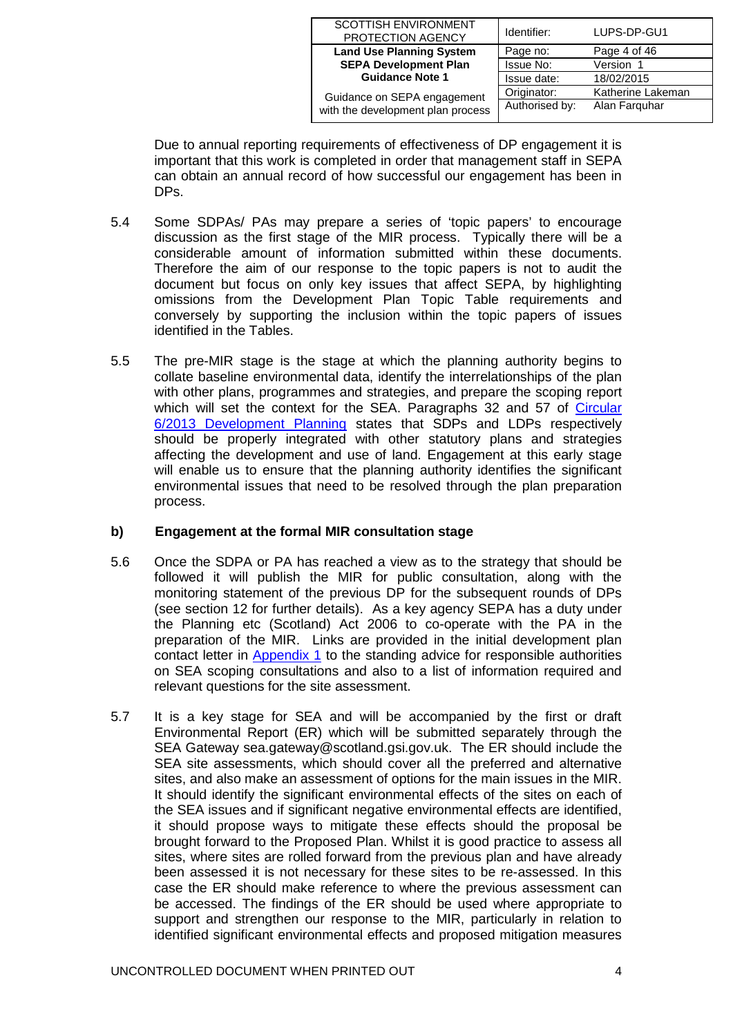| <b>SCOTTISH ENVIRONMENT</b><br>PROTECTION AGENCY | Identifier:    | LUPS-DP-GU1       |
|--------------------------------------------------|----------------|-------------------|
| <b>Land Use Planning System</b>                  | Page no:       | Page 4 of 46      |
| <b>SEPA Development Plan</b>                     | Issue No:      | Version 1         |
| <b>Guidance Note 1</b>                           | Issue date:    | 18/02/2015        |
| Guidance on SEPA engagement                      | Originator:    | Katherine Lakeman |
| with the development plan process                | Authorised by: | Alan Farguhar     |

Due to annual reporting requirements of effectiveness of DP engagement it is important that this work is completed in order that management staff in SEPA can obtain an annual record of how successful our engagement has been in DPs.

- 5.4 Some SDPAs/ PAs may prepare a series of 'topic papers' to encourage discussion as the first stage of the MIR process. Typically there will be a considerable amount of information submitted within these documents. Therefore the aim of our response to the topic papers is not to audit the document but focus on only key issues that affect SEPA, by highlighting omissions from the Development Plan Topic Table requirements and conversely by supporting the inclusion within the topic papers of issues identified in the Tables.
- 5.5 The pre-MIR stage is the stage at which the planning authority begins to collate baseline environmental data, identify the interrelationships of the plan with other plans, programmes and strategies, and prepare the scoping report which will set the context for the SEA. Paragraphs 32 and 57 of Circular [6/2013 Development Planning](http://www.scotland.gov.uk/Resource/0044/00441577.pdf) states that SDPs and LDPs respectively should be properly integrated with other statutory plans and strategies affecting the development and use of land. Engagement at this early stage will enable us to ensure that the planning authority identifies the significant environmental issues that need to be resolved through the plan preparation process.

## <span id="page-3-0"></span>**b) Engagement at the formal MIR consultation stage**

- 5.6 Once the SDPA or PA has reached a view as to the strategy that should be followed it will publish the MIR for public consultation, along with the monitoring statement of the previous DP for the subsequent rounds of DPs (see section 12 for further details). As a key agency SEPA has a duty under the Planning etc (Scotland) Act 2006 to co-operate with the PA in the preparation of the MIR. Links are provided in the initial development plan contact letter in [Appendix 1](#page-17-0) to the standing advice for responsible authorities on SEA scoping consultations and also to a list of information required and relevant questions for the site assessment.
- 5.7 It is a key stage for SEA and will be accompanied by the first or draft Environmental Report (ER) which will be submitted separately through the SEA Gateway sea.gateway@scotland.gsi.gov.uk. The ER should include the SEA site assessments, which should cover all the preferred and alternative sites, and also make an assessment of options for the main issues in the MIR. It should identify the significant environmental effects of the sites on each of the SEA issues and if significant negative environmental effects are identified, it should propose ways to mitigate these effects should the proposal be brought forward to the Proposed Plan. Whilst it is good practice to assess all sites, where sites are rolled forward from the previous plan and have already been assessed it is not necessary for these sites to be re-assessed. In this case the ER should make reference to where the previous assessment can be accessed. The findings of the ER should be used where appropriate to support and strengthen our response to the MIR, particularly in relation to identified significant environmental effects and proposed mitigation measures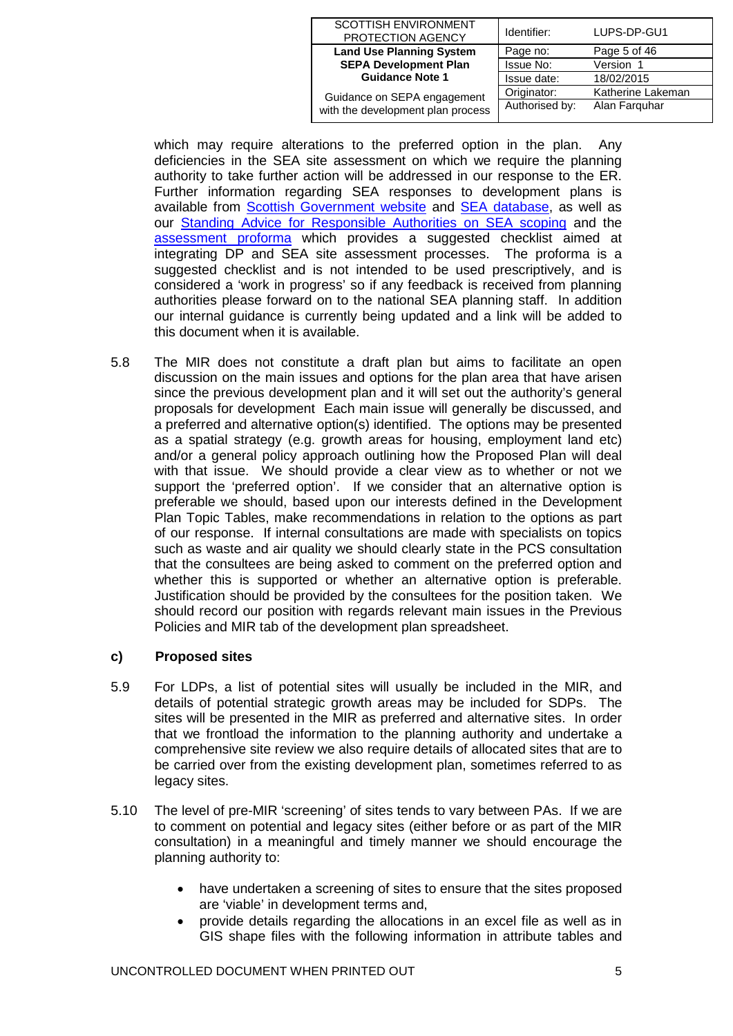| <b>SCOTTISH ENVIRONMENT</b><br>PROTECTION AGENCY | Identifier:    | LUPS-DP-GU1       |
|--------------------------------------------------|----------------|-------------------|
| <b>Land Use Planning System</b>                  | Page no:       | Page 5 of 46      |
| <b>SEPA Development Plan</b>                     | Issue No:      | Version 1         |
| <b>Guidance Note 1</b>                           | Issue date:    | 18/02/2015        |
| Guidance on SEPA engagement                      | Originator:    | Katherine Lakeman |
| with the development plan process                | Authorised by: | Alan Farguhar     |

which may require alterations to the preferred option in the plan. Any deficiencies in the SEA site assessment on which we require the planning authority to take further action will be addressed in our response to the ER. Further information regarding SEA responses to development plans is available from [Scottish Government website](http://www.scotland.gov.uk/Topics/Environment/environmental-assessment/sea/guidance/SEAGuidance) and [SEA database,](http://www.scotland.gov.uk/Topics/Environment/environmental-assessment/sea/SEAG) as well as our [Standing Advice for Responsible Authorities on SEA scoping](http://www.sepa.org.uk/planning/sea/guidance.aspx) and the [assessment proforma](http://www.sepa.org.uk/planning/sea/guidance.aspx) which provides a suggested checklist aimed at integrating DP and SEA site assessment processes. The proforma is a suggested checklist and is not intended to be used prescriptively, and is considered a 'work in progress' so if any feedback is received from planning authorities please forward on to the national SEA planning staff. In addition our internal guidance is currently being updated and a link will be added to this document when it is available.

5.8 The MIR does not constitute a draft plan but aims to facilitate an open discussion on the main issues and options for the plan area that have arisen since the previous development plan and it will set out the authority's general proposals for development Each main issue will generally be discussed, and a preferred and alternative option(s) identified. The options may be presented as a spatial strategy (e.g. growth areas for housing, employment land etc) and/or a general policy approach outlining how the Proposed Plan will deal with that issue. We should provide a clear view as to whether or not we support the 'preferred option'. If we consider that an alternative option is preferable we should, based upon our interests defined in the Development Plan Topic Tables, make recommendations in relation to the options as part of our response. If internal consultations are made with specialists on topics such as waste and air quality we should clearly state in the PCS consultation that the consultees are being asked to comment on the preferred option and whether this is supported or whether an alternative option is preferable. Justification should be provided by the consultees for the position taken. We should record our position with regards relevant main issues in the Previous Policies and MIR tab of the development plan spreadsheet.

## **c) Proposed sites**

- 5.9 For LDPs, a list of potential sites will usually be included in the MIR, and details of potential strategic growth areas may be included for SDPs. The sites will be presented in the MIR as preferred and alternative sites. In order that we frontload the information to the planning authority and undertake a comprehensive site review we also require details of allocated sites that are to be carried over from the existing development plan, sometimes referred to as legacy sites.
- 5.10 The level of pre-MIR 'screening' of sites tends to vary between PAs. If we are to comment on potential and legacy sites (either before or as part of the MIR consultation) in a meaningful and timely manner we should encourage the planning authority to:
	- have undertaken a screening of sites to ensure that the sites proposed are 'viable' in development terms and,
	- provide details regarding the allocations in an excel file as well as in GIS shape files with the following information in attribute tables and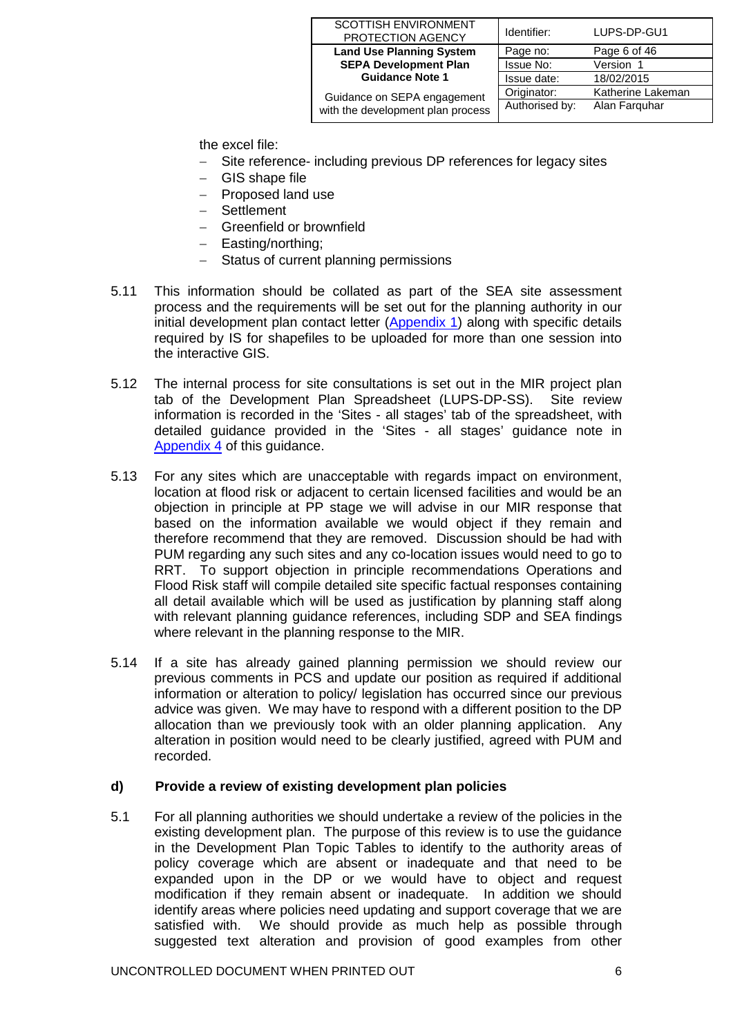| <b>SCOTTISH ENVIRONMENT</b><br>PROTECTION AGENCY | Identifier:    | LUPS-DP-GU1       |
|--------------------------------------------------|----------------|-------------------|
| <b>Land Use Planning System</b>                  | Page no:       | Page 6 of 46      |
| <b>SEPA Development Plan</b>                     | Issue No:      | Version 1         |
| <b>Guidance Note 1</b>                           | Issue date:    | 18/02/2015        |
| Guidance on SEPA engagement                      | Originator:    | Katherine Lakeman |
| with the development plan process                | Authorised by: | Alan Farguhar     |

the excel file:

- − Site reference- including previous DP references for legacy sites
- − GIS shape file
- − Proposed land use
- − Settlement
- − Greenfield or brownfield
- − Easting/northing;
- − Status of current planning permissions
- 5.11 This information should be collated as part of the SEA site assessment process and the requirements will be set out for the planning authority in our initial development plan contact letter [\(Appendix 1\)](#page-17-0) along with specific details required by IS for shapefiles to be uploaded for more than one session into the interactive GIS.
- 5.12 The internal process for site consultations is set out in the MIR project plan tab of the Development Plan Spreadsheet (LUPS-DP-SS). Site review information is recorded in the 'Sites - all stages' tab of the spreadsheet, with detailed guidance provided in the 'Sites - all stages' guidance note in [Appendix 4](#page-30-0) of this guidance.
- 5.13 For any sites which are unacceptable with regards impact on environment, location at flood risk or adjacent to certain licensed facilities and would be an objection in principle at PP stage we will advise in our MIR response that based on the information available we would object if they remain and therefore recommend that they are removed. Discussion should be had with PUM regarding any such sites and any co-location issues would need to go to RRT. To support objection in principle recommendations Operations and Flood Risk staff will compile detailed site specific factual responses containing all detail available which will be used as justification by planning staff along with relevant planning guidance references, including SDP and SEA findings where relevant in the planning response to the MIR.
- 5.14 If a site has already gained planning permission we should review our previous comments in PCS and update our position as required if additional information or alteration to policy/ legislation has occurred since our previous advice was given. We may have to respond with a different position to the DP allocation than we previously took with an older planning application. Any alteration in position would need to be clearly justified, agreed with PUM and recorded.

## **d) Provide a review of existing development plan policies**

5.1 For all planning authorities we should undertake a review of the policies in the existing development plan. The purpose of this review is to use the guidance in the Development Plan Topic Tables to identify to the authority areas of policy coverage which are absent or inadequate and that need to be expanded upon in the DP or we would have to object and request modification if they remain absent or inadequate. In addition we should identify areas where policies need updating and support coverage that we are satisfied with. We should provide as much help as possible through suggested text alteration and provision of good examples from other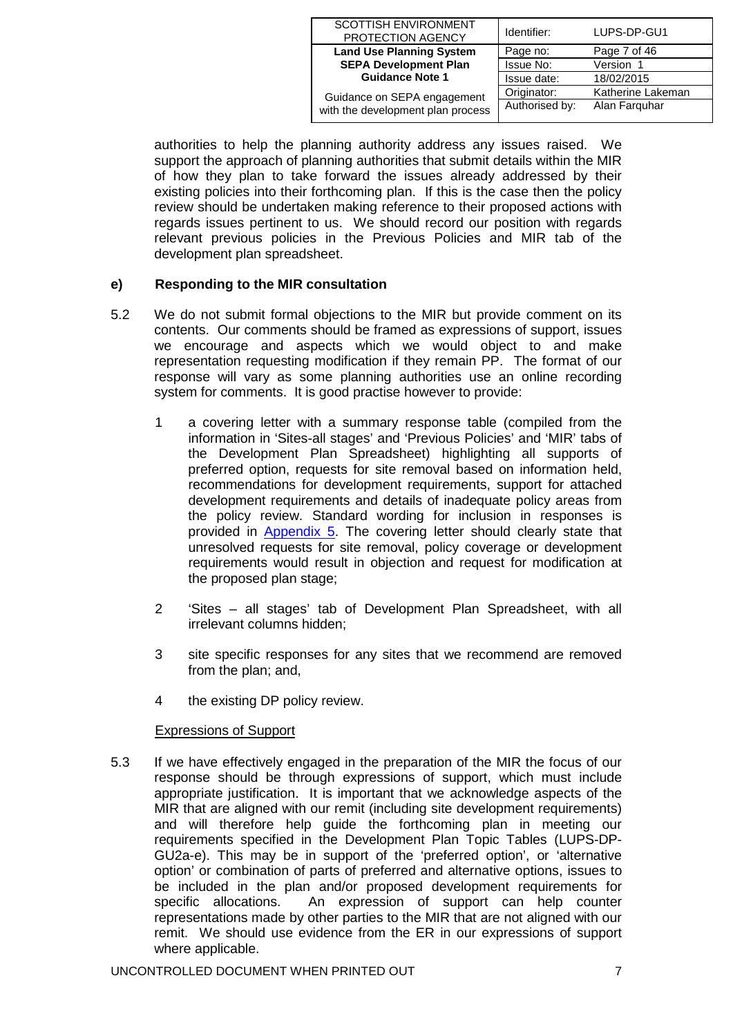| <b>SCOTTISH ENVIRONMENT</b><br>PROTECTION AGENCY | Identifier:    | LUPS-DP-GU1       |
|--------------------------------------------------|----------------|-------------------|
| <b>Land Use Planning System</b>                  | Page no:       | Page 7 of 46      |
| <b>SEPA Development Plan</b>                     | Issue No:      | Version 1         |
| <b>Guidance Note 1</b>                           | Issue date:    | 18/02/2015        |
| Guidance on SEPA engagement                      | Originator:    | Katherine Lakeman |
| with the development plan process                | Authorised by: | Alan Farguhar     |

authorities to help the planning authority address any issues raised. We support the approach of planning authorities that submit details within the MIR of how they plan to take forward the issues already addressed by their existing policies into their forthcoming plan. If this is the case then the policy review should be undertaken making reference to their proposed actions with regards issues pertinent to us. We should record our position with regards relevant previous policies in the Previous Policies and MIR tab of the development plan spreadsheet.

# **e) Responding to the MIR consultation**

- 5.2 We do not submit formal objections to the MIR but provide comment on its contents. Our comments should be framed as expressions of support, issues we encourage and aspects which we would object to and make representation requesting modification if they remain PP. The format of our response will vary as some planning authorities use an online recording system for comments. It is good practise however to provide:
	- 1 a covering letter with a summary response table (compiled from the information in 'Sites-all stages' and 'Previous Policies' and 'MIR' tabs of the Development Plan Spreadsheet) highlighting all supports of preferred option, requests for site removal based on information held, recommendations for development requirements, support for attached development requirements and details of inadequate policy areas from the policy review. Standard wording for inclusion in responses is provided in [Appendix 5.](#page-42-0) The covering letter should clearly state that unresolved requests for site removal, policy coverage or development requirements would result in objection and request for modification at the proposed plan stage;
	- 2 'Sites all stages' tab of Development Plan Spreadsheet, with all irrelevant columns hidden;
	- 3 site specific responses for any sites that we recommend are removed from the plan; and,
	- 4 the existing DP policy review.

## Expressions of Support

5.3 If we have effectively engaged in the preparation of the MIR the focus of our response should be through expressions of support, which must include appropriate justification. It is important that we acknowledge aspects of the MIR that are aligned with our remit (including site development requirements) and will therefore help guide the forthcoming plan in meeting our requirements specified in the Development Plan Topic Tables (LUPS-DP-GU2a-e). This may be in support of the 'preferred option', or 'alternative option' or combination of parts of preferred and alternative options, issues to be included in the plan and/or proposed development requirements for specific allocations. An expression of support can help counter representations made by other parties to the MIR that are not aligned with our remit. We should use evidence from the ER in our expressions of support where applicable.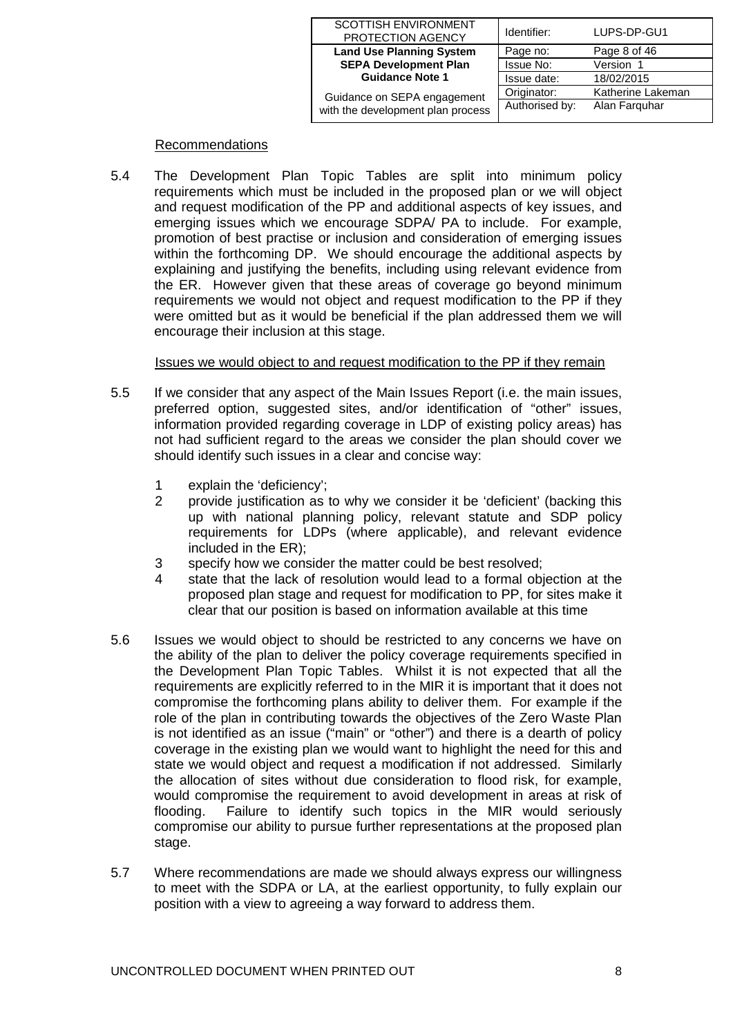| <b>SCOTTISH ENVIRONMENT</b><br>PROTECTION AGENCY | Identifier:    | LUPS-DP-GU1       |
|--------------------------------------------------|----------------|-------------------|
| <b>Land Use Planning System</b>                  | Page no:       | Page 8 of 46      |
| <b>SEPA Development Plan</b>                     | Issue No:      | Version 1         |
| <b>Guidance Note 1</b>                           | Issue date:    | 18/02/2015        |
| Guidance on SEPA engagement                      | Originator:    | Katherine Lakeman |
| with the development plan process                | Authorised by: | Alan Farguhar     |

## Recommendations

5.4 The Development Plan Topic Tables are split into minimum policy requirements which must be included in the proposed plan or we will object and request modification of the PP and additional aspects of key issues, and emerging issues which we encourage SDPA/ PA to include. For example, promotion of best practise or inclusion and consideration of emerging issues within the forthcoming DP. We should encourage the additional aspects by explaining and justifying the benefits, including using relevant evidence from the ER. However given that these areas of coverage go beyond minimum requirements we would not object and request modification to the PP if they were omitted but as it would be beneficial if the plan addressed them we will encourage their inclusion at this stage.

### Issues we would object to and request modification to the PP if they remain

- 5.5 If we consider that any aspect of the Main Issues Report (i.e. the main issues, preferred option, suggested sites, and/or identification of "other" issues, information provided regarding coverage in LDP of existing policy areas) has not had sufficient regard to the areas we consider the plan should cover we should identify such issues in a clear and concise way:
	- 1 explain the 'deficiency';
	- 2 provide justification as to why we consider it be 'deficient' (backing this up with national planning policy, relevant statute and SDP policy requirements for LDPs (where applicable), and relevant evidence included in the ER);
	- 3 specify how we consider the matter could be best resolved;
	- 4 state that the lack of resolution would lead to a formal objection at the proposed plan stage and request for modification to PP, for sites make it clear that our position is based on information available at this time
- 5.6 Issues we would object to should be restricted to any concerns we have on the ability of the plan to deliver the policy coverage requirements specified in the Development Plan Topic Tables. Whilst it is not expected that all the requirements are explicitly referred to in the MIR it is important that it does not compromise the forthcoming plans ability to deliver them. For example if the role of the plan in contributing towards the objectives of the Zero Waste Plan is not identified as an issue ("main" or "other") and there is a dearth of policy coverage in the existing plan we would want to highlight the need for this and state we would object and request a modification if not addressed. Similarly the allocation of sites without due consideration to flood risk, for example, would compromise the requirement to avoid development in areas at risk of flooding. Failure to identify such topics in the MIR would seriously compromise our ability to pursue further representations at the proposed plan stage.
- 5.7 Where recommendations are made we should always express our willingness to meet with the SDPA or LA, at the earliest opportunity, to fully explain our position with a view to agreeing a way forward to address them.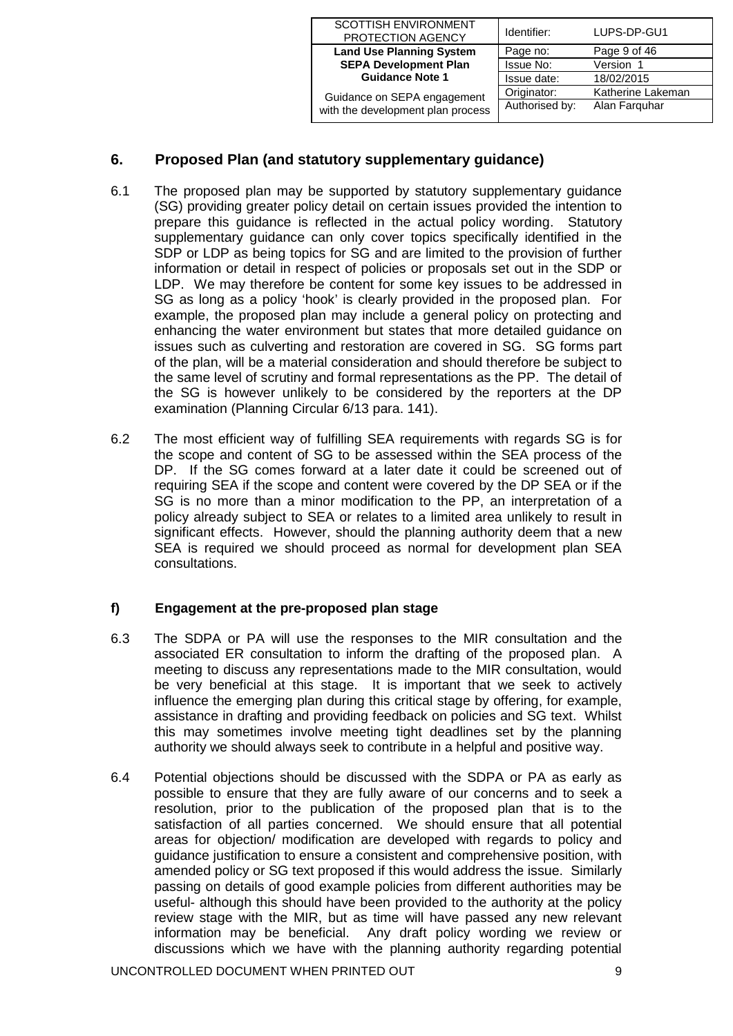| <b>SCOTTISH ENVIRONMENT</b><br>PROTECTION AGENCY | Identifier:    | LUPS-DP-GU1       |
|--------------------------------------------------|----------------|-------------------|
| <b>Land Use Planning System</b>                  | Page no:       | Page 9 of 46      |
| <b>SEPA Development Plan</b>                     | Issue No:      | Version 1         |
| <b>Guidance Note 1</b>                           | Issue date:    | 18/02/2015        |
| Guidance on SEPA engagement                      | Originator:    | Katherine Lakeman |
| with the development plan process                | Authorised by: | Alan Farguhar     |

# <span id="page-8-0"></span>**6. Proposed Plan (and statutory supplementary guidance)**

- 6.1 The proposed plan may be supported by statutory supplementary guidance (SG) providing greater policy detail on certain issues provided the intention to prepare this guidance is reflected in the actual policy wording. Statutory supplementary guidance can only cover topics specifically identified in the SDP or LDP as being topics for SG and are limited to the provision of further information or detail in respect of policies or proposals set out in the SDP or LDP.We may therefore be content for some key issues to be addressed in SG as long as a policy 'hook' is clearly provided in the proposed plan. For example, the proposed plan may include a general policy on protecting and enhancing the water environment but states that more detailed guidance on issues such as culverting and restoration are covered in SG. SG forms part of the plan, will be a material consideration and should therefore be subject to the same level of scrutiny and formal representations as the PP. The detail of the SG is however unlikely to be considered by the reporters at the DP examination (Planning Circular 6/13 para. 141).
- 6.2 The most efficient way of fulfilling SEA requirements with regards SG is for the scope and content of SG to be assessed within the SEA process of the DP. If the SG comes forward at a later date it could be screened out of requiring SEA if the scope and content were covered by the DP SEA or if the SG is no more than a minor modification to the PP, an interpretation of a policy already subject to SEA or relates to a limited area unlikely to result in significant effects. However, should the planning authority deem that a new SEA is required we should proceed as normal for development plan SEA consultations.

# **f) Engagement at the pre-proposed plan stage**

- 6.3 The SDPA or PA will use the responses to the MIR consultation and the associated ER consultation to inform the drafting of the proposed plan. A meeting to discuss any representations made to the MIR consultation, would be very beneficial at this stage. It is important that we seek to actively influence the emerging plan during this critical stage by offering, for example, assistance in drafting and providing feedback on policies and SG text. Whilst this may sometimes involve meeting tight deadlines set by the planning authority we should always seek to contribute in a helpful and positive way.
- 6.4 Potential objections should be discussed with the SDPA or PA as early as possible to ensure that they are fully aware of our concerns and to seek a resolution, prior to the publication of the proposed plan that is to the satisfaction of all parties concerned. We should ensure that all potential areas for objection/ modification are developed with regards to policy and guidance justification to ensure a consistent and comprehensive position, with amended policy or SG text proposed if this would address the issue. Similarly passing on details of good example policies from different authorities may be useful- although this should have been provided to the authority at the policy review stage with the MIR, but as time will have passed any new relevant information may be beneficial. Any draft policy wording we review or discussions which we have with the planning authority regarding potential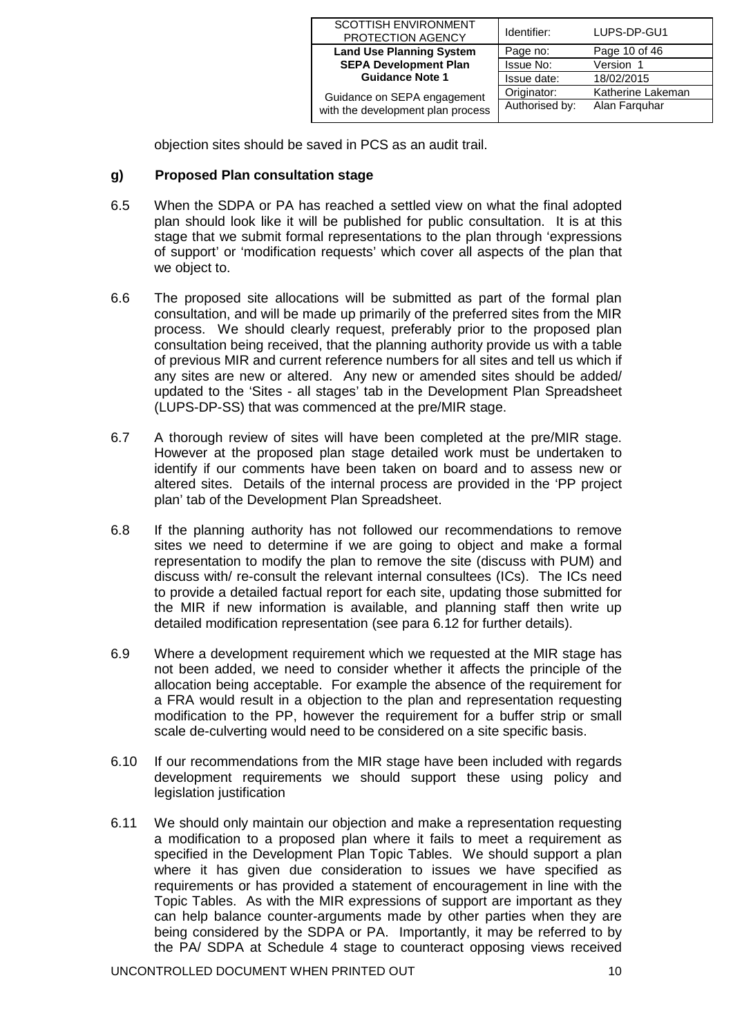| <b>SCOTTISH ENVIRONMENT</b><br>PROTECTION AGENCY | Identifier:    | LUPS-DP-GU1       |
|--------------------------------------------------|----------------|-------------------|
| <b>Land Use Planning System</b>                  | Page no:       | Page 10 of 46     |
| <b>SEPA Development Plan</b>                     | Issue No:      | Version 1         |
| <b>Guidance Note 1</b>                           | Issue date:    | 18/02/2015        |
| Guidance on SEPA engagement                      | Originator:    | Katherine Lakeman |
| with the development plan process                | Authorised by: | Alan Farguhar     |

objection sites should be saved in PCS as an audit trail.

### **g) Proposed Plan consultation stage**

- 6.5 When the SDPA or PA has reached a settled view on what the final adopted plan should look like it will be published for public consultation. It is at this stage that we submit formal representations to the plan through 'expressions of support' or 'modification requests' which cover all aspects of the plan that we object to.
- 6.6 The proposed site allocations will be submitted as part of the formal plan consultation, and will be made up primarily of the preferred sites from the MIR process. We should clearly request, preferably prior to the proposed plan consultation being received, that the planning authority provide us with a table of previous MIR and current reference numbers for all sites and tell us which if any sites are new or altered. Any new or amended sites should be added/ updated to the 'Sites - all stages' tab in the Development Plan Spreadsheet (LUPS-DP-SS) that was commenced at the pre/MIR stage.
- 6.7 A thorough review of sites will have been completed at the pre/MIR stage. However at the proposed plan stage detailed work must be undertaken to identify if our comments have been taken on board and to assess new or altered sites. Details of the internal process are provided in the 'PP project plan' tab of the Development Plan Spreadsheet.
- 6.8 If the planning authority has not followed our recommendations to remove sites we need to determine if we are going to object and make a formal representation to modify the plan to remove the site (discuss with PUM) and discuss with/ re-consult the relevant internal consultees (ICs). The ICs need to provide a detailed factual report for each site, updating those submitted for the MIR if new information is available, and planning staff then write up detailed modification representation (see para 6.12 for further details).
- 6.9 Where a development requirement which we requested at the MIR stage has not been added, we need to consider whether it affects the principle of the allocation being acceptable. For example the absence of the requirement for a FRA would result in a objection to the plan and representation requesting modification to the PP, however the requirement for a buffer strip or small scale de-culverting would need to be considered on a site specific basis.
- 6.10 If our recommendations from the MIR stage have been included with regards development requirements we should support these using policy and legislation justification
- 6.11 We should only maintain our objection and make a representation requesting a modification to a proposed plan where it fails to meet a requirement as specified in the Development Plan Topic Tables. We should support a plan where it has given due consideration to issues we have specified as requirements or has provided a statement of encouragement in line with the Topic Tables. As with the MIR expressions of support are important as they can help balance counter-arguments made by other parties when they are being considered by the SDPA or PA. Importantly, it may be referred to by the PA/ SDPA at Schedule 4 stage to counteract opposing views received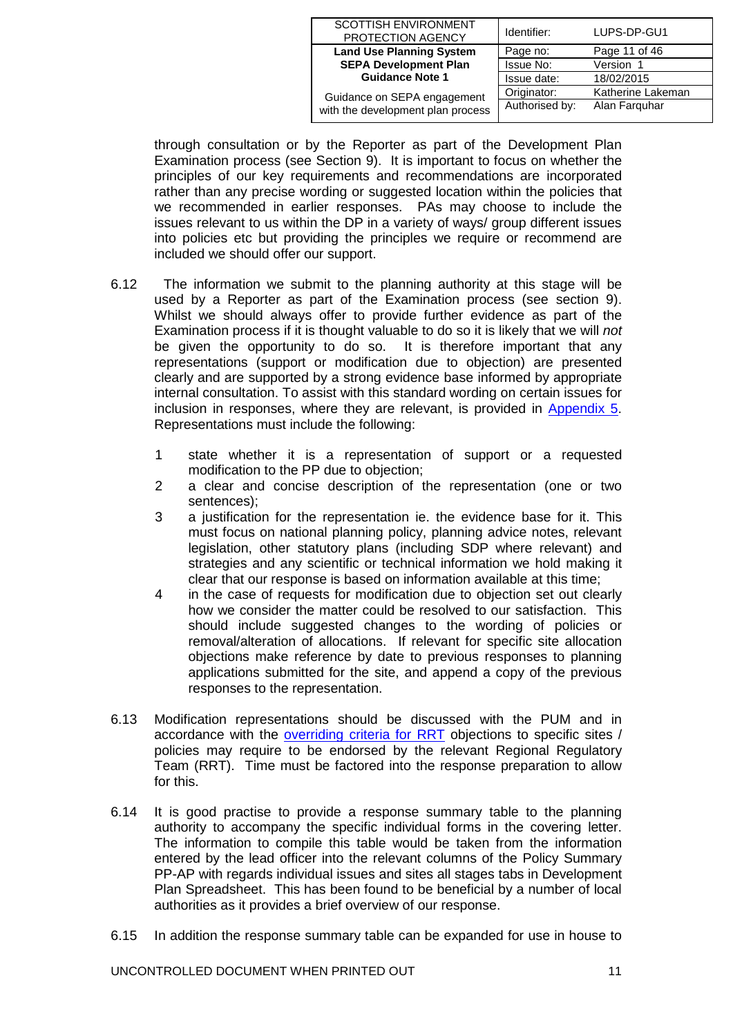| SCOTTISH ENVIRONMENT<br>PROTECTION AGENCY | Identifier:    | LUPS-DP-GU1       |
|-------------------------------------------|----------------|-------------------|
| <b>Land Use Planning System</b>           | Page no:       | Page 11 of 46     |
| <b>SEPA Development Plan</b>              | Issue No:      | Version 1         |
| <b>Guidance Note 1</b>                    | Issue date:    | 18/02/2015        |
| Guidance on SEPA engagement               | Originator:    | Katherine Lakeman |
| with the development plan process         | Authorised by: | Alan Farguhar     |

through consultation or by the Reporter as part of the Development Plan Examination process (see Section 9). It is important to focus on whether the principles of our key requirements and recommendations are incorporated rather than any precise wording or suggested location within the policies that we recommended in earlier responses. PAs may choose to include the issues relevant to us within the DP in a variety of ways/ group different issues into policies etc but providing the principles we require or recommend are included we should offer our support.

- 6.12 The information we submit to the planning authority at this stage will be used by a Reporter as part of the Examination process (see section 9). Whilst we should always offer to provide further evidence as part of the Examination process if it is thought valuable to do so it is likely that we will *not* be given the opportunity to do so. representations (support or modification due to objection) are presented clearly and are supported by a strong evidence base informed by appropriate internal consultation. To assist with this standard wording on certain issues for inclusion in responses, where they are relevant, is provided in [Appendix 5.](#page-42-0) Representations must include the following:
	- 1 state whether it is a representation of support or a requested modification to the PP due to objection;
	- 2 a clear and concise description of the representation (one or two sentences);
	- 3 a justification for the representation ie. the evidence base for it. This must focus on national planning policy, planning advice notes, relevant legislation, other statutory plans (including SDP where relevant) and strategies and any scientific or technical information we hold making it clear that our response is based on information available at this time;
	- 4 in the case of requests for modification due to objection set out clearly how we consider the matter could be resolved to our satisfaction. This should include suggested changes to the wording of policies or removal/alteration of allocations. If relevant for specific site allocation objections make reference by date to previous responses to planning applications submitted for the site, and append a copy of the previous responses to the representation.
- 6.13 Modification representations should be discussed with the PUM and in accordance with the [overriding criteria for](http://stir-app-net05/Intranet/operations_portfolio/optic/regulation__governance/idoc.ashx?docid=56602650-cffe-4b1b-8443-14a737f19bc0&version=-1) RRT objections to specific sites / policies may require to be endorsed by the relevant Regional Regulatory Team (RRT). Time must be factored into the response preparation to allow for this.
- 6.14 It is good practise to provide a response summary table to the planning authority to accompany the specific individual forms in the covering letter. The information to compile this table would be taken from the information entered by the lead officer into the relevant columns of the Policy Summary PP-AP with regards individual issues and sites all stages tabs in Development Plan Spreadsheet. This has been found to be beneficial by a number of local authorities as it provides a brief overview of our response.
- 6.15 In addition the response summary table can be expanded for use in house to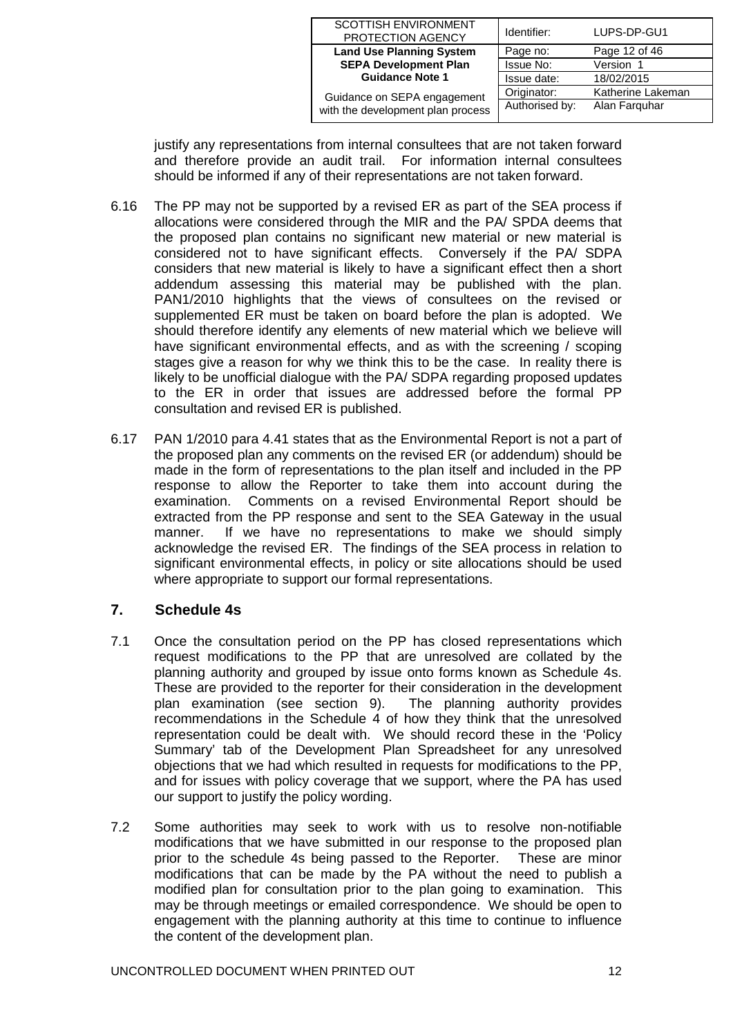| SCOTTISH ENVIRONMENT<br>PROTECTION AGENCY | Identifier:    | LUPS-DP-GU1       |
|-------------------------------------------|----------------|-------------------|
| <b>Land Use Planning System</b>           | Page no:       | Page 12 of 46     |
| <b>SEPA Development Plan</b>              | Issue No:      | Version 1         |
| <b>Guidance Note 1</b>                    | Issue date:    | 18/02/2015        |
| Guidance on SEPA engagement               | Originator:    | Katherine Lakeman |
| with the development plan process         | Authorised by: | Alan Farguhar     |

justify any representations from internal consultees that are not taken forward and therefore provide an audit trail. For information internal consultees should be informed if any of their representations are not taken forward.

- 6.16 The PP may not be supported by a revised ER as part of the SEA process if allocations were considered through the MIR and the PA/ SPDA deems that the proposed plan contains no significant new material or new material is considered not to have significant effects. Conversely if the PA/ SDPA considers that new material is likely to have a significant effect then a short addendum assessing this material may be published with the plan. PAN1/2010 highlights that the views of consultees on the revised or supplemented ER must be taken on board before the plan is adopted. We should therefore identify any elements of new material which we believe will have significant environmental effects, and as with the screening / scoping stages give a reason for why we think this to be the case. In reality there is likely to be unofficial dialogue with the PA/ SDPA regarding proposed updates to the ER in order that issues are addressed before the formal PP consultation and revised ER is published.
- 6.17 PAN 1/2010 para 4.41 states that as the Environmental Report is not a part of the proposed plan any comments on the revised ER (or addendum) should be made in the form of representations to the plan itself and included in the PP response to allow the Reporter to take them into account during the examination. Comments on a revised Environmental Report should be extracted from the PP response and sent to the SEA Gateway in the usual manner. If we have no representations to make we should simply acknowledge the revised ER. The findings of the SEA process in relation to significant environmental effects, in policy or site allocations should be used where appropriate to support our formal representations.

# <span id="page-11-0"></span>**7. Schedule 4s**

- 7.1 Once the consultation period on the PP has closed representations which request modifications to the PP that are unresolved are collated by the planning authority and grouped by issue onto forms known as Schedule 4s. These are provided to the reporter for their consideration in the development plan examination (see section 9). The planning authority provides recommendations in the Schedule 4 of how they think that the unresolved representation could be dealt with. We should record these in the 'Policy Summary' tab of the Development Plan Spreadsheet for any unresolved objections that we had which resulted in requests for modifications to the PP, and for issues with policy coverage that we support, where the PA has used our support to justify the policy wording.
- 7.2 Some authorities may seek to work with us to resolve non-notifiable modifications that we have submitted in our response to the proposed plan prior to the schedule 4s being passed to the Reporter. These are minor modifications that can be made by the PA without the need to publish a modified plan for consultation prior to the plan going to examination.This may be through meetings or emailed correspondence. We should be open to engagement with the planning authority at this time to continue to influence the content of the development plan.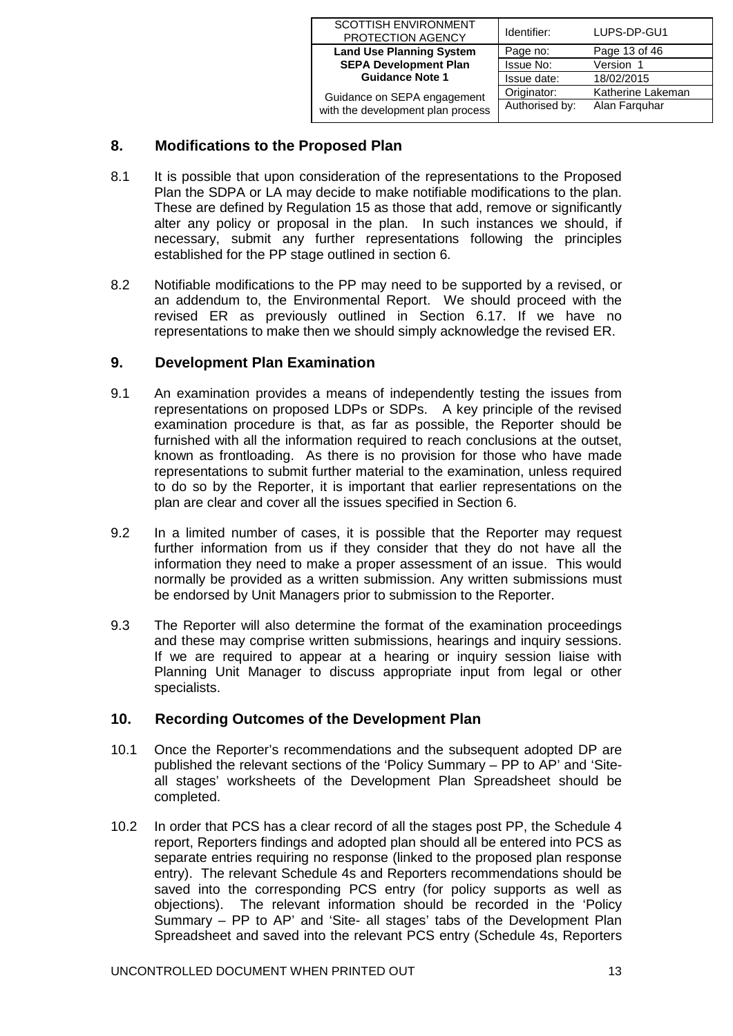| <b>SCOTTISH ENVIRONMENT</b><br>PROTECTION AGENCY | Identifier:    | LUPS-DP-GU1       |
|--------------------------------------------------|----------------|-------------------|
| <b>Land Use Planning System</b>                  | Page no:       | Page 13 of 46     |
| <b>SEPA Development Plan</b>                     | Issue No:      | Version 1         |
| <b>Guidance Note 1</b>                           | Issue date:    | 18/02/2015        |
| Guidance on SEPA engagement                      | Originator:    | Katherine Lakeman |
| with the development plan process                | Authorised by: | Alan Farquhar     |

# <span id="page-12-0"></span>**8. Modifications to the Proposed Plan**

- 8.1 It is possible that upon consideration of the representations to the Proposed Plan the SDPA or LA may decide to make notifiable modifications to the plan. These are defined by Regulation 15 as those that add, remove or significantly alter any policy or proposal in the plan. In such instances we should, if necessary, submit any further representations following the principles established for the PP stage outlined in section 6.
- 8.2 Notifiable modifications to the PP may need to be supported by a revised, or an addendum to, the Environmental Report. We should proceed with the revised ER as previously outlined in Section 6.17. If we have no representations to make then we should simply acknowledge the revised ER.

# <span id="page-12-1"></span>**9. Development Plan Examination**

- 9.1 An examination provides a means of independently testing the issues from representations on proposed LDPs or SDPs. A key principle of the revised examination procedure is that, as far as possible, the Reporter should be furnished with all the information required to reach conclusions at the outset, known as frontloading. As there is no provision for those who have made representations to submit further material to the examination, unless required to do so by the Reporter, it is important that earlier representations on the plan are clear and cover all the issues specified in Section 6.
- 9.2 In a limited number of cases, it is possible that the Reporter may request further information from us if they consider that they do not have all the information they need to make a proper assessment of an issue. This would normally be provided as a written submission. Any written submissions must be endorsed by Unit Managers prior to submission to the Reporter.
- 9.3 The Reporter will also determine the format of the examination proceedings and these may comprise written submissions, hearings and inquiry sessions. If we are required to appear at a hearing or inquiry session liaise with Planning Unit Manager to discuss appropriate input from legal or other specialists.

## <span id="page-12-2"></span>**10. Recording Outcomes of the Development Plan**

- 10.1 Once the Reporter's recommendations and the subsequent adopted DP are published the relevant sections of the 'Policy Summary – PP to AP' and 'Siteall stages' worksheets of the Development Plan Spreadsheet should be completed.
- 10.2 In order that PCS has a clear record of all the stages post PP, the Schedule 4 report, Reporters findings and adopted plan should all be entered into PCS as separate entries requiring no response (linked to the proposed plan response entry). The relevant Schedule 4s and Reporters recommendations should be saved into the corresponding PCS entry (for policy supports as well as objections). The relevant information should be recorded in the 'Policy Summary – PP to AP' and 'Site- all stages' tabs of the Development Plan Spreadsheet and saved into the relevant PCS entry (Schedule 4s, Reporters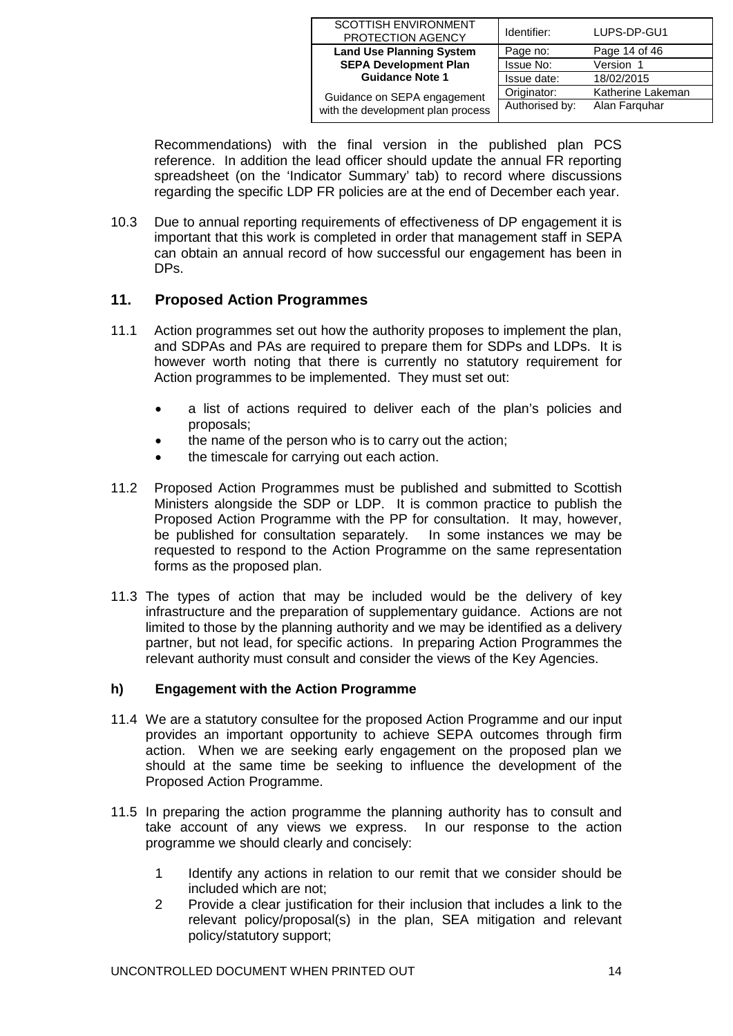| SCOTTISH ENVIRONMENT<br>PROTECTION AGENCY | Identifier:    | LUPS-DP-GU1       |
|-------------------------------------------|----------------|-------------------|
| <b>Land Use Planning System</b>           | Page no:       | Page 14 of 46     |
| <b>SEPA Development Plan</b>              | Issue No:      | Version 1         |
| <b>Guidance Note 1</b>                    | Issue date:    | 18/02/2015        |
| Guidance on SEPA engagement               | Originator:    | Katherine Lakeman |
| with the development plan process         | Authorised by: | Alan Farguhar     |

Recommendations) with the final version in the published plan PCS reference. In addition the lead officer should update the annual FR reporting spreadsheet (on the 'Indicator Summary' tab) to record where discussions regarding the specific LDP FR policies are at the end of December each year.

10.3 Due to annual reporting requirements of effectiveness of DP engagement it is important that this work is completed in order that management staff in SEPA can obtain an annual record of how successful our engagement has been in DPs.

# <span id="page-13-0"></span>**11. Proposed Action Programmes**

- 11.1 Action programmes set out how the authority proposes to implement the plan, and SDPAs and PAs are required to prepare them for SDPs and LDPs. It is however worth noting that there is currently no statutory requirement for Action programmes to be implemented. They must set out:
	- a list of actions required to deliver each of the plan's policies and proposals;
	- the name of the person who is to carry out the action;
	- the timescale for carrying out each action.
- 11.2 Proposed Action Programmes must be published and submitted to Scottish Ministers alongside the SDP or LDP. It is common practice to publish the Proposed Action Programme with the PP for consultation. It may, however, be published for consultation separately. In some instances we may be requested to respond to the Action Programme on the same representation forms as the proposed plan.
- 11.3 The types of action that may be included would be the delivery of key infrastructure and the preparation of supplementary guidance. Actions are not limited to those by the planning authority and we may be identified as a delivery partner, but not lead, for specific actions. In preparing Action Programmes the relevant authority must consult and consider the views of the Key Agencies.

#### **h) Engagement with the Action Programme**

- 11.4 We are a statutory consultee for the proposed Action Programme and our input provides an important opportunity to achieve SEPA outcomes through firm action. When we are seeking early engagement on the proposed plan we should at the same time be seeking to influence the development of the Proposed Action Programme.
- 11.5 In preparing the action programme the planning authority has to consult and take account of any views we express. In our response to the action programme we should clearly and concisely:
	- 1 Identify any actions in relation to our remit that we consider should be included which are not;
	- 2 Provide a clear justification for their inclusion that includes a link to the relevant policy/proposal(s) in the plan, SEA mitigation and relevant policy/statutory support;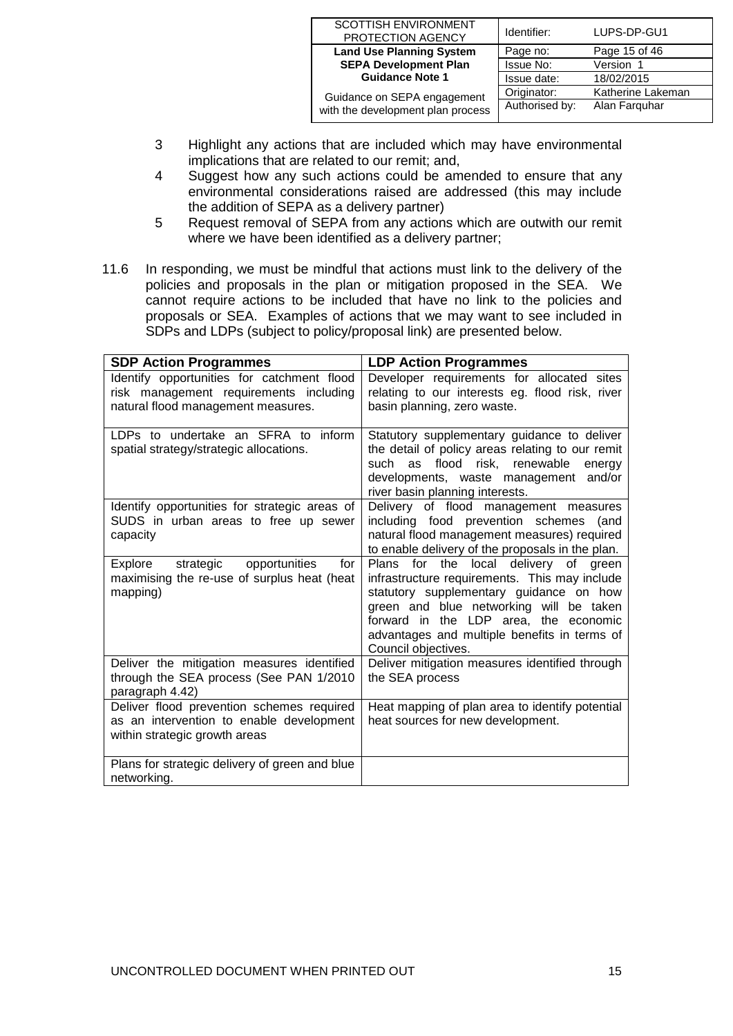| <b>SCOTTISH ENVIRONMENT</b><br>PROTECTION AGENCY | Identifier:    | LUPS-DP-GU1       |
|--------------------------------------------------|----------------|-------------------|
| <b>Land Use Planning System</b>                  | Page no:       | Page 15 of 46     |
| <b>SEPA Development Plan</b>                     | Issue No:      | Version 1         |
| <b>Guidance Note 1</b>                           | Issue date:    | 18/02/2015        |
| Guidance on SEPA engagement                      | Originator:    | Katherine Lakeman |
| with the development plan process                | Authorised by: | Alan Farguhar     |

- 3 Highlight any actions that are included which may have environmental implications that are related to our remit; and,
- 4 Suggest how any such actions could be amended to ensure that any environmental considerations raised are addressed (this may include the addition of SEPA as a delivery partner)
- 5 Request removal of SEPA from any actions which are outwith our remit where we have been identified as a delivery partner;
- 11.6 In responding, we must be mindful that actions must link to the delivery of the policies and proposals in the plan or mitigation proposed in the SEA. We cannot require actions to be included that have no link to the policies and proposals or SEA. Examples of actions that we may want to see included in SDPs and LDPs (subject to policy/proposal link) are presented below.

| <b>SDP Action Programmes</b>                                                                                               | <b>LDP Action Programmes</b>                                                                                                                                                                                                                                                                    |
|----------------------------------------------------------------------------------------------------------------------------|-------------------------------------------------------------------------------------------------------------------------------------------------------------------------------------------------------------------------------------------------------------------------------------------------|
| Identify opportunities for catchment flood<br>risk management requirements including<br>natural flood management measures. | Developer requirements for allocated sites<br>relating to our interests eg. flood risk, river<br>basin planning, zero waste.                                                                                                                                                                    |
| LDPs to undertake an SFRA to inform<br>spatial strategy/strategic allocations.                                             | Statutory supplementary guidance to deliver<br>the detail of policy areas relating to our remit<br>such as flood risk, renewable<br>energy<br>developments, waste management and/or<br>river basin planning interests.                                                                          |
| Identify opportunities for strategic areas of<br>SUDS in urban areas to free up sewer<br>capacity                          | Delivery of flood management measures<br>including food prevention schemes (and<br>natural flood management measures) required<br>to enable delivery of the proposals in the plan.                                                                                                              |
| strategic opportunities<br>Explore<br>for<br>maximising the re-use of surplus heat (heat<br>mapping)                       | Plans for the local delivery of<br>areen<br>infrastructure requirements. This may include<br>statutory supplementary guidance on how<br>green and blue networking will be taken<br>forward in the LDP area, the economic<br>advantages and multiple benefits in terms of<br>Council objectives. |
| Deliver the mitigation measures identified<br>through the SEA process (See PAN 1/2010<br>paragraph 4.42)                   | Deliver mitigation measures identified through<br>the SEA process                                                                                                                                                                                                                               |
| Deliver flood prevention schemes required<br>as an intervention to enable development<br>within strategic growth areas     | Heat mapping of plan area to identify potential<br>heat sources for new development.                                                                                                                                                                                                            |
| Plans for strategic delivery of green and blue<br>networking.                                                              |                                                                                                                                                                                                                                                                                                 |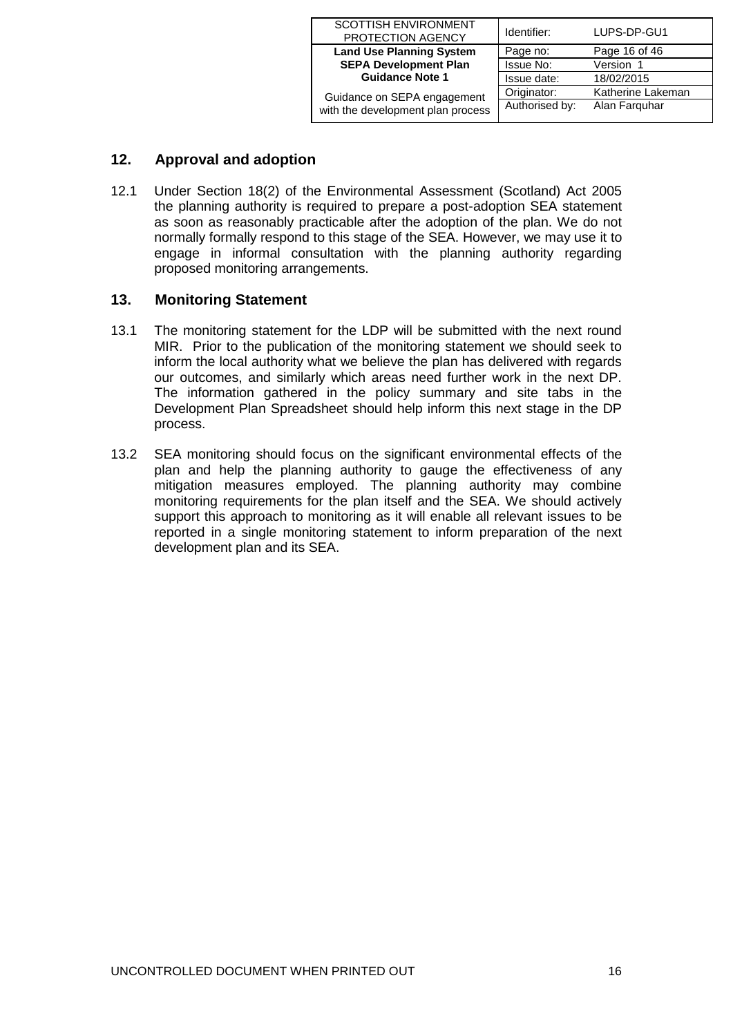| <b>SCOTTISH ENVIRONMENT</b><br>PROTECTION AGENCY | Identifier:    | LUPS-DP-GU1       |
|--------------------------------------------------|----------------|-------------------|
| <b>Land Use Planning System</b>                  | Page no:       | Page 16 of 46     |
| <b>SEPA Development Plan</b>                     | Issue No:      | Version 1         |
| <b>Guidance Note 1</b>                           | Issue date:    | 18/02/2015        |
| Guidance on SEPA engagement                      | Originator:    | Katherine Lakeman |
| with the development plan process                | Authorised by: | Alan Farguhar     |

# <span id="page-15-0"></span>**12. Approval and adoption**

12.1 Under Section 18(2) of the Environmental Assessment (Scotland) Act 2005 the planning authority is required to prepare a post-adoption SEA statement as soon as reasonably practicable after the adoption of the plan. We do not normally formally respond to this stage of the SEA. However, we may use it to engage in informal consultation with the planning authority regarding proposed monitoring arrangements.

# <span id="page-15-1"></span>**13. Monitoring Statement**

- 13.1 The monitoring statement for the LDP will be submitted with the next round MIR. Prior to the publication of the monitoring statement we should seek to inform the local authority what we believe the plan has delivered with regards our outcomes, and similarly which areas need further work in the next DP. The information gathered in the policy summary and site tabs in the Development Plan Spreadsheet should help inform this next stage in the DP process.
- 13.2 SEA monitoring should focus on the significant environmental effects of the plan and help the planning authority to gauge the effectiveness of any mitigation measures employed. The planning authority may combine monitoring requirements for the plan itself and the SEA. We should actively support this approach to monitoring as it will enable all relevant issues to be reported in a single monitoring statement to inform preparation of the next development plan and its SEA.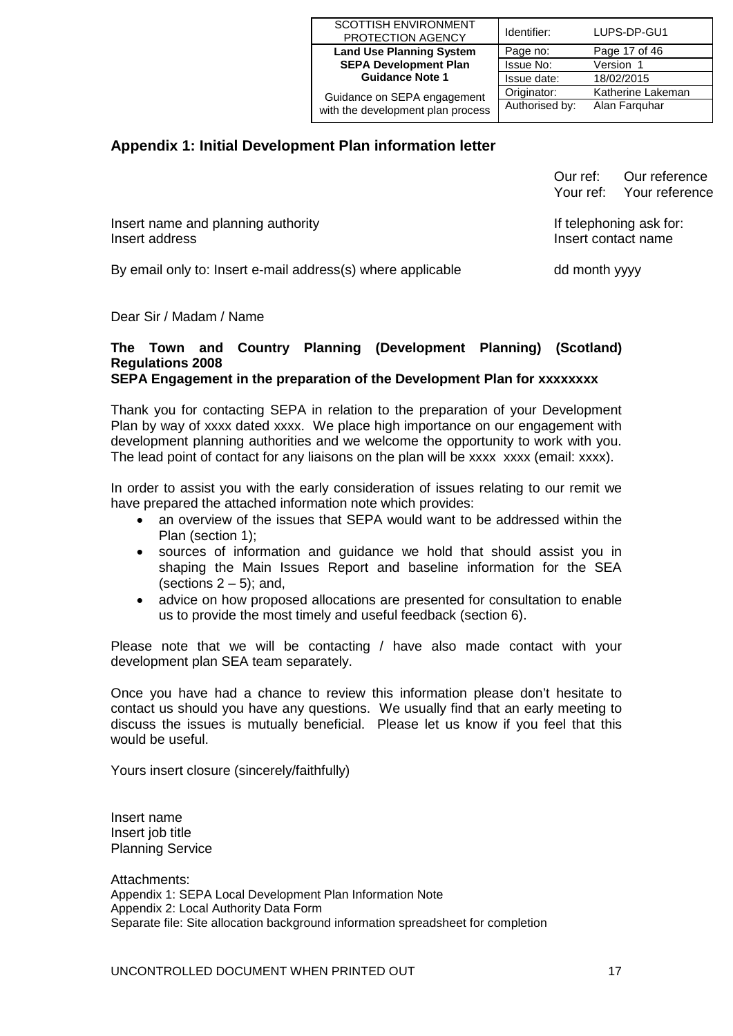| <b>SCOTTISH ENVIRONMENT</b><br>PROTECTION AGENCY | Identifier:    | LUPS-DP-GU1       |
|--------------------------------------------------|----------------|-------------------|
| <b>Land Use Planning System</b>                  | Page no:       | Page 17 of 46     |
| <b>SEPA Development Plan</b>                     | Issue No:      | Version 1         |
| <b>Guidance Note 1</b>                           | Issue date:    | 18/02/2015        |
| Guidance on SEPA engagement                      | Originator:    | Katherine Lakeman |
| with the development plan process                | Authorised by: | Alan Farguhar     |

# **Appendix 1: Initial Development Plan information letter**

|                                                             | Our ref:                                       | Our reference<br>Your ref: Your reference |
|-------------------------------------------------------------|------------------------------------------------|-------------------------------------------|
| Insert name and planning authority<br>Insert address        | If telephoning ask for:<br>Insert contact name |                                           |
| By email only to: Insert e-mail address(s) where applicable | dd month yyyy                                  |                                           |

Dear Sir / Madam / Name

#### **The Town and Country Planning (Development Planning) (Scotland) Regulations 2008 SEPA Engagement in the preparation of the Development Plan for xxxxxxxx**

Thank you for contacting SEPA in relation to the preparation of your Development Plan by way of xxxx dated xxxx. We place high importance on our engagement with development planning authorities and we welcome the opportunity to work with you. The lead point of contact for any liaisons on the plan will be xxxx xxxx (email: xxxx).

In order to assist you with the early consideration of issues relating to our remit we have prepared the attached information note which provides:

- an overview of the issues that SEPA would want to be addressed within the Plan (section 1);
- sources of information and guidance we hold that should assist you in shaping the Main Issues Report and baseline information for the SEA (sections  $2 - 5$ ); and,
- advice on how proposed allocations are presented for consultation to enable us to provide the most timely and useful feedback (section 6).

Please note that we will be contacting / have also made contact with your development plan SEA team separately.

Once you have had a chance to review this information please don't hesitate to contact us should you have any questions. We usually find that an early meeting to discuss the issues is mutually beneficial. Please let us know if you feel that this would be useful.

Yours insert closure (sincerely/faithfully)

Insert name Insert job title Planning Service

Attachments: Appendix 1: SEPA Local Development Plan Information Note Appendix 2: Local Authority Data Form Separate file: Site allocation background information spreadsheet for completion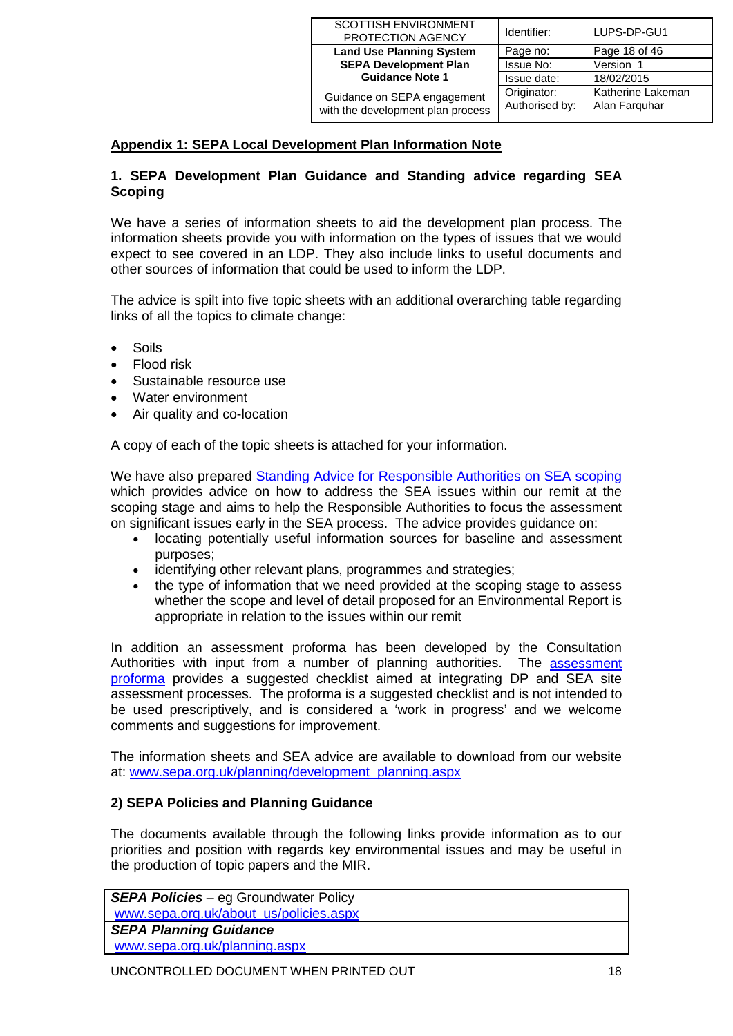| <b>SCOTTISH ENVIRONMENT</b><br>PROTECTION AGENCY | Identifier:    | LUPS-DP-GU1       |
|--------------------------------------------------|----------------|-------------------|
| <b>Land Use Planning System</b>                  | Page no:       | Page 18 of 46     |
| <b>SEPA Development Plan</b>                     | Issue No:      | Version 1         |
| <b>Guidance Note 1</b>                           | Issue date:    | 18/02/2015        |
| Guidance on SEPA engagement                      | Originator:    | Katherine Lakeman |
| with the development plan process                | Authorised by: | Alan Farguhar     |

# <span id="page-17-0"></span>**Appendix 1: SEPA Local Development Plan Information Note**

## **1. SEPA Development Plan Guidance and Standing advice regarding SEA Scoping**

We have a series of information sheets to aid the development plan process. The information sheets provide you with information on the types of issues that we would expect to see covered in an LDP. They also include links to useful documents and other sources of information that could be used to inform the LDP.

The advice is spilt into five topic sheets with an additional overarching table regarding links of all the topics to climate change:

- Soils
- Flood risk
- Sustainable resource use
- Water environment
- Air quality and co-location

A copy of each of the topic sheets is attached for your information.

We have also prepared [Standing Advice for Responsible Authorities on SEA scoping](http://www.sepa.org.uk/planning/sea/guidance.aspx) which provides advice on how to address the SEA issues within our remit at the scoping stage and aims to help the Responsible Authorities to focus the assessment on significant issues early in the SEA process. The advice provides guidance on:

- locating potentially useful information sources for baseline and assessment purposes;
- identifying other relevant plans, programmes and strategies;<br>• the type of information that we need provided at the scoping
- the type of information that we need provided at the scoping stage to assess whether the scope and level of detail proposed for an Environmental Report is appropriate in relation to the issues within our remit

In addition an assessment proforma has been developed by the Consultation Authorities with input from a number of planning authorities. The assessment [proforma](http://www.sepa.org.uk/planning/sea/guidance.aspx) provides a suggested checklist aimed at integrating DP and SEA site assessment processes. The proforma is a suggested checklist and is not intended to be used prescriptively, and is considered a 'work in progress' and we welcome comments and suggestions for improvement.

The information sheets and SEA advice are available to download from our website at: www.sepa.org.uk/planning/development\_planning.aspx

# **2) SEPA Policies and Planning Guidance**

The documents available through the following links provide information as to our priorities and position with regards key environmental issues and may be useful in the production of topic papers and the MIR.

*SEPA Policies* – eg Groundwater Policy www.sepa.org.uk/about\_us/policies.aspx *SEPA Planning Guidance* www.sepa.org.uk/planning.aspx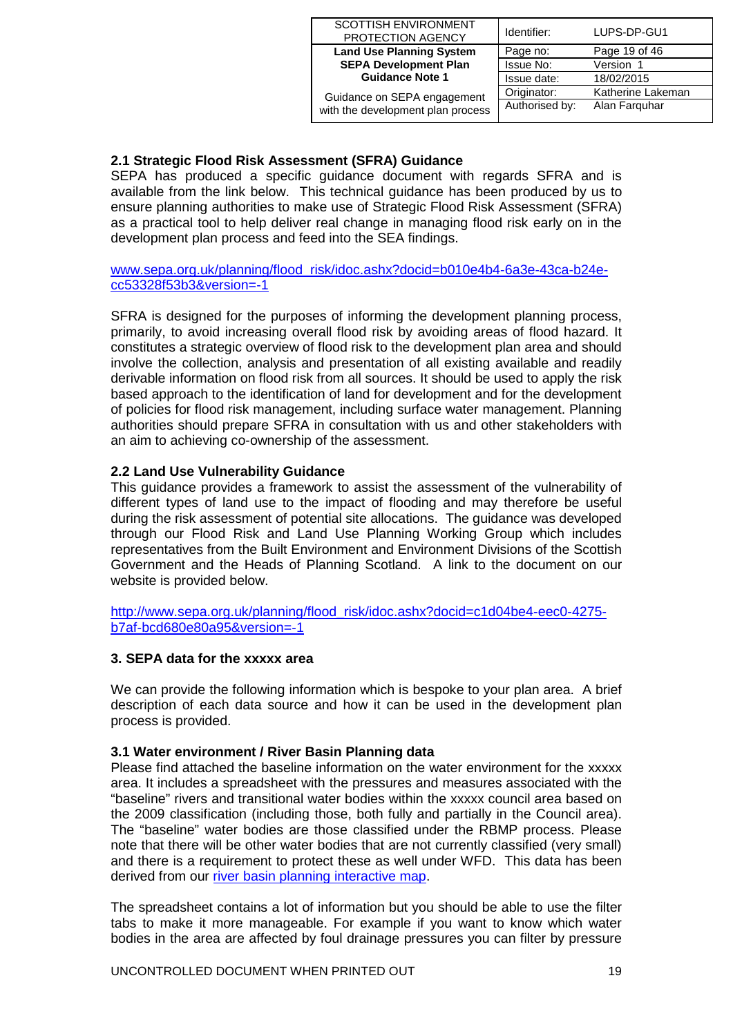| <b>SCOTTISH ENVIRONMENT</b><br>PROTECTION AGENCY | Identifier:    | LUPS-DP-GU1       |
|--------------------------------------------------|----------------|-------------------|
| <b>Land Use Planning System</b>                  | Page no:       | Page 19 of 46     |
| <b>SEPA Development Plan</b>                     | Issue No:      | Version 1         |
| <b>Guidance Note 1</b>                           | Issue date:    | 18/02/2015        |
| Guidance on SEPA engagement                      | Originator:    | Katherine Lakeman |
| with the development plan process                | Authorised by: | Alan Farguhar     |

# **2.1 Strategic Flood Risk Assessment (SFRA) Guidance**

SEPA has produced a specific guidance document with regards SFRA and is available from the link below. This technical guidance has been produced by us to ensure planning authorities to make use of Strategic Flood Risk Assessment (SFRA) as a practical tool to help deliver real change in managing flood risk early on in the development plan process and feed into the SEA findings.

[www.sepa.org.uk/planning/flood\\_risk/idoc.ashx?docid=b010e4b4-6a3e-43ca-b24e](http://www.sepa.org.uk/planning/flood_risk/idoc.ashx?docid=b010e4b4-6a3e-43ca-b24e-cc53328f53b3&version=-1)[cc53328f53b3&version=-1](http://www.sepa.org.uk/planning/flood_risk/idoc.ashx?docid=b010e4b4-6a3e-43ca-b24e-cc53328f53b3&version=-1)

SFRA is designed for the purposes of informing the development planning process, primarily, to avoid increasing overall flood risk by avoiding areas of flood hazard. It constitutes a strategic overview of flood risk to the development plan area and should involve the collection, analysis and presentation of all existing available and readily derivable information on flood risk from all sources. It should be used to apply the risk based approach to the identification of land for development and for the development of policies for flood risk management, including surface water management. Planning authorities should prepare SFRA in consultation with us and other stakeholders with an aim to achieving co-ownership of the assessment.

## **2.2 Land Use Vulnerability Guidance**

This guidance provides a framework to assist the assessment of the vulnerability of different types of land use to the impact of flooding and may therefore be useful during the risk assessment of potential site allocations. The guidance was developed through our Flood Risk and Land Use Planning Working Group which includes representatives from the Built Environment and Environment Divisions of the Scottish Government and the Heads of Planning Scotland. A link to the document on our website is provided below.

[http://www.sepa.org.uk/planning/flood\\_risk/idoc.ashx?docid=c1d04be4-eec0-4275](http://www.sepa.org.uk/planning/flood_risk/idoc.ashx?docid=c1d04be4-eec0-4275-b7af-bcd680e80a95&version=-1) [b7af-bcd680e80a95&version=-1](http://www.sepa.org.uk/planning/flood_risk/idoc.ashx?docid=c1d04be4-eec0-4275-b7af-bcd680e80a95&version=-1)

#### **3. SEPA data for the xxxxx area**

We can provide the following information which is bespoke to your plan area. A brief description of each data source and how it can be used in the development plan process is provided.

#### **3.1 Water environment / River Basin Planning data**

Please find attached the baseline information on the water environment for the xxxxx area. It includes a spreadsheet with the pressures and measures associated with the "baseline" rivers and transitional water bodies within the xxxxx council area based on the 2009 classification (including those, both fully and partially in the Council area). The "baseline" water bodies are those classified under the RBMP process. Please note that there will be other water bodies that are not currently classified (very small) and there is a requirement to protect these as well under WFD. This data has been derived from our [river basin planning interactive map.](http://www.sepa.org.uk/water/river_basin_planning.aspx)

The spreadsheet contains a lot of information but you should be able to use the filter tabs to make it more manageable. For example if you want to know which water bodies in the area are affected by foul drainage pressures you can filter by pressure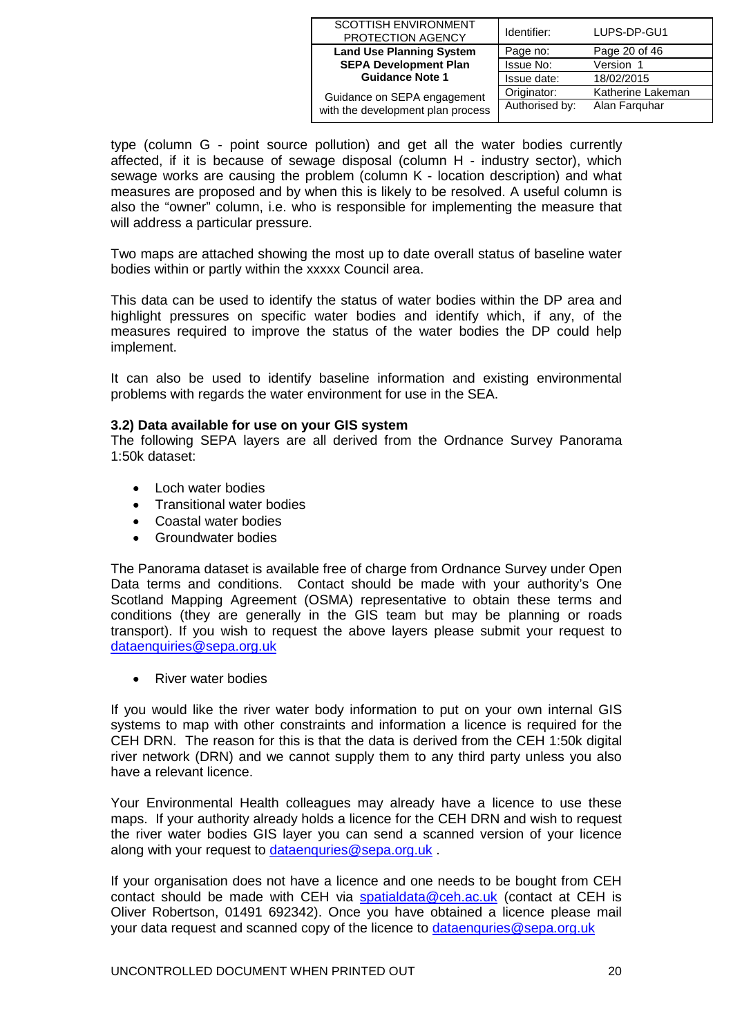| <b>SCOTTISH ENVIRONMENT</b><br>PROTECTION AGENCY | Identifier:    | LUPS-DP-GU1       |
|--------------------------------------------------|----------------|-------------------|
| <b>Land Use Planning System</b>                  | Page no:       | Page 20 of 46     |
| <b>SEPA Development Plan</b>                     | Issue No:      | Version 1         |
| <b>Guidance Note 1</b>                           | Issue date:    | 18/02/2015        |
| Guidance on SEPA engagement                      | Originator:    | Katherine Lakeman |
| with the development plan process                | Authorised by: | Alan Farguhar     |

type (column G - point source pollution) and get all the water bodies currently affected, if it is because of sewage disposal (column H - industry sector), which sewage works are causing the problem (column K - location description) and what measures are proposed and by when this is likely to be resolved. A useful column is also the "owner" column, i.e. who is responsible for implementing the measure that will address a particular pressure.

Two maps are attached showing the most up to date overall status of baseline water bodies within or partly within the xxxxx Council area.

This data can be used to identify the status of water bodies within the DP area and highlight pressures on specific water bodies and identify which, if any, of the measures required to improve the status of the water bodies the DP could help implement.

It can also be used to identify baseline information and existing environmental problems with regards the water environment for use in the SEA.

#### **3.2) Data available for use on your GIS system**

The following SEPA layers are all derived from the Ordnance Survey Panorama 1:50k dataset:

- Loch water bodies
- Transitional water bodies
- Coastal water bodies
- Groundwater bodies

The Panorama dataset is available free of charge from Ordnance Survey under Open Data terms and conditions. Contact should be made with your authority's One Scotland Mapping Agreement (OSMA) representative to obtain these terms and conditions (they are generally in the GIS team but may be planning or roads transport). If you wish to request the above layers please submit your request to [dataenquiries@sepa.org.uk](mailto:dataenquiries@sepa.org.uk)

• River water bodies

If you would like the river water body information to put on your own internal GIS systems to map with other constraints and information a licence is required for the CEH DRN. The reason for this is that the data is derived from the CEH 1:50k digital river network (DRN) and we cannot supply them to any third party unless you also have a relevant licence.

Your Environmental Health colleagues may already have a licence to use these maps. If your authority already holds a licence for the CEH DRN and wish to request the river water bodies GIS layer you can send a scanned version of your licence along with your request to [dataenquries@sepa.org.uk](mailto:dataenquries@sepa.org.uk).

If your organisation does not have a licence and one needs to be bought from CEH contact should be made with CEH via [spatialdata@ceh.ac.uk](mailto:spatialdata@ceh.ac.uk) (contact at CEH is Oliver Robertson, 01491 692342). Once you have obtained a licence please mail your data request and scanned copy of the licence to [dataenquries@sepa.org.uk](mailto:dataenquries@sepa.org.uk)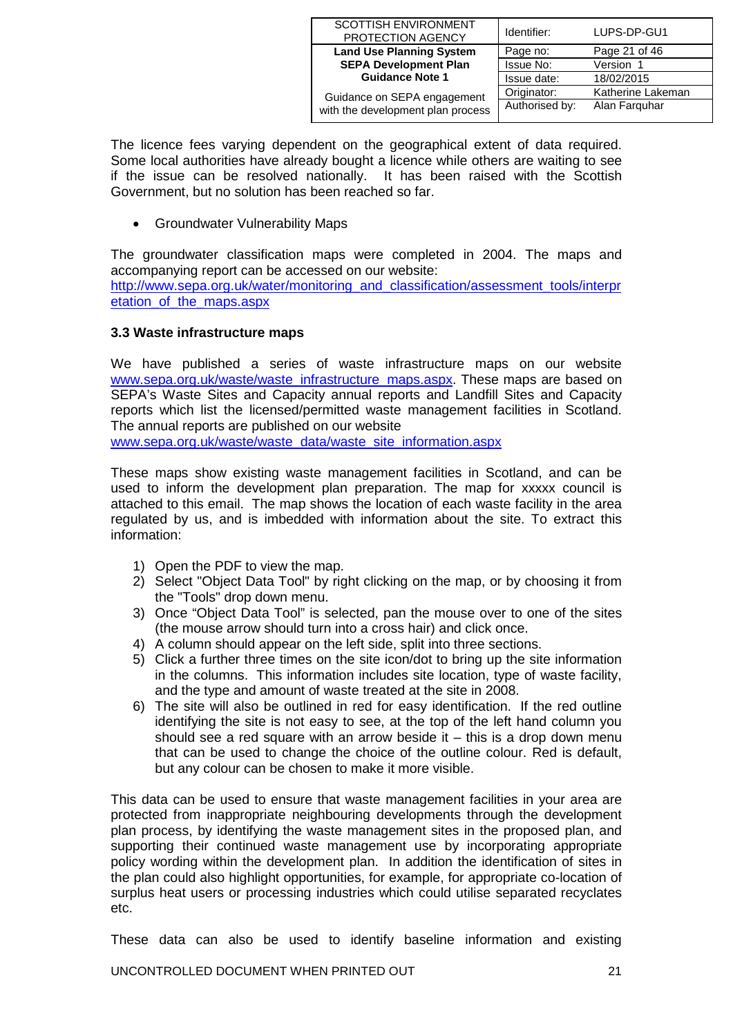| <b>SCOTTISH ENVIRONMENT</b><br>PROTECTION AGENCY | Identifier:    | LUPS-DP-GU1       |
|--------------------------------------------------|----------------|-------------------|
| <b>Land Use Planning System</b>                  | Page no:       | Page 21 of 46     |
| <b>SEPA Development Plan</b>                     | Issue No:      | Version 1         |
| <b>Guidance Note 1</b>                           | Issue date:    | 18/02/2015        |
| Guidance on SEPA engagement                      | Originator:    | Katherine Lakeman |
| with the development plan process                | Authorised by: | Alan Farguhar     |

The licence fees varying dependent on the geographical extent of data required. Some local authorities have already bought a licence while others are waiting to see if the issue can be resolved nationally. It has been raised with the Scottish Government, but no solution has been reached so far.

• Groundwater Vulnerability Maps

The groundwater classification maps were completed in 2004. The maps and accompanying report can be accessed on our website:

[http://www.sepa.org.uk/water/monitoring\\_and\\_classification/assessment\\_tools/interpr](http://www.sepa.org.uk/water/monitoring_and_classification/assessment_tools/interpretation_of_the_maps.aspx) [etation\\_of\\_the\\_maps.aspx](http://www.sepa.org.uk/water/monitoring_and_classification/assessment_tools/interpretation_of_the_maps.aspx)

### **3.3 Waste infrastructure maps**

We have published a series of waste infrastructure maps on our website www.sepa.org.uk/waste/waste\_infrastructure\_maps.aspx. These maps are based on SEPA's Waste Sites and Capacity annual reports and Landfill Sites and Capacity reports which list the licensed/permitted waste management facilities in Scotland. The annual reports are published on our website

[www.sepa.org.uk/waste/waste\\_data/waste\\_site\\_information.aspx](http://www.sepa.org.uk/waste/waste_data/waste_site_information.aspx)

These maps show existing waste management facilities in Scotland, and can be used to inform the development plan preparation. The map for xxxxx council is attached to this email. The map shows the location of each waste facility in the area regulated by us, and is imbedded with information about the site. To extract this information:

- 1) Open the PDF to view the map.
- 2) Select "Object Data Tool" by right clicking on the map, or by choosing it from the "Tools" drop down menu.
- 3) Once "Object Data Tool" is selected, pan the mouse over to one of the sites (the mouse arrow should turn into a cross hair) and click once.
- 4) A column should appear on the left side, split into three sections.
- 5) Click a further three times on the site icon/dot to bring up the site information in the columns. This information includes site location, type of waste facility, and the type and amount of waste treated at the site in 2008.
- 6) The site will also be outlined in red for easy identification. If the red outline identifying the site is not easy to see, at the top of the left hand column you should see a red square with an arrow beside it  $-$  this is a drop down menu that can be used to change the choice of the outline colour. Red is default, but any colour can be chosen to make it more visible.

This data can be used to ensure that waste management facilities in your area are protected from inappropriate neighbouring developments through the development plan process, by identifying the waste management sites in the proposed plan, and supporting their continued waste management use by incorporating appropriate policy wording within the development plan. In addition the identification of sites in the plan could also highlight opportunities, for example, for appropriate co-location of surplus heat users or processing industries which could utilise separated recyclates etc.

These data can also be used to identify baseline information and existing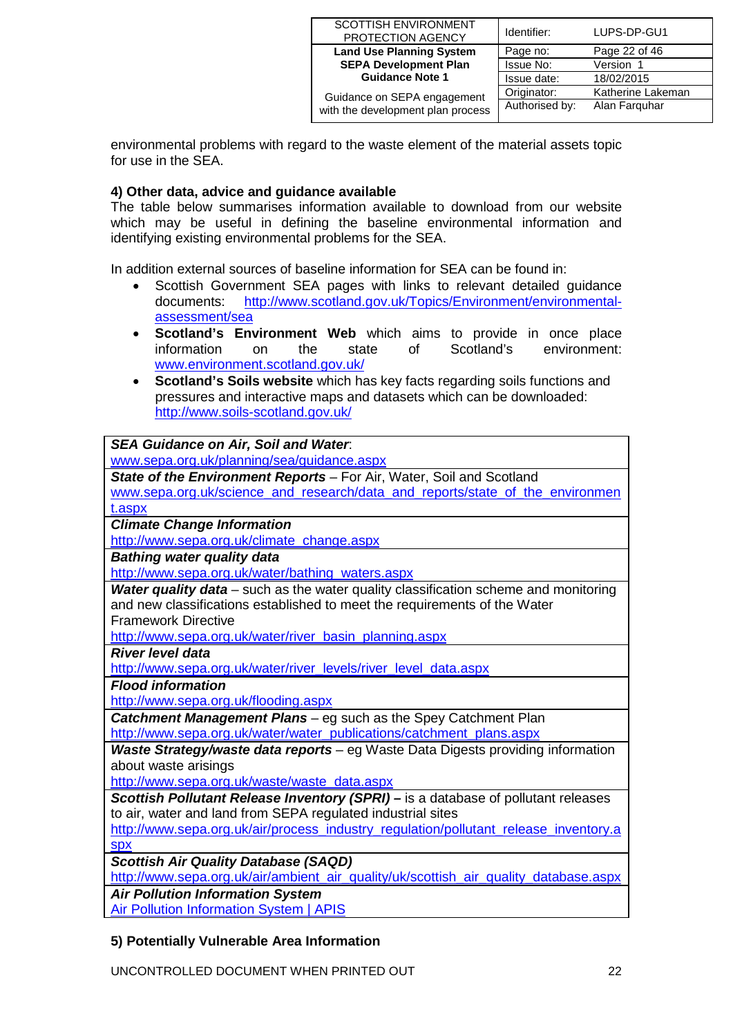| <b>SCOTTISH ENVIRONMENT</b>       | Identifier:    | LUPS-DP-GU1       |
|-----------------------------------|----------------|-------------------|
| PROTECTION AGENCY                 |                |                   |
| <b>Land Use Planning System</b>   | Page no:       | Page 22 of 46     |
| <b>SEPA Development Plan</b>      | Issue No:      | Version 1         |
| <b>Guidance Note 1</b>            | Issue date:    | 18/02/2015        |
| Guidance on SEPA engagement       | Originator:    | Katherine Lakeman |
| with the development plan process | Authorised by: | Alan Farquhar     |
|                                   |                |                   |

environmental problems with regard to the waste element of the material assets topic for use in the SEA.

## **4) Other data, advice and guidance available**

The table below summarises information available to download from our website which may be useful in defining the baseline environmental information and identifying existing environmental problems for the SEA.

In addition external sources of baseline information for SEA can be found in:

- Scottish Government SEA pages with links to relevant detailed guidance documents: [http://www.scotland.gov.uk/Topics/Environment/environmental](http://www.scotland.gov.uk/Topics/Environment/environmental-assessment/sea)[assessment/sea](http://www.scotland.gov.uk/Topics/Environment/environmental-assessment/sea)
- **Scotland's Environment Web** which aims to provide in once place information on the state of Scotland's environment: [www.environment.scotland.gov.uk/](http://www.environment.scotland.gov.uk/)
- **Scotland's Soils website** which has key facts regarding soils functions and pressures and interactive maps and datasets which can be downloaded: <http://www.soils-scotland.gov.uk/>

### *SEA Guidance on Air, Soil and Water*:

[www.sepa.org.uk/planning/sea/guidance.aspx](http://www.sepa.org.uk/planning/sea/guidance.aspx)

*State of the Environment Reports* – For Air, Water, Soil and Scotland www.sepa.org.uk/science\_and\_research/data\_and\_reports/state\_of\_the\_environmen t.aspx

*Climate Change Information*

[http://www.sepa.org.uk/climate\\_change.aspx](http://www.sepa.org.uk/climate_change.aspx)

*Bathing water quality data*

[http://www.sepa.org.uk/water/bathing\\_waters.aspx](http://www.sepa.org.uk/water/bathing_waters.aspx)

*Water quality data* – such as the water quality classification scheme and monitoring and new classifications established to meet the requirements of the Water Framework Directive

[http://www.sepa.org.uk/water/river\\_basin\\_planning.aspx](http://www.sepa.org.uk/water/river_basin_planning.aspx)

### *River level data*

[http://www.sepa.org.uk/water/river\\_levels/river\\_level\\_data.aspx](http://www.sepa.org.uk/water/river_levels/river_level_data.aspx)

*Flood information*

<http://www.sepa.org.uk/flooding.aspx>

*Catchment Management Plans* – eg such as the Spey Catchment Plan [http://www.sepa.org.uk/water/water\\_publications/catchment\\_plans.aspx](http://www.sepa.org.uk/water/water_publications/catchment_plans.aspx)

*Waste Strategy/waste data reports* – eg Waste Data Digests providing information about waste arisings

[http://www.sepa.org.uk/waste/waste\\_data.aspx](http://www.sepa.org.uk/waste/waste_data.aspx)

*Scottish Pollutant Release Inventory (SPRI) –* is a database of pollutant releases to air, water and land from SEPA regulated industrial sites

[http://www.sepa.org.uk/air/process\\_industry\\_regulation/pollutant\\_release\\_inventory.a](http://www.sepa.org.uk/air/process_industry_regulation/pollutant_release_inventory.aspx) **[spx](http://www.sepa.org.uk/air/process_industry_regulation/pollutant_release_inventory.aspx)** 

*Scottish Air Quality Database (SAQD)*

[http://www.sepa.org.uk/air/ambient\\_air\\_quality/uk/scottish\\_air\\_quality\\_database.aspx](http://www.sepa.org.uk/air/ambient_air_quality/uk/scottish_air_quality_database.aspx)

*Air Pollution Information System*

[Air Pollution Information System | APIS](http://www.apis.ac.uk/)

## **5) Potentially Vulnerable Area Information**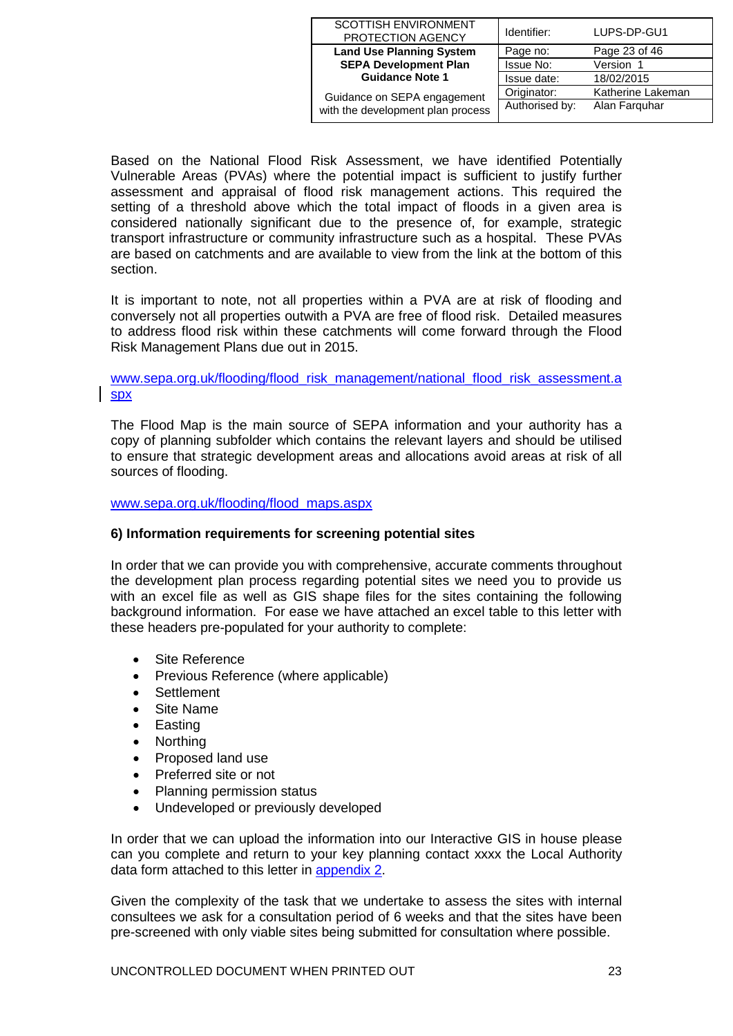| <b>SCOTTISH ENVIRONMENT</b><br>PROTECTION AGENCY                 | Identifier:    | LUPS-DP-GU1       |
|------------------------------------------------------------------|----------------|-------------------|
| <b>Land Use Planning System</b>                                  | Page no:       | Page 23 of 46     |
| <b>SEPA Development Plan</b>                                     | Issue No:      | Version 1         |
| <b>Guidance Note 1</b>                                           | Issue date:    | 18/02/2015        |
| Guidance on SEPA engagement<br>with the development plan process | Originator:    | Katherine Lakeman |
|                                                                  | Authorised by: | Alan Farguhar     |

Based on the National Flood Risk Assessment, we have identified Potentially Vulnerable Areas (PVAs) where the potential impact is sufficient to justify further assessment and appraisal of flood risk management actions. This required the setting of a threshold above which the total impact of floods in a given area is considered nationally significant due to the presence of, for example, strategic transport infrastructure or community infrastructure such as a hospital. These PVAs are based on catchments and are available to view from the link at the bottom of this section.

It is important to note, not all properties within a PVA are at risk of flooding and conversely not all properties outwith a PVA are free of flood risk. Detailed measures to address flood risk within these catchments will come forward through the Flood Risk Management Plans due out in 2015.

### [www.sepa.org.uk/flooding/flood\\_risk\\_management/national\\_flood\\_risk\\_assessment.a](http://www.sepa.org.uk/flooding/flood_risk_management/national_flood_risk_assessment.aspx) [spx](http://www.sepa.org.uk/flooding/flood_risk_management/national_flood_risk_assessment.aspx)

The Flood Map is the main source of SEPA information and your authority has a copy of planning subfolder which contains the relevant layers and should be utilised to ensure that strategic development areas and allocations avoid areas at risk of all sources of flooding.

[www.sepa.org.uk/flooding/flood\\_maps.aspx](http://www.sepa.org.uk/flooding/flood_maps.aspx)

#### **6) Information requirements for screening potential sites**

In order that we can provide you with comprehensive, accurate comments throughout the development plan process regarding potential sites we need you to provide us with an excel file as well as GIS shape files for the sites containing the following background information. For ease we have attached an excel table to this letter with these headers pre-populated for your authority to complete:

- Site Reference
- Previous Reference (where applicable)
- Settlement
- Site Name
- Easting
- Northing
- Proposed land use
- Preferred site or not
- Planning permission status
- Undeveloped or previously developed

In order that we can upload the information into our Interactive GIS in house please can you complete and return to your key planning contact xxxx the Local Authority data form attached to this letter in [appendix 2.](#page-26-0)

Given the complexity of the task that we undertake to assess the sites with internal consultees we ask for a consultation period of 6 weeks and that the sites have been pre-screened with only viable sites being submitted for consultation where possible.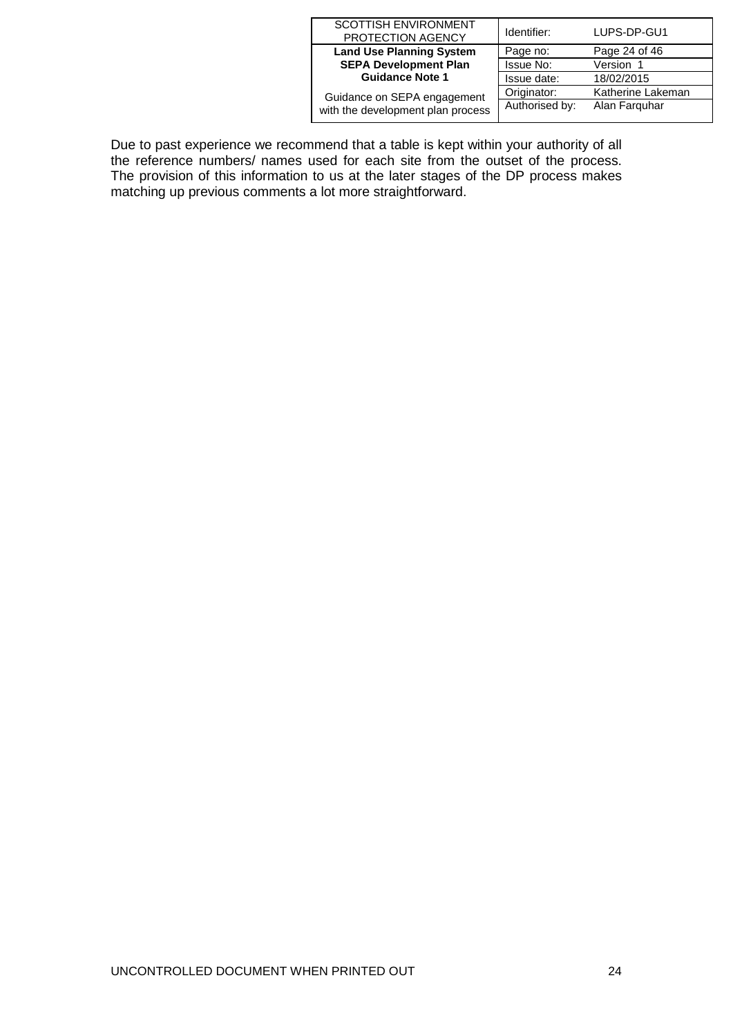| <b>SCOTTISH ENVIRONMENT</b><br>PROTECTION AGENCY | Identifier:    | LUPS-DP-GU1       |
|--------------------------------------------------|----------------|-------------------|
| <b>Land Use Planning System</b>                  | Page no:       | Page 24 of 46     |
| <b>SEPA Development Plan</b>                     | Issue No:      | Version 1         |
| <b>Guidance Note 1</b>                           | Issue date:    | 18/02/2015        |
| Guidance on SEPA engagement                      | Originator:    | Katherine Lakeman |
| with the development plan process                | Authorised by: | Alan Farguhar     |

Due to past experience we recommend that a table is kept within your authority of all the reference numbers/ names used for each site from the outset of the process. The provision of this information to us at the later stages of the DP process makes matching up previous comments a lot more straightforward.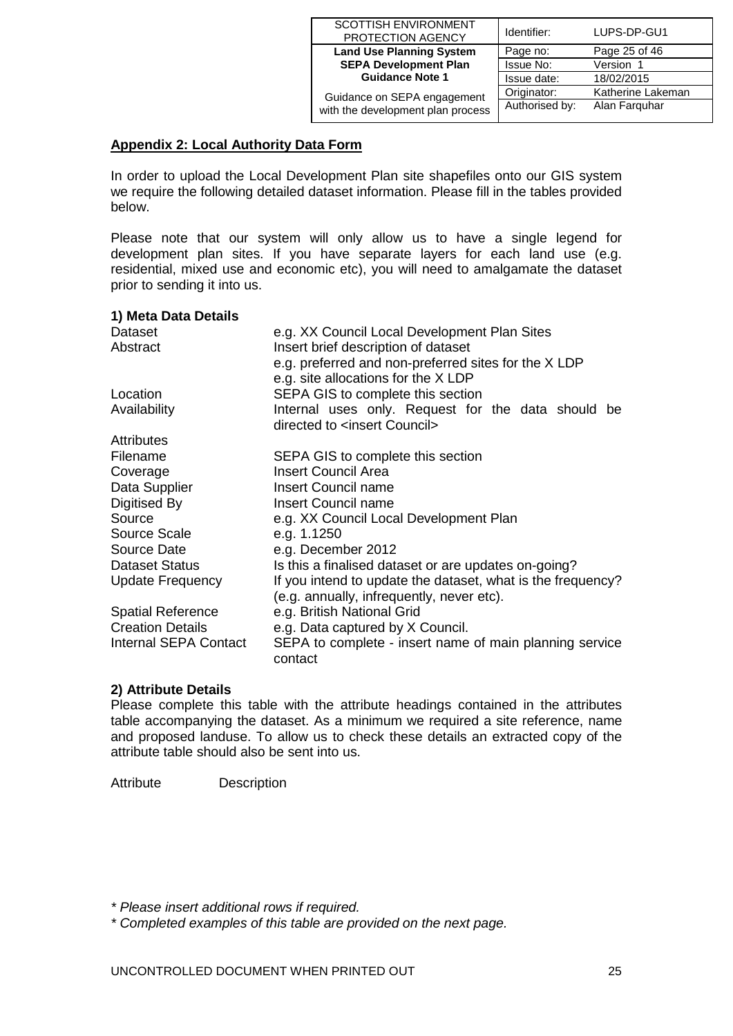| <b>SCOTTISH ENVIRONMENT</b><br>PROTECTION AGENCY | Identifier:    | LUPS-DP-GU1       |
|--------------------------------------------------|----------------|-------------------|
| <b>Land Use Planning System</b>                  | Page no:       | Page 25 of 46     |
| <b>SEPA Development Plan</b>                     | Issue No:      | Version 1         |
| <b>Guidance Note 1</b>                           | Issue date:    | 18/02/2015        |
| Guidance on SEPA engagement                      | Originator:    | Katherine Lakeman |
| with the development plan process                | Authorised by: | Alan Farguhar     |

# **Appendix 2: Local Authority Data Form**

In order to upload the Local Development Plan site shapefiles onto our GIS system we require the following detailed dataset information. Please fill in the tables provided below.

Please note that our system will only allow us to have a single legend for development plan sites. If you have separate layers for each land use (e.g. residential, mixed use and economic etc), you will need to amalgamate the dataset prior to sending it into us.

#### **1) Meta Data Details**

| Dataset                  | e.g. XX Council Local Development Plan Sites                |  |
|--------------------------|-------------------------------------------------------------|--|
| Abstract                 | Insert brief description of dataset                         |  |
|                          | e.g. preferred and non-preferred sites for the X LDP        |  |
|                          | e.g. site allocations for the XLDP                          |  |
| Location                 | SEPA GIS to complete this section                           |  |
| Availability             | Internal uses only. Request for the data should be          |  |
|                          | directed to <insert council=""></insert>                    |  |
| <b>Attributes</b>        |                                                             |  |
| Filename                 | SEPA GIS to complete this section                           |  |
| Coverage                 | <b>Insert Council Area</b>                                  |  |
| Data Supplier            | <b>Insert Council name</b>                                  |  |
| Digitised By             | Insert Council name                                         |  |
| Source                   | e.g. XX Council Local Development Plan                      |  |
| Source Scale             | e.g. 1.1250                                                 |  |
| Source Date              | e.g. December 2012                                          |  |
| <b>Dataset Status</b>    | Is this a finalised dataset or are updates on-going?        |  |
| Update Frequency         | If you intend to update the dataset, what is the frequency? |  |
|                          | (e.g. annually, infrequently, never etc).                   |  |
| <b>Spatial Reference</b> | e.g. British National Grid                                  |  |
| <b>Creation Details</b>  | e.g. Data captured by X Council.                            |  |
| Internal SEPA Contact    | SEPA to complete - insert name of main planning service     |  |
|                          | contact                                                     |  |

#### **2) Attribute Details**

Please complete this table with the attribute headings contained in the attributes table accompanying the dataset. As a minimum we required a site reference, name and proposed landuse. To allow us to check these details an extracted copy of the attribute table should also be sent into us.

Attribute Description

*\* Please insert additional rows if required.* 

*\* Completed examples of this table are provided on the next page.*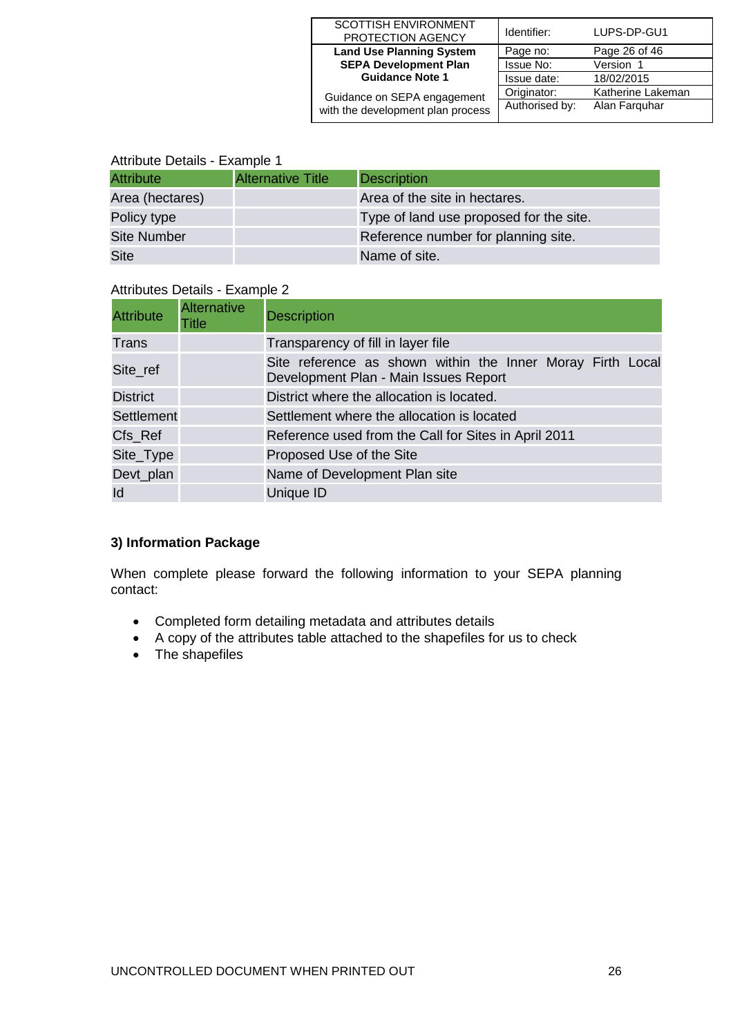| <b>SCOTTISH ENVIRONMENT</b><br>PROTECTION AGENCY | Identifier:    | LUPS-DP-GU1       |
|--------------------------------------------------|----------------|-------------------|
| <b>Land Use Planning System</b>                  | Page no:       | Page 26 of 46     |
| <b>SEPA Development Plan</b>                     | Issue No:      | Version 1         |
| <b>Guidance Note 1</b>                           | Issue date:    | 18/02/2015        |
| Guidance on SEPA engagement                      | Originator:    | Katherine Lakeman |
| with the development plan process                | Authorised by: | Alan Farguhar     |

## Attribute Details - Example 1

| <b>Attribute</b><br><b>Alternative Title</b><br>Description |  |  |
|-------------------------------------------------------------|--|--|
|                                                             |  |  |
| Area of the site in hectares.<br>Area (hectares)            |  |  |
| Policy type<br>Type of land use proposed for the site.      |  |  |
| <b>Site Number</b><br>Reference number for planning site.   |  |  |
| <b>Site</b><br>Name of site.                                |  |  |

| <b>Attribute</b> | Alternative<br><b>Title</b> | <b>Description</b>                                                                                  |  |
|------------------|-----------------------------|-----------------------------------------------------------------------------------------------------|--|
| Trans            |                             | Transparency of fill in layer file                                                                  |  |
| Site_ref         |                             | Site reference as shown within the Inner Moray Firth Local<br>Development Plan - Main Issues Report |  |
| <b>District</b>  |                             | District where the allocation is located.                                                           |  |
| Settlement       |                             | Settlement where the allocation is located                                                          |  |
| Cfs_Ref          |                             | Reference used from the Call for Sites in April 2011                                                |  |
| Site_Type        |                             | Proposed Use of the Site                                                                            |  |
| Devt_plan        |                             | Name of Development Plan site                                                                       |  |
| Id               |                             | Unique ID                                                                                           |  |

### Attributes Details - Example 2

## **3) Information Package**

When complete please forward the following information to your SEPA planning contact:

- Completed form detailing metadata and attributes details
- A copy of the attributes table attached to the shapefiles for us to check
- The shapefiles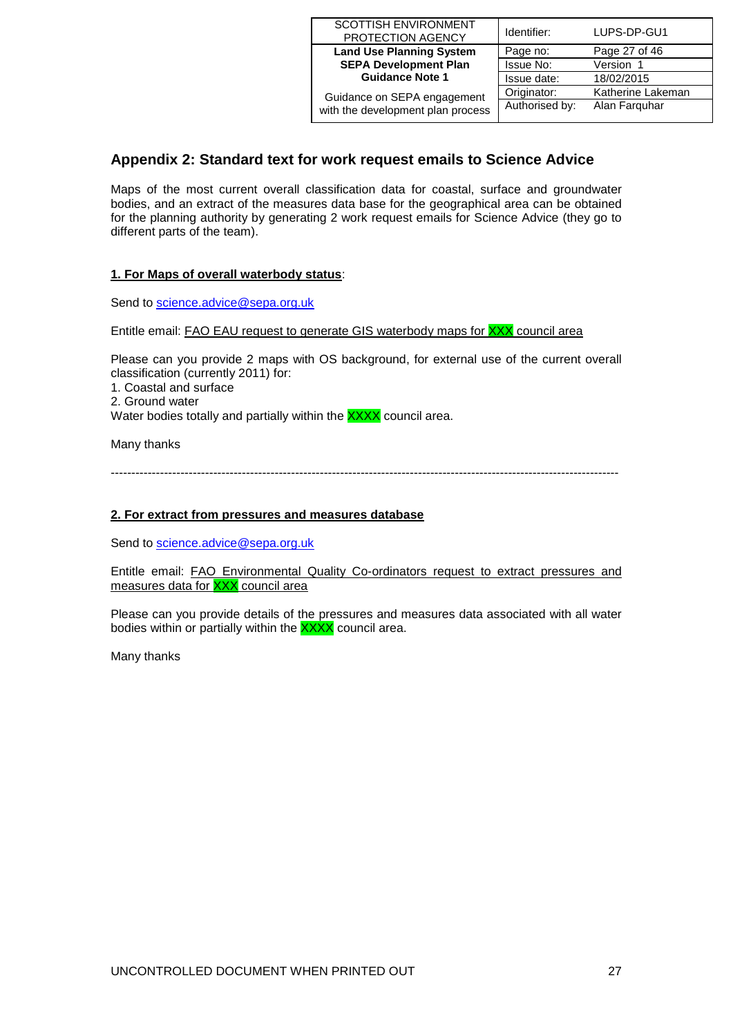| SCOTTISH ENVIRONMENT<br>PROTECTION AGENCY | Identifier:    | LUPS-DP-GU1       |
|-------------------------------------------|----------------|-------------------|
| <b>Land Use Planning System</b>           | Page no:       | Page 27 of 46     |
| <b>SEPA Development Plan</b>              | Issue No:      | Version 1         |
| <b>Guidance Note 1</b>                    | Issue date:    | 18/02/2015        |
| Guidance on SEPA engagement               | Originator:    | Katherine Lakeman |
| with the development plan process         | Authorised by: | Alan Farguhar     |

# <span id="page-26-0"></span>**Appendix 2: Standard text for work request emails to Science Advice**

Maps of the most current overall classification data for coastal, surface and groundwater bodies, and an extract of the measures data base for the geographical area can be obtained for the planning authority by generating 2 work request emails for Science Advice (they go to different parts of the team).

#### **1. For Maps of overall waterbody status**:

Send to [science.advice@sepa.org.uk](mailto:science.advice@sepa.org.uk)

Entitle email: FAO EAU request to generate GIS waterbody maps for XXX council area

Please can you provide 2 maps with OS background, for external use of the current overall classification (currently 2011) for:

1. Coastal and surface

2. Ground water

Water bodies totally and partially within the **XXXX** council area.

Many thanks

----------------------------------------------------------------------------------------------------------------------------

#### **2. For extract from pressures and measures database**

Send to [science.advice@sepa.org.uk](mailto:science.advice@sepa.org.uk)

Entitle email: FAO Environmental Quality Co-ordinators request to extract pressures and measures data for XXX council area

Please can you provide details of the pressures and measures data associated with all water bodies within or partially within the **XXXX** council area.

Many thanks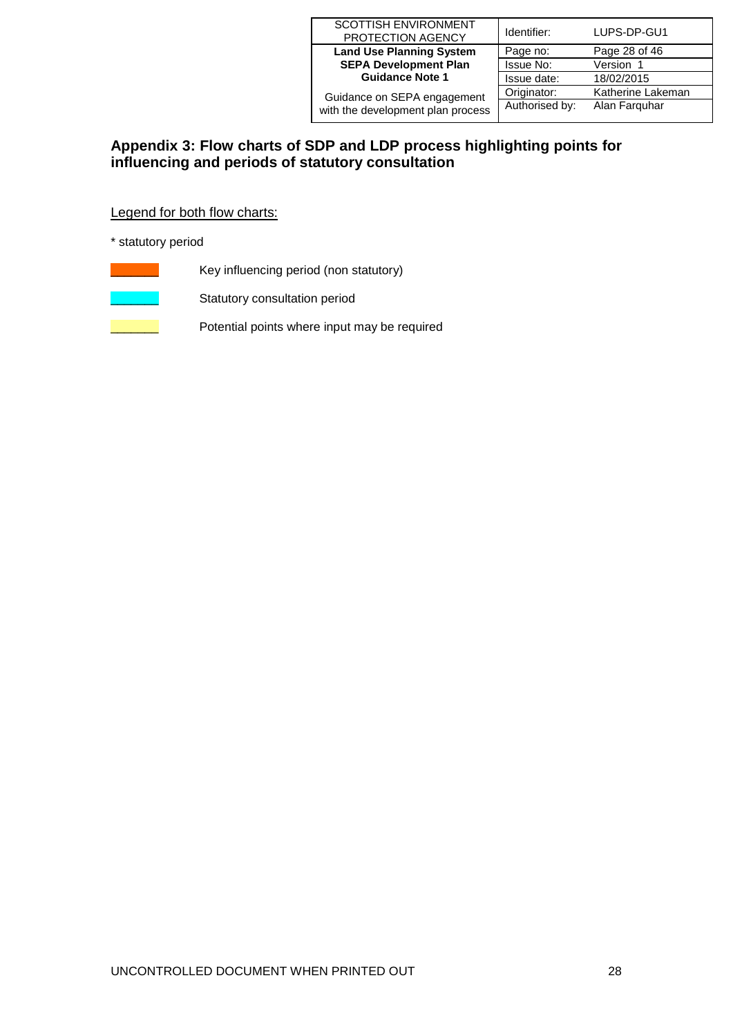| <b>SCOTTISH ENVIRONMENT</b><br>PROTECTION AGENCY | Identifier:    | LUPS-DP-GU1       |
|--------------------------------------------------|----------------|-------------------|
| <b>Land Use Planning System</b>                  | Page no:       | Page 28 of 46     |
| <b>SEPA Development Plan</b>                     | Issue No:      | Version 1         |
| <b>Guidance Note 1</b>                           | Issue date:    | 18/02/2015        |
| Guidance on SEPA engagement                      | Originator:    | Katherine Lakeman |
| with the development plan process                | Authorised by: | Alan Farguhar     |

# <span id="page-27-0"></span>**Appendix 3: Flow charts of SDP and LDP process highlighting points for influencing and periods of statutory consultation**

Legend for both flow charts:

\* statutory period

- Key influencing period (non statutory)
- Statutory consultation period
	- Potential points where input may be required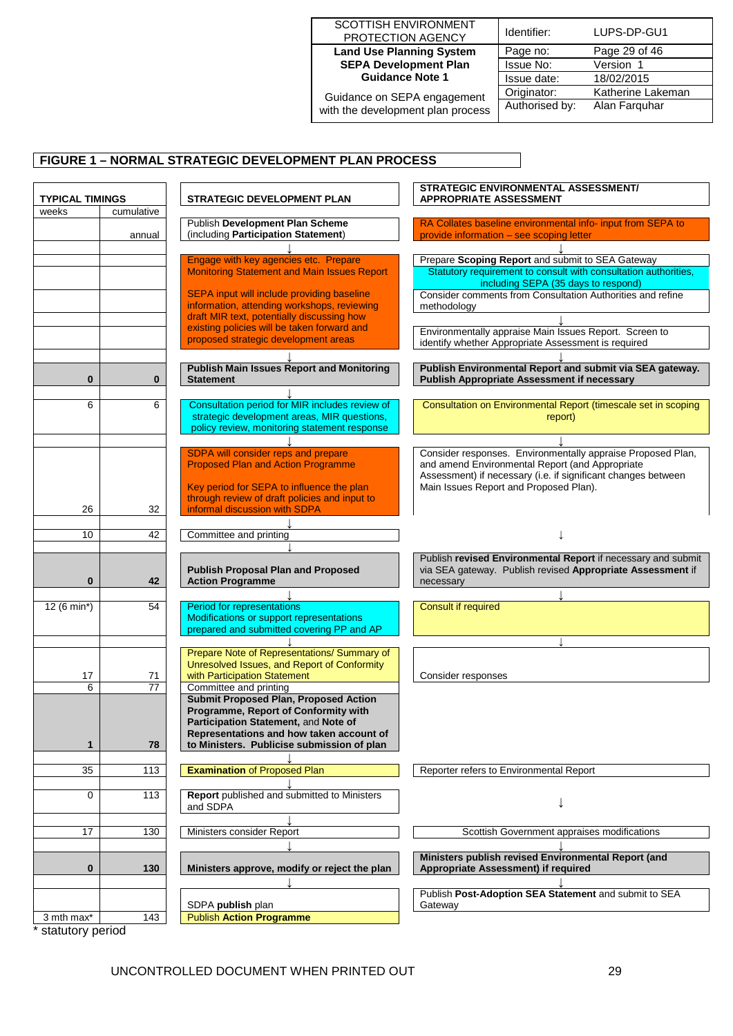| SCOTTISH ENVIRONMENT            |
|---------------------------------|
| PROTECTION AGENCY               |
| <b>Land Use Planning System</b> |
| <b>SEPA Development Plan</b>    |
| <b>Guidance Note 1</b>          |
|                                 |

Guidance on SEPA engagement with the development plan process

| Identifier:    | LUPS-DP-GU1       |
|----------------|-------------------|
| Page no:       | Page 29 of 46     |
| Issue No:      | Version 1         |
| Issue date:    | 18/02/2015        |
| Originator:    | Katherine Lakeman |
| Authorised by: | Alan Farguhar     |
|                |                   |

# **FIGURE 1 – NORMAL STRATEGIC DEVELOPMENT PLAN PROCESS**

| <b>TYPICAL TIMINGS</b> |            | <b>STRATEGIC DEVELOPMENT PLAN</b>                                                                                             | STRATEGIC ENVIRONMENTAL ASSESSMENT/<br><b>APPROPRIATE ASSESSMENT</b>                                                                                                                                                      |  |  |
|------------------------|------------|-------------------------------------------------------------------------------------------------------------------------------|---------------------------------------------------------------------------------------------------------------------------------------------------------------------------------------------------------------------------|--|--|
| weeks                  | cumulative |                                                                                                                               |                                                                                                                                                                                                                           |  |  |
|                        | annual     | Publish Development Plan Scheme<br>(including Participation Statement)                                                        | RA Collates baseline environmental info- input from SEPA to<br>provide information - see scoping letter                                                                                                                   |  |  |
|                        |            |                                                                                                                               |                                                                                                                                                                                                                           |  |  |
|                        |            | Engage with key agencies etc. Prepare                                                                                         | Prepare Scoping Report and submit to SEA Gateway                                                                                                                                                                          |  |  |
|                        |            | <b>Monitoring Statement and Main Issues Report</b>                                                                            | Statutory requirement to consult with consultation authorities,<br>including SEPA (35 days to respond)                                                                                                                    |  |  |
|                        |            | SEPA input will include providing baseline                                                                                    | Consider comments from Consultation Authorities and refine                                                                                                                                                                |  |  |
|                        |            | information, attending workshops, reviewing                                                                                   | methodology                                                                                                                                                                                                               |  |  |
|                        |            | draft MIR text, potentially discussing how                                                                                    |                                                                                                                                                                                                                           |  |  |
|                        |            | existing policies will be taken forward and<br>proposed strategic development areas                                           | Environmentally appraise Main Issues Report. Screen to<br>identify whether Appropriate Assessment is required                                                                                                             |  |  |
| $\bf{0}$               | 0          | <b>Publish Main Issues Report and Monitoring</b><br><b>Statement</b>                                                          | Publish Environmental Report and submit via SEA gateway.<br><b>Publish Appropriate Assessment if necessary</b>                                                                                                            |  |  |
|                        |            |                                                                                                                               |                                                                                                                                                                                                                           |  |  |
| 6                      | 6          | Consultation period for MIR includes review of<br>strategic development areas, MIR questions,                                 | Consultation on Environmental Report (timescale set in scoping<br>report)                                                                                                                                                 |  |  |
|                        |            | policy review, monitoring statement response                                                                                  |                                                                                                                                                                                                                           |  |  |
|                        |            |                                                                                                                               |                                                                                                                                                                                                                           |  |  |
|                        |            | SDPA will consider reps and prepare<br><b>Proposed Plan and Action Programme</b><br>Key period for SEPA to influence the plan | Consider responses. Environmentally appraise Proposed Plan,<br>and amend Environmental Report (and Appropriate<br>Assessment) if necessary (i.e. if significant changes between<br>Main Issues Report and Proposed Plan). |  |  |
|                        |            | through review of draft policies and input to                                                                                 |                                                                                                                                                                                                                           |  |  |
| 26                     | 32         | informal discussion with SDPA                                                                                                 |                                                                                                                                                                                                                           |  |  |
|                        |            |                                                                                                                               |                                                                                                                                                                                                                           |  |  |
| 10                     | 42         | Committee and printing                                                                                                        |                                                                                                                                                                                                                           |  |  |
| 0                      | 42         | <b>Publish Proposal Plan and Proposed</b><br><b>Action Programme</b>                                                          | Publish revised Environmental Report if necessary and submit<br>via SEA gateway. Publish revised Appropriate Assessment if<br>necessary                                                                                   |  |  |
|                        |            |                                                                                                                               |                                                                                                                                                                                                                           |  |  |
| 12 (6 min*)            | 54         | Period for representations<br>Modifications or support representations<br>prepared and submitted covering PP and AP           | <b>Consult if required</b>                                                                                                                                                                                                |  |  |
|                        |            |                                                                                                                               |                                                                                                                                                                                                                           |  |  |
|                        |            | Prepare Note of Representations/ Summary of                                                                                   |                                                                                                                                                                                                                           |  |  |
|                        |            | Unresolved Issues, and Report of Conformity                                                                                   |                                                                                                                                                                                                                           |  |  |
| 17                     | 71         | with Participation Statement                                                                                                  | Consider responses                                                                                                                                                                                                        |  |  |
| 6                      | 77         | Committee and printing<br><b>Submit Proposed Plan, Proposed Action</b>                                                        |                                                                                                                                                                                                                           |  |  |
|                        |            | Programme, Report of Conformity with                                                                                          |                                                                                                                                                                                                                           |  |  |
|                        |            | Participation Statement, and Note of                                                                                          |                                                                                                                                                                                                                           |  |  |
|                        |            | Representations and how taken account of                                                                                      |                                                                                                                                                                                                                           |  |  |
| 1                      | 78         | to Ministers. Publicise submission of plan                                                                                    |                                                                                                                                                                                                                           |  |  |
| 35                     | 113        | <b>Examination of Proposed Plan</b>                                                                                           | Reporter refers to Environmental Report                                                                                                                                                                                   |  |  |
|                        |            |                                                                                                                               |                                                                                                                                                                                                                           |  |  |
| 0                      | 113        | <b>Report</b> published and submitted to Ministers                                                                            |                                                                                                                                                                                                                           |  |  |
|                        |            | and SDPA                                                                                                                      |                                                                                                                                                                                                                           |  |  |
|                        |            |                                                                                                                               |                                                                                                                                                                                                                           |  |  |
| 17                     | 130        | Ministers consider Report                                                                                                     | Scottish Government appraises modifications                                                                                                                                                                               |  |  |
|                        |            |                                                                                                                               |                                                                                                                                                                                                                           |  |  |
| 0                      | 130        | Ministers approve, modify or reject the plan                                                                                  | Ministers publish revised Environmental Report (and<br>Appropriate Assessment) if required                                                                                                                                |  |  |
|                        |            |                                                                                                                               |                                                                                                                                                                                                                           |  |  |
|                        |            | SDPA <b>publish</b> plan                                                                                                      | Publish Post-Adoption SEA Statement and submit to SEA<br>Gateway                                                                                                                                                          |  |  |
| 3 mth max*             | 143        | <b>Publish Action Programme</b>                                                                                               |                                                                                                                                                                                                                           |  |  |
|                        |            |                                                                                                                               |                                                                                                                                                                                                                           |  |  |

statutory period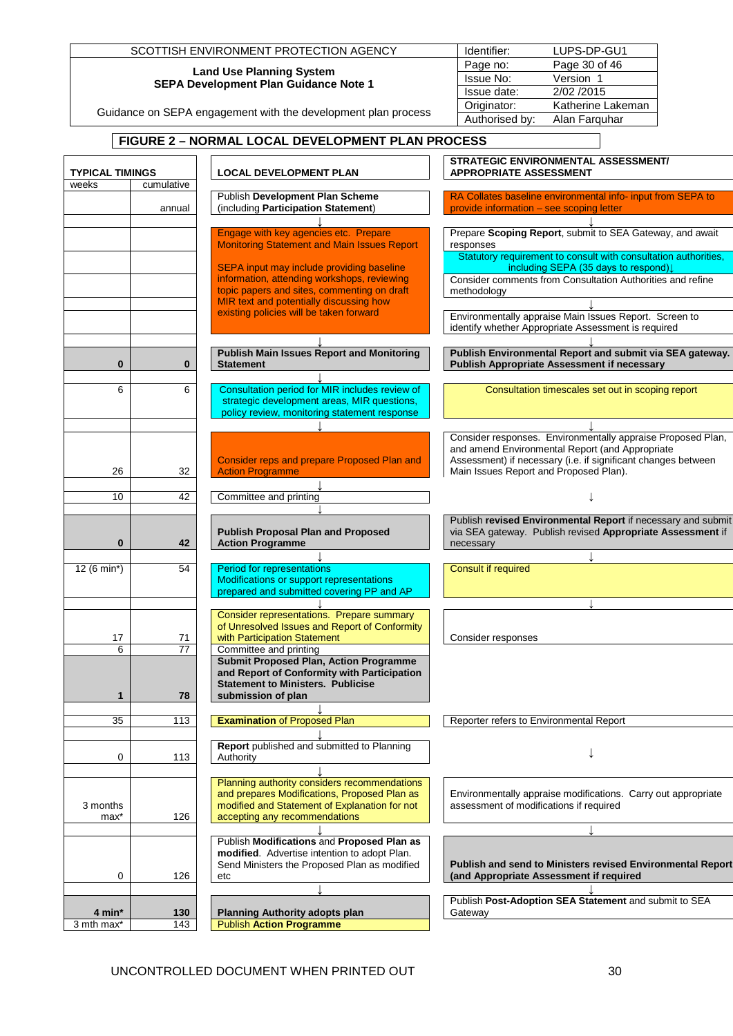|                        |                 | SCOTTISH ENVIRONMENT PROTECTION AGENCY                                                                                                        | Identifier:<br>LUPS-DP-GU1                                                                                                                                                                                                |
|------------------------|-----------------|-----------------------------------------------------------------------------------------------------------------------------------------------|---------------------------------------------------------------------------------------------------------------------------------------------------------------------------------------------------------------------------|
|                        |                 | <b>Land Use Planning System</b>                                                                                                               | Page 30 of 46<br>Page no:                                                                                                                                                                                                 |
|                        |                 | SEPA Development Plan Guidance Note 1                                                                                                         | <b>Issue No:</b><br>Version 1<br>2/02 /2015<br>Issue date:                                                                                                                                                                |
|                        |                 | Guidance on SEPA engagement with the development plan process                                                                                 | Katherine Lakeman<br>Originator:                                                                                                                                                                                          |
|                        |                 |                                                                                                                                               | Authorised by:<br>Alan Farquhar                                                                                                                                                                                           |
|                        |                 | FIGURE 2 - NORMAL LOCAL DEVELOPMENT PLAN PROCESS                                                                                              |                                                                                                                                                                                                                           |
| <b>TYPICAL TIMINGS</b> |                 | <b>LOCAL DEVELOPMENT PLAN</b>                                                                                                                 | <b>STRATEGIC ENVIRONMENTAL ASSESSMENT/</b><br><b>APPROPRIATE ASSESSMENT</b>                                                                                                                                               |
| weeks                  | cumulative      | Publish Development Plan Scheme                                                                                                               | RA Collates baseline environmental info- input from SEPA to                                                                                                                                                               |
|                        | annual          | (including Participation Statement)                                                                                                           | provide information - see scoping letter                                                                                                                                                                                  |
|                        |                 | Engage with key agencies etc. Prepare<br><b>Monitoring Statement and Main Issues Report</b>                                                   | Prepare Scoping Report, submit to SEA Gateway, and await<br>responses                                                                                                                                                     |
|                        |                 | SEPA input may include providing baseline                                                                                                     | Statutory requirement to consult with consultation authorities,<br>including SEPA (35 days to respond)↓                                                                                                                   |
|                        |                 | information, attending workshops, reviewing<br>topic papers and sites, commenting on draft                                                    | Consider comments from Consultation Authorities and refine<br>methodology                                                                                                                                                 |
|                        |                 | MIR text and potentially discussing how<br>existing policies will be taken forward                                                            |                                                                                                                                                                                                                           |
|                        |                 |                                                                                                                                               | Environmentally appraise Main Issues Report. Screen to<br>identify whether Appropriate Assessment is required                                                                                                             |
| $\bf{0}$               | $\bf{0}$        | <b>Publish Main Issues Report and Monitoring</b><br><b>Statement</b>                                                                          | Publish Environmental Report and submit via SEA gateway.<br><b>Publish Appropriate Assessment if necessary</b>                                                                                                            |
| 6                      | 6               | Consultation period for MIR includes review of<br>strategic development areas, MIR questions,<br>policy review, monitoring statement response | Consultation timescales set out in scoping report                                                                                                                                                                         |
| 26                     | 32              | Consider reps and prepare Proposed Plan and<br><b>Action Programme</b>                                                                        | Consider responses. Environmentally appraise Proposed Plan,<br>and amend Environmental Report (and Appropriate<br>Assessment) if necessary (i.e. if significant changes between<br>Main Issues Report and Proposed Plan). |
| 10                     | 42              | Committee and printing                                                                                                                        |                                                                                                                                                                                                                           |
|                        |                 |                                                                                                                                               | Publish revised Environmental Report if necessary and submit                                                                                                                                                              |
| $\bf{0}$               | 42              | <b>Publish Proposal Plan and Proposed</b><br><b>Action Programme</b>                                                                          | via SEA gateway. Publish revised Appropriate Assessment if<br>necessary                                                                                                                                                   |
| 12 (6 min*)            | 54              | <b>Period for representations</b><br>Modifications or support representations<br>prepared and submitted covering PP and AP                    | <b>Consult if required</b>                                                                                                                                                                                                |
|                        |                 | Consider representations. Prepare summary                                                                                                     |                                                                                                                                                                                                                           |
| 17                     | 71              | of Unresolved Issues and Report of Conformity<br>with Participation Statement                                                                 | Consider responses                                                                                                                                                                                                        |
| 6                      | $\overline{77}$ | Committee and printing                                                                                                                        |                                                                                                                                                                                                                           |
|                        |                 | <b>Submit Proposed Plan, Action Programme</b><br>and Report of Conformity with Participation<br><b>Statement to Ministers. Publicise</b>      |                                                                                                                                                                                                                           |
| 1                      | 78              | submission of plan                                                                                                                            |                                                                                                                                                                                                                           |
| 35                     | 113             | <b>Examination of Proposed Plan</b>                                                                                                           | Reporter refers to Environmental Report                                                                                                                                                                                   |
| 0                      | 113             | Report published and submitted to Planning<br>Authority                                                                                       |                                                                                                                                                                                                                           |
|                        |                 | Planning authority considers recommendations<br>and prepares Modifications, Proposed Plan as                                                  | Environmentally appraise modifications. Carry out appropriate                                                                                                                                                             |
| 3 months<br>max*       | 126             | modified and Statement of Explanation for not<br>accepting any recommendations                                                                | assessment of modifications if required                                                                                                                                                                                   |
|                        |                 | Publish Modifications and Proposed Plan as                                                                                                    |                                                                                                                                                                                                                           |
| 0                      | 126             | modified. Advertise intention to adopt Plan.<br>Send Ministers the Proposed Plan as modified<br>etc                                           | Publish and send to Ministers revised Environmental Report<br>(and Appropriate Assessment if required                                                                                                                     |
|                        |                 |                                                                                                                                               |                                                                                                                                                                                                                           |
| 4 min*                 | 130             | <b>Planning Authority adopts plan</b>                                                                                                         | Publish Post-Adoption SEA Statement and submit to SEA<br>Gateway                                                                                                                                                          |
| 3 mth max*             | 143             | <b>Publish Action Programme</b>                                                                                                               |                                                                                                                                                                                                                           |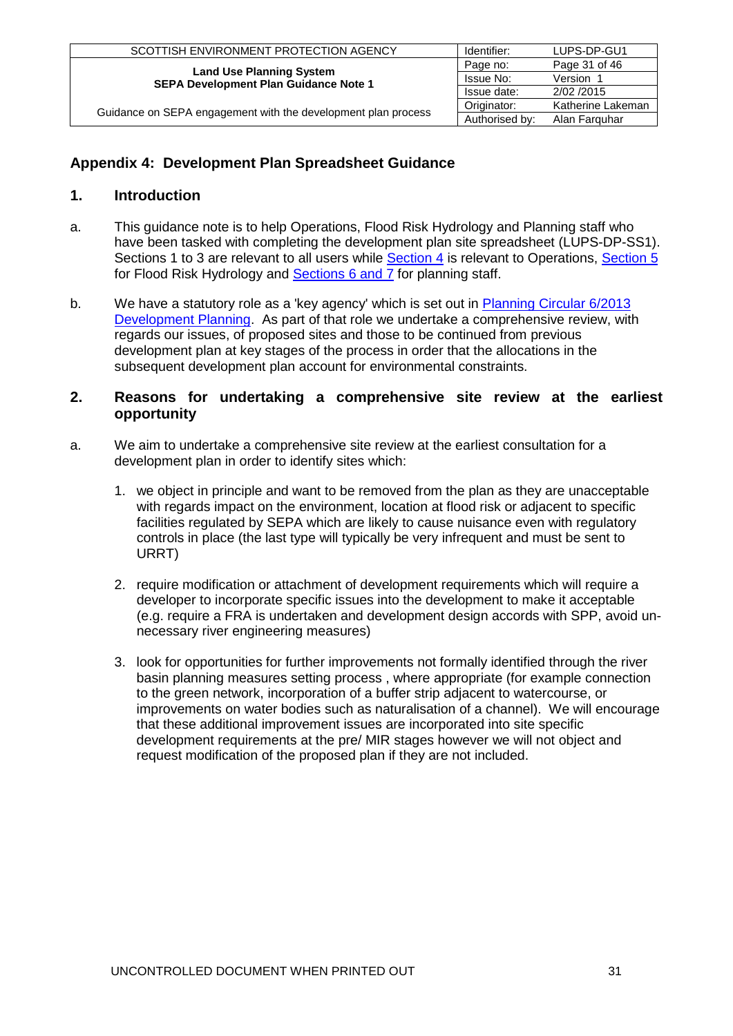| SCOTTISH ENVIRONMENT PROTECTION AGENCY                                          | Identifier:    | LUPS-DP-GU1       |
|---------------------------------------------------------------------------------|----------------|-------------------|
|                                                                                 | Page no:       | Page 31 of 46     |
| <b>Land Use Planning System</b><br><b>SEPA Development Plan Guidance Note 1</b> | Issue No:      | Version 1         |
|                                                                                 | Issue date:    | 2/02/2015         |
|                                                                                 | Originator:    | Katherine Lakeman |
| Guidance on SEPA engagement with the development plan process                   | Authorised by: | Alan Farguhar     |

# <span id="page-30-0"></span>**Appendix 4: Development Plan Spreadsheet Guidance**

# **1. Introduction**

- a. This guidance note is to help Operations, Flood Risk Hydrology and Planning staff who have been tasked with completing the development plan site spreadsheet (LUPS-DP-SS1). Sections 1 to 3 are relevant to all users while [Section 4](#page-33-0) is relevant to Operations, [Section 5](#page-38-0) for Flood Risk Hydrology and **Sections 6 and 7** for planning staff.
- b. We have a statutory role as a 'key agency' which is set out in Planning Circular 6/2013 [Development Planning.](http://www.scotland.gov.uk/Publications/2013/12/9924) As part of that role we undertake a comprehensive review, with regards our issues, of proposed sites and those to be continued from previous development plan at key stages of the process in order that the allocations in the subsequent development plan account for environmental constraints.

# **2. Reasons for undertaking a comprehensive site review at the earliest opportunity**

- a. We aim to undertake a comprehensive site review at the earliest consultation for a development plan in order to identify sites which:
	- 1. we object in principle and want to be removed from the plan as they are unacceptable with regards impact on the environment, location at flood risk or adjacent to specific facilities regulated by SEPA which are likely to cause nuisance even with regulatory controls in place (the last type will typically be very infrequent and must be sent to URRT)
	- 2. require modification or attachment of development requirements which will require a developer to incorporate specific issues into the development to make it acceptable (e.g. require a FRA is undertaken and development design accords with SPP, avoid unnecessary river engineering measures)
	- 3. look for opportunities for further improvements not formally identified through the river basin planning measures setting process , where appropriate (for example connection to the green network, incorporation of a buffer strip adjacent to watercourse, or improvements on water bodies such as naturalisation of a channel). We will encourage that these additional improvement issues are incorporated into site specific development requirements at the pre/ MIR stages however we will not object and request modification of the proposed plan if they are not included.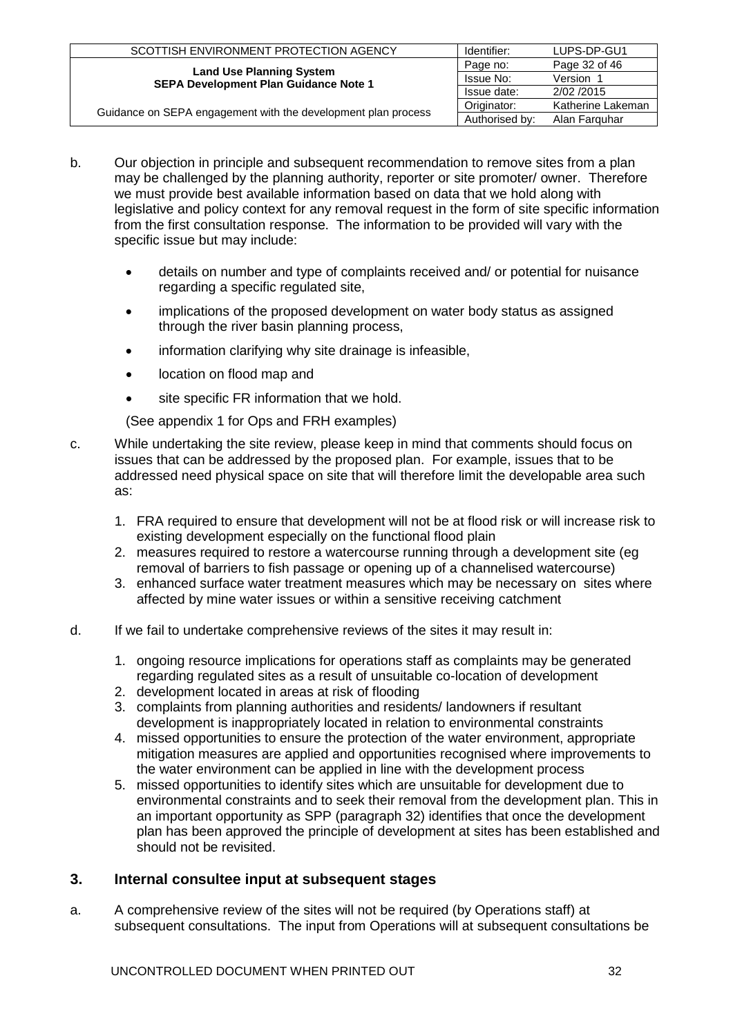| SCOTTISH ENVIRONMENT PROTECTION AGENCY                                          | Identifier:    | LUPS-DP-GU1       |
|---------------------------------------------------------------------------------|----------------|-------------------|
|                                                                                 | Page no:       | Page 32 of 46     |
| <b>Land Use Planning System</b><br><b>SEPA Development Plan Guidance Note 1</b> | Issue No:      | Version 1         |
|                                                                                 | Issue date:    | 2/02/2015         |
| Guidance on SEPA engagement with the development plan process                   | Originator:    | Katherine Lakeman |
|                                                                                 | Authorised by: | Alan Farguhar     |

- b. Our objection in principle and subsequent recommendation to remove sites from a plan may be challenged by the planning authority, reporter or site promoter/ owner. Therefore we must provide best available information based on data that we hold along with legislative and policy context for any removal request in the form of site specific information from the first consultation response. The information to be provided will vary with the specific issue but may include:
	- details on number and type of complaints received and/ or potential for nuisance regarding a specific regulated site,
	- implications of the proposed development on water body status as assigned through the river basin planning process,
	- information clarifying why site drainage is infeasible,
	- location on flood map and
	- site specific FR information that we hold.

(See appendix 1 for Ops and FRH examples)

- c. While undertaking the site review, please keep in mind that comments should focus on issues that can be addressed by the proposed plan. For example, issues that to be addressed need physical space on site that will therefore limit the developable area such as:
	- 1. FRA required to ensure that development will not be at flood risk or will increase risk to existing development especially on the functional flood plain
	- 2. measures required to restore a watercourse running through a development site (eg removal of barriers to fish passage or opening up of a channelised watercourse)
	- 3. enhanced surface water treatment measures which may be necessary on sites where affected by mine water issues or within a sensitive receiving catchment
- d. If we fail to undertake comprehensive reviews of the sites it may result in:
	- 1. ongoing resource implications for operations staff as complaints may be generated regarding regulated sites as a result of unsuitable co-location of development
	- 2. development located in areas at risk of flooding
	- 3. complaints from planning authorities and residents/ landowners if resultant development is inappropriately located in relation to environmental constraints
	- 4. missed opportunities to ensure the protection of the water environment, appropriate mitigation measures are applied and opportunities recognised where improvements to the water environment can be applied in line with the development process
	- 5. missed opportunities to identify sites which are unsuitable for development due to environmental constraints and to seek their removal from the development plan. This in an important opportunity as SPP (paragraph 32) identifies that once the development plan has been approved the principle of development at sites has been established and should not be revisited.

# **3. Internal consultee input at subsequent stages**

a. A comprehensive review of the sites will not be required (by Operations staff) at subsequent consultations. The input from Operations will at subsequent consultations be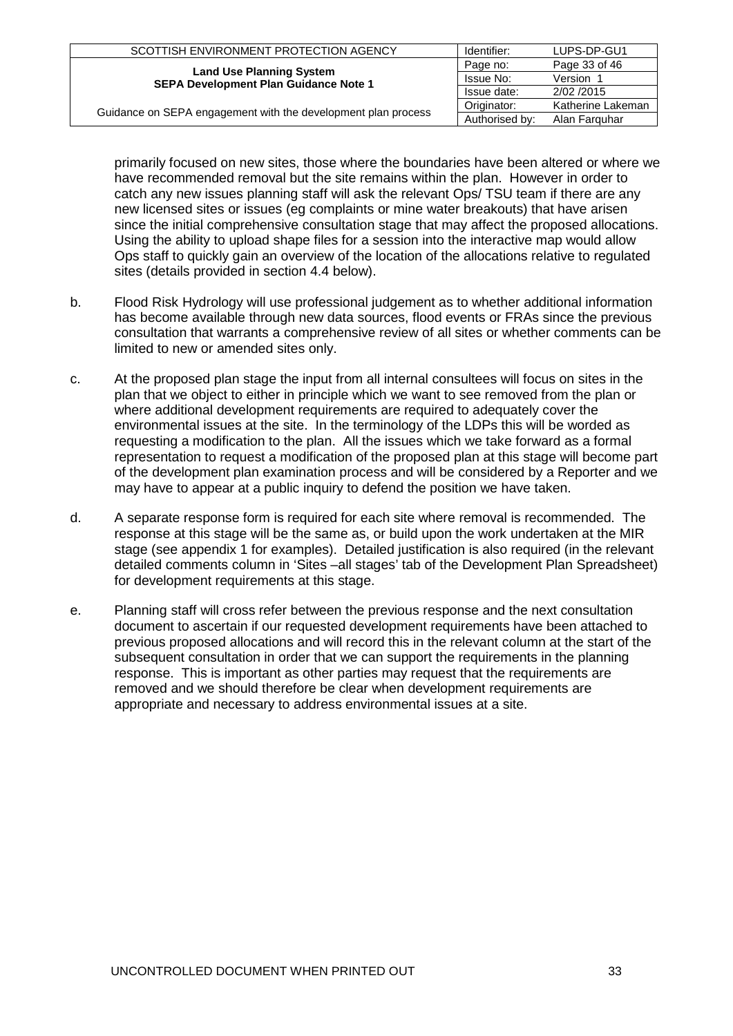| SCOTTISH ENVIRONMENT PROTECTION AGENCY                                          | Identifier:    | LUPS-DP-GU1       |
|---------------------------------------------------------------------------------|----------------|-------------------|
|                                                                                 | Page no:       | Page 33 of 46     |
| <b>Land Use Planning System</b><br><b>SEPA Development Plan Guidance Note 1</b> | Issue No:      | Version           |
|                                                                                 | Issue date:    | 2/02/2015         |
|                                                                                 | Originator:    | Katherine Lakeman |
| Guidance on SEPA engagement with the development plan process                   | Authorised by: | Alan Farguhar     |

primarily focused on new sites, those where the boundaries have been altered or where we have recommended removal but the site remains within the plan. However in order to catch any new issues planning staff will ask the relevant Ops/ TSU team if there are any new licensed sites or issues (eg complaints or mine water breakouts) that have arisen since the initial comprehensive consultation stage that may affect the proposed allocations. Using the ability to upload shape files for a session into the interactive map would allow Ops staff to quickly gain an overview of the location of the allocations relative to regulated sites (details provided in section 4.4 below).

- b. Flood Risk Hydrology will use professional judgement as to whether additional information has become available through new data sources, flood events or FRAs since the previous consultation that warrants a comprehensive review of all sites or whether comments can be limited to new or amended sites only.
- <span id="page-32-0"></span>c. At the proposed plan stage the input from all internal consultees will focus on sites in the plan that we object to either in principle which we want to see removed from the plan or where additional development requirements are required to adequately cover the environmental issues at the site. In the terminology of the LDPs this will be worded as requesting a modification to the plan. All the issues which we take forward as a formal representation to request a modification of the proposed plan at this stage will become part of the development plan examination process and will be considered by a Reporter and we may have to appear at a public inquiry to defend the position we have taken.
- d. A separate response form is required for each site where removal is recommended. The response at this stage will be the same as, or build upon the work undertaken at the MIR stage (see appendix 1 for examples). Detailed justification is also required (in the relevant detailed comments column in 'Sites –all stages' tab of the Development Plan Spreadsheet) for development requirements at this stage.
- e. Planning staff will cross refer between the previous response and the next consultation document to ascertain if our requested development requirements have been attached to previous proposed allocations and will record this in the relevant column at the start of the subsequent consultation in order that we can support the requirements in the planning response. This is important as other parties may request that the requirements are removed and we should therefore be clear when development requirements are appropriate and necessary to address environmental issues at a site.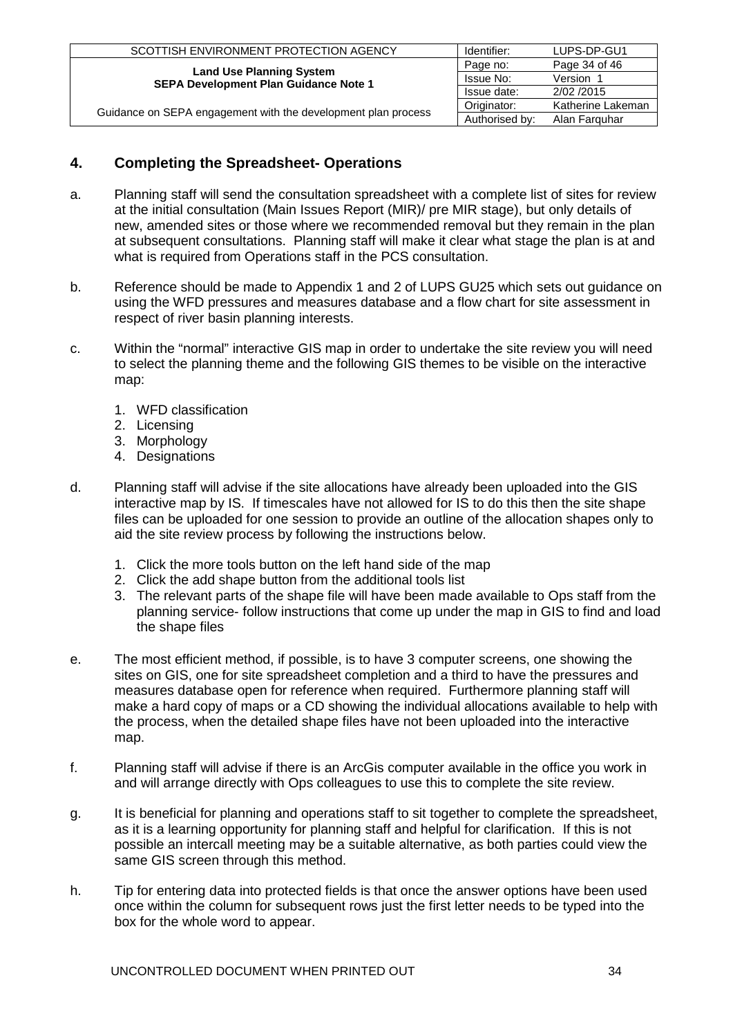| SCOTTISH ENVIRONMENT PROTECTION AGENCY                        | Identifier:    | LUPS-DP-GU1       |
|---------------------------------------------------------------|----------------|-------------------|
| <b>Land Use Planning System</b>                               | Page no:       | Page 34 of 46     |
| <b>SEPA Development Plan Guidance Note 1</b>                  | Issue No:      | Version           |
|                                                               | Issue date:    | 2/02/2015         |
|                                                               | Originator:    | Katherine Lakeman |
| Guidance on SEPA engagement with the development plan process | Authorised by: | Alan Farguhar     |

# <span id="page-33-0"></span>**4. Completing the Spreadsheet- Operations**

- a. Planning staff will send the consultation spreadsheet with a complete list of sites for review at the initial consultation (Main Issues Report (MIR)/ pre MIR stage), but only details of new, amended sites or those where we recommended removal but they remain in the plan at subsequent consultations. Planning staff will make it clear what stage the plan is at and what is required from Operations staff in the PCS consultation.
- b. Reference should be made to Appendix 1 and 2 of LUPS GU25 which sets out guidance on using the WFD pressures and measures database and a flow chart for site assessment in respect of river basin planning interests.
- c. Within the "normal" interactive GIS map in order to undertake the site review you will need to select the planning theme and the following GIS themes to be visible on the interactive map:
	- 1. WFD classification
	- 2. Licensing
	- 3. Morphology
	- 4. Designations
- d. Planning staff will advise if the site allocations have already been uploaded into the GIS interactive map by IS. If timescales have not allowed for IS to do this then the site shape files can be uploaded for one session to provide an outline of the allocation shapes only to aid the site review process by following the instructions below.
	- 1. Click the more tools button on the left hand side of the map
	- 2. Click the add shape button from the additional tools list
	- 3. The relevant parts of the shape file will have been made available to Ops staff from the planning service- follow instructions that come up under the map in GIS to find and load the shape files
- e. The most efficient method, if possible, is to have 3 computer screens, one showing the sites on GIS, one for site spreadsheet completion and a third to have the pressures and measures database open for reference when required. Furthermore planning staff will make a hard copy of maps or a CD showing the individual allocations available to help with the process, when the detailed shape files have not been uploaded into the interactive map.
- f. Planning staff will advise if there is an ArcGis computer available in the office you work in and will arrange directly with Ops colleagues to use this to complete the site review.
- g. It is beneficial for planning and operations staff to sit together to complete the spreadsheet, as it is a learning opportunity for planning staff and helpful for clarification. If this is not possible an intercall meeting may be a suitable alternative, as both parties could view the same GIS screen through this method.
- h. Tip for entering data into protected fields is that once the answer options have been used once within the column for subsequent rows just the first letter needs to be typed into the box for the whole word to appear.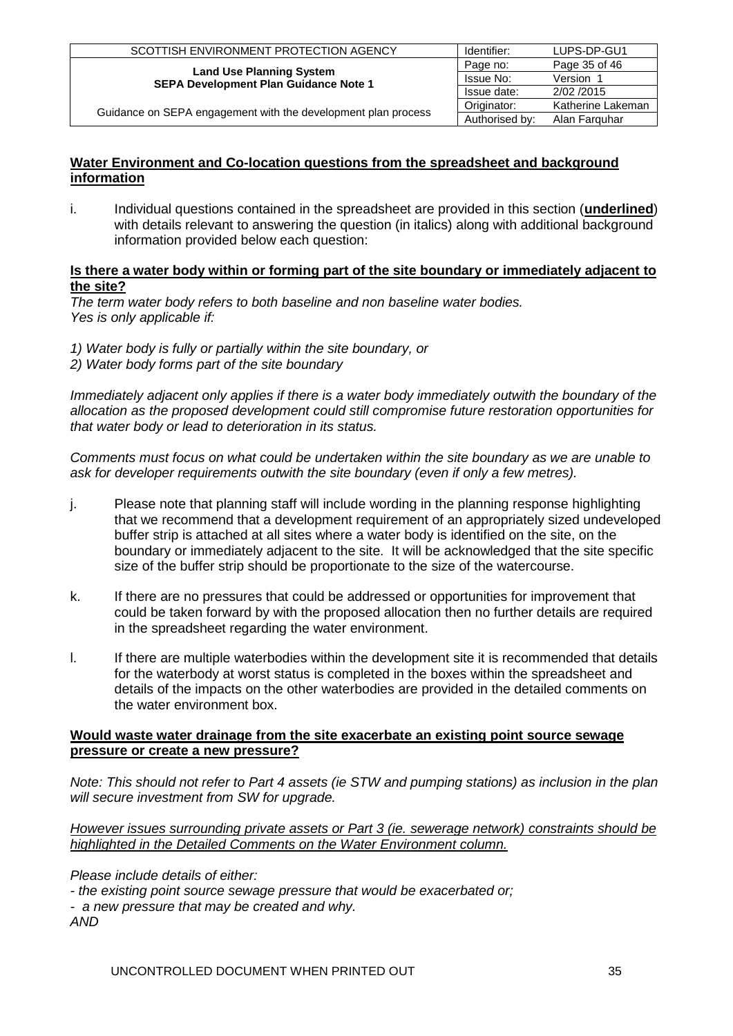| SCOTTISH ENVIRONMENT PROTECTION AGENCY                        | Identifier:    | LUPS-DP-GU1       |
|---------------------------------------------------------------|----------------|-------------------|
| <b>Land Use Planning System</b>                               | Page no:       | Page 35 of 46     |
| SEPA Development Plan Guidance Note 1                         | Issue No:      | Version 1         |
|                                                               | Issue date:    | 2/02/2015         |
|                                                               | Originator:    | Katherine Lakeman |
| Guidance on SEPA engagement with the development plan process | Authorised by: | Alan Farguhar     |

# **Water Environment and Co-location questions from the spreadsheet and background information**

i. Individual questions contained in the spreadsheet are provided in this section (**underlined**) with details relevant to answering the question (in italics) along with additional background information provided below each question:

### **Is there a water body within or forming part of the site boundary or immediately adjacent to the site?**

*The term water body refers to both baseline and non baseline water bodies. Yes is only applicable if:* 

- *1) Water body is fully or partially within the site boundary, or*
- *2) Water body forms part of the site boundary*

Immediately adjacent only applies if there is a water body immediately outwith the boundary of the *allocation as the proposed development could still compromise future restoration opportunities for that water body or lead to deterioration in its status.* 

*Comments must focus on what could be undertaken within the site boundary as we are unable to ask for developer requirements outwith the site boundary (even if only a few metres).*

- j. Please note that planning staff will include wording in the planning response highlighting that we recommend that a development requirement of an appropriately sized undeveloped buffer strip is attached at all sites where a water body is identified on the site, on the boundary or immediately adjacent to the site. It will be acknowledged that the site specific size of the buffer strip should be proportionate to the size of the watercourse.
- k. If there are no pressures that could be addressed or opportunities for improvement that could be taken forward by with the proposed allocation then no further details are required in the spreadsheet regarding the water environment.
- l. If there are multiple waterbodies within the development site it is recommended that details for the waterbody at worst status is completed in the boxes within the spreadsheet and details of the impacts on the other waterbodies are provided in the detailed comments on the water environment box.

### **Would waste water drainage from the site exacerbate an existing point source sewage pressure or create a new pressure?**

*Note: This should not refer to Part 4 assets (ie STW and pumping stations) as inclusion in the plan will secure investment from SW for upgrade.* 

*However issues surrounding private assets or Part 3 (ie. sewerage network) constraints should be highlighted in the Detailed Comments on the Water Environment column.* 

*Please include details of either:*

*- the existing point source sewage pressure that would be exacerbated or; - a new pressure that may be created and why. AND*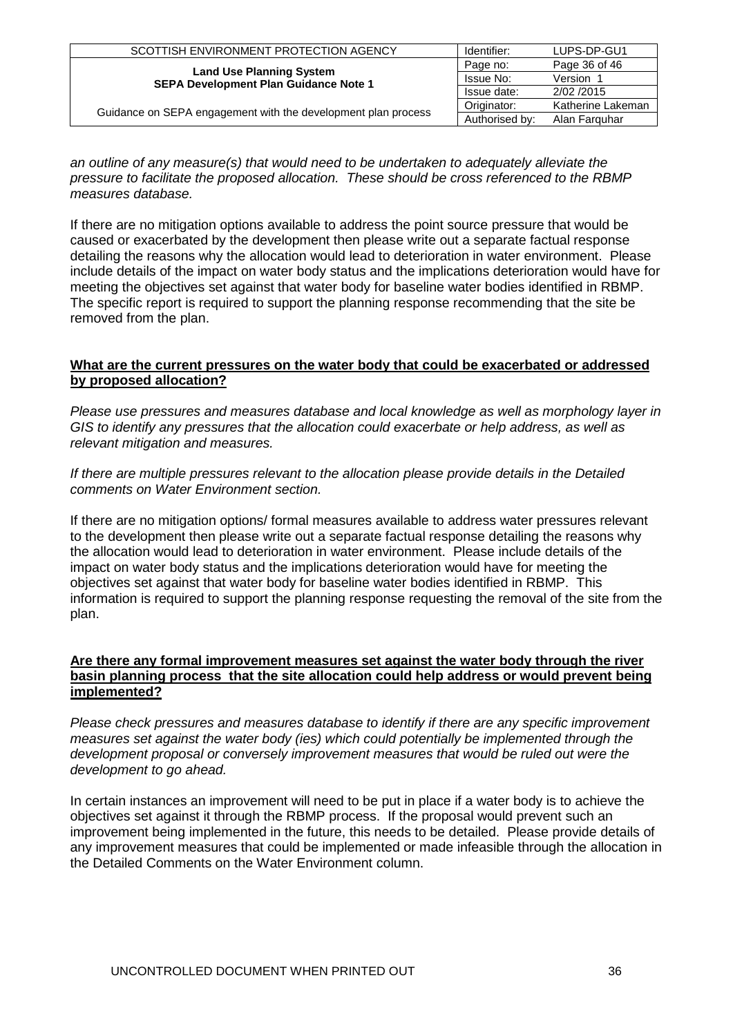| SCOTTISH ENVIRONMENT PROTECTION AGENCY                        | Identifier:    | LUPS-DP-GU1       |
|---------------------------------------------------------------|----------------|-------------------|
| <b>Land Use Planning System</b>                               | Page no:       | Page 36 of 46     |
| <b>SEPA Development Plan Guidance Note 1</b>                  | Issue No:      | Version 1         |
|                                                               | Issue date:    | 2/02/2015         |
|                                                               | Originator:    | Katherine Lakeman |
| Guidance on SEPA engagement with the development plan process | Authorised by: | Alan Farguhar     |

*an outline of any measure(s) that would need to be undertaken to adequately alleviate the pressure to facilitate the proposed allocation. These should be cross referenced to the RBMP measures database.*

If there are no mitigation options available to address the point source pressure that would be caused or exacerbated by the development then please write out a separate factual response detailing the reasons why the allocation would lead to deterioration in water environment. Please include details of the impact on water body status and the implications deterioration would have for meeting the objectives set against that water body for baseline water bodies identified in RBMP. The specific report is required to support the planning response recommending that the site be removed from the plan.

### **What are the current pressures on the water body that could be exacerbated or addressed by proposed allocation?**

*Please use pressures and measures database and local knowledge as well as morphology layer in GIS to identify any pressures that the allocation could exacerbate or help address, as well as relevant mitigation and measures.* 

*If there are multiple pressures relevant to the allocation please provide details in the Detailed comments on Water Environment section.*

If there are no mitigation options/ formal measures available to address water pressures relevant to the development then please write out a separate factual response detailing the reasons why the allocation would lead to deterioration in water environment. Please include details of the impact on water body status and the implications deterioration would have for meeting the objectives set against that water body for baseline water bodies identified in RBMP. This information is required to support the planning response requesting the removal of the site from the plan.

### **Are there any formal improvement measures set against the water body through the river basin planning process that the site allocation could help address or would prevent being implemented?**

*Please check pressures and measures database to identify if there are any specific improvement measures set against the water body (ies) which could potentially be implemented through the development proposal or conversely improvement measures that would be ruled out were the development to go ahead.*

In certain instances an improvement will need to be put in place if a water body is to achieve the objectives set against it through the RBMP process. If the proposal would prevent such an improvement being implemented in the future, this needs to be detailed. Please provide details of any improvement measures that could be implemented or made infeasible through the allocation in the Detailed Comments on the Water Environment column.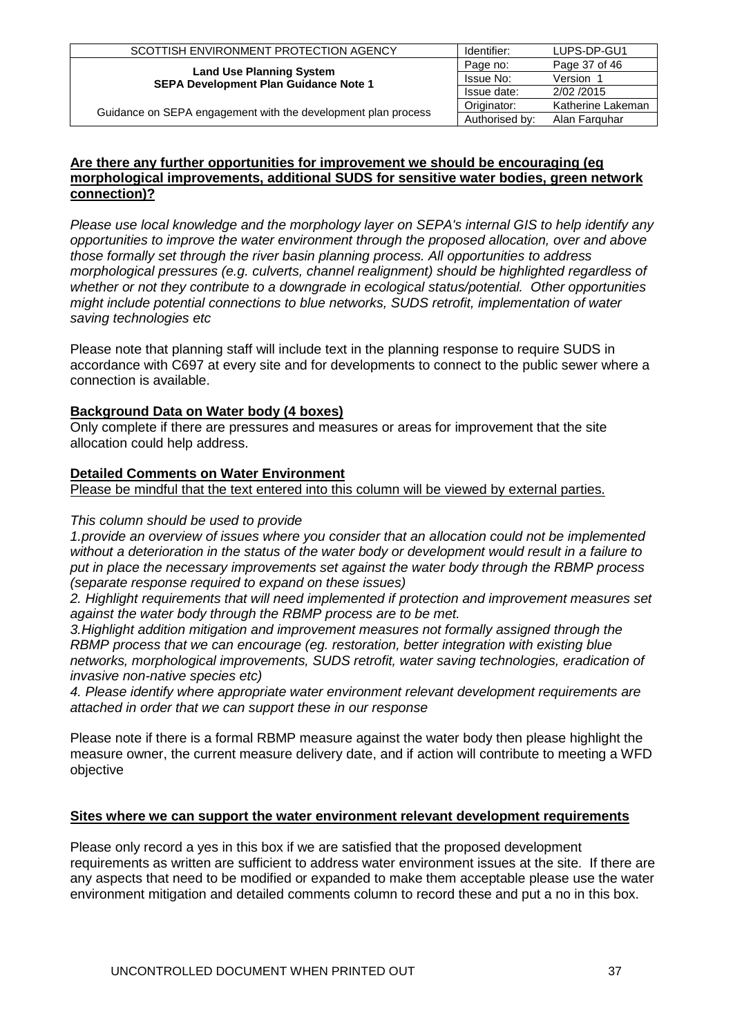| SCOTTISH ENVIRONMENT PROTECTION AGENCY                        | Identifier:    | LUPS-DP-GU1       |
|---------------------------------------------------------------|----------------|-------------------|
| <b>Land Use Planning System</b>                               | Page no:       | Page 37 of 46     |
| <b>SEPA Development Plan Guidance Note 1</b>                  | Issue No:      | Version 1         |
|                                                               | Issue date:    | 2/02/2015         |
| Guidance on SEPA engagement with the development plan process | Originator:    | Katherine Lakeman |
|                                                               | Authorised by: | Alan Farguhar     |

### **Are there any further opportunities for improvement we should be encouraging (eg morphological improvements, additional SUDS for sensitive water bodies, green network connection)?**

*Please use local knowledge and the morphology layer on SEPA's internal GIS to help identify any opportunities to improve the water environment through the proposed allocation, over and above those formally set through the river basin planning process. All opportunities to address morphological pressures (e.g. culverts, channel realignment) should be highlighted regardless of whether or not they contribute to a downgrade in ecological status/potential. Other opportunities might include potential connections to blue networks, SUDS retrofit, implementation of water saving technologies etc*

Please note that planning staff will include text in the planning response to require SUDS in accordance with C697 at every site and for developments to connect to the public sewer where a connection is available.

# **Background Data on Water body (4 boxes)**

Only complete if there are pressures and measures or areas for improvement that the site allocation could help address.

# **Detailed Comments on Water Environment**

Please be mindful that the text entered into this column will be viewed by external parties.

## *This column should be used to provide*

*1.provide an overview of issues where you consider that an allocation could not be implemented without a deterioration in the status of the water body or development would result in a failure to put in place the necessary improvements set against the water body through the RBMP process (separate response required to expand on these issues)* 

*2. Highlight requirements that will need implemented if protection and improvement measures set against the water body through the RBMP process are to be met.* 

*3.Highlight addition mitigation and improvement measures not formally assigned through the RBMP process that we can encourage (eg. restoration, better integration with existing blue networks, morphological improvements, SUDS retrofit, water saving technologies, eradication of invasive non-native species etc)* 

*4. Please identify where appropriate water environment relevant development requirements are attached in order that we can support these in our response*

Please note if there is a formal RBMP measure against the water body then please highlight the measure owner, the current measure delivery date, and if action will contribute to meeting a WFD objective

## **Sites where we can support the water environment relevant development requirements**

Please only record a yes in this box if we are satisfied that the proposed development requirements as written are sufficient to address water environment issues at the site. If there are any aspects that need to be modified or expanded to make them acceptable please use the water environment mitigation and detailed comments column to record these and put a no in this box.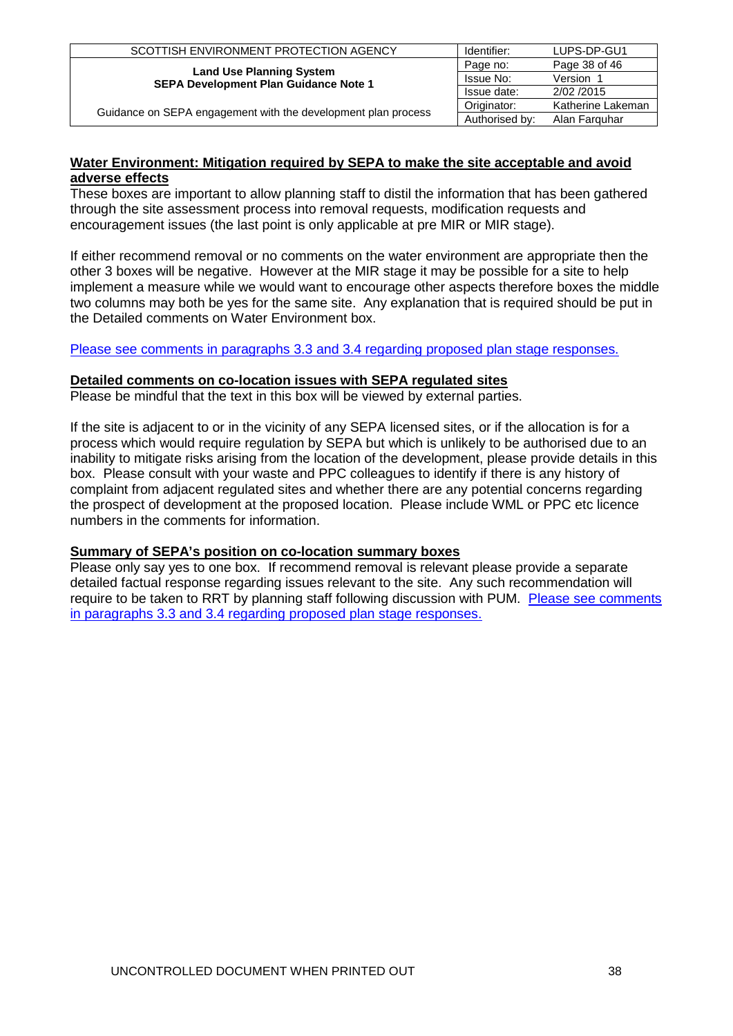| SCOTTISH ENVIRONMENT PROTECTION AGENCY                        | Identifier:    | LUPS-DP-GU1       |
|---------------------------------------------------------------|----------------|-------------------|
| <b>Land Use Planning System</b>                               | Page no:       | Page 38 of 46     |
| <b>SEPA Development Plan Guidance Note 1</b>                  | Issue No:      | Version 1         |
|                                                               | Issue date:    | 2/02/2015         |
| Guidance on SEPA engagement with the development plan process | Originator:    | Katherine Lakeman |
|                                                               | Authorised by: | Alan Farguhar     |

## **Water Environment: Mitigation required by SEPA to make the site acceptable and avoid adverse effects**

These boxes are important to allow planning staff to distil the information that has been gathered through the site assessment process into removal requests, modification requests and encouragement issues (the last point is only applicable at pre MIR or MIR stage).

If either recommend removal or no comments on the water environment are appropriate then the other 3 boxes will be negative. However at the MIR stage it may be possible for a site to help implement a measure while we would want to encourage other aspects therefore boxes the middle two columns may both be yes for the same site. Any explanation that is required should be put in the Detailed comments on Water Environment box.

## [Please see comments in paragraphs 3.3 and 3.4 regarding proposed plan stage responses.](#page-32-0)

#### **Detailed comments on co-location issues with SEPA regulated sites**

Please be mindful that the text in this box will be viewed by external parties.

If the site is adjacent to or in the vicinity of any SEPA licensed sites, or if the allocation is for a process which would require regulation by SEPA but which is unlikely to be authorised due to an inability to mitigate risks arising from the location of the development, please provide details in this box. Please consult with your waste and PPC colleagues to identify if there is any history of complaint from adjacent regulated sites and whether there are any potential concerns regarding the prospect of development at the proposed location. Please include WML or PPC etc licence numbers in the comments for information.

## **Summary of SEPA's position on co-location summary boxes**

Please only say yes to one box. If recommend removal is relevant please provide a separate detailed factual response regarding issues relevant to the site. Any such recommendation will require to be taken to RRT by planning staff following discussion with PUM. [Please see comments](#page-32-0)  [in paragraphs 3.3 and 3.4 regarding proposed plan stage responses.](#page-32-0)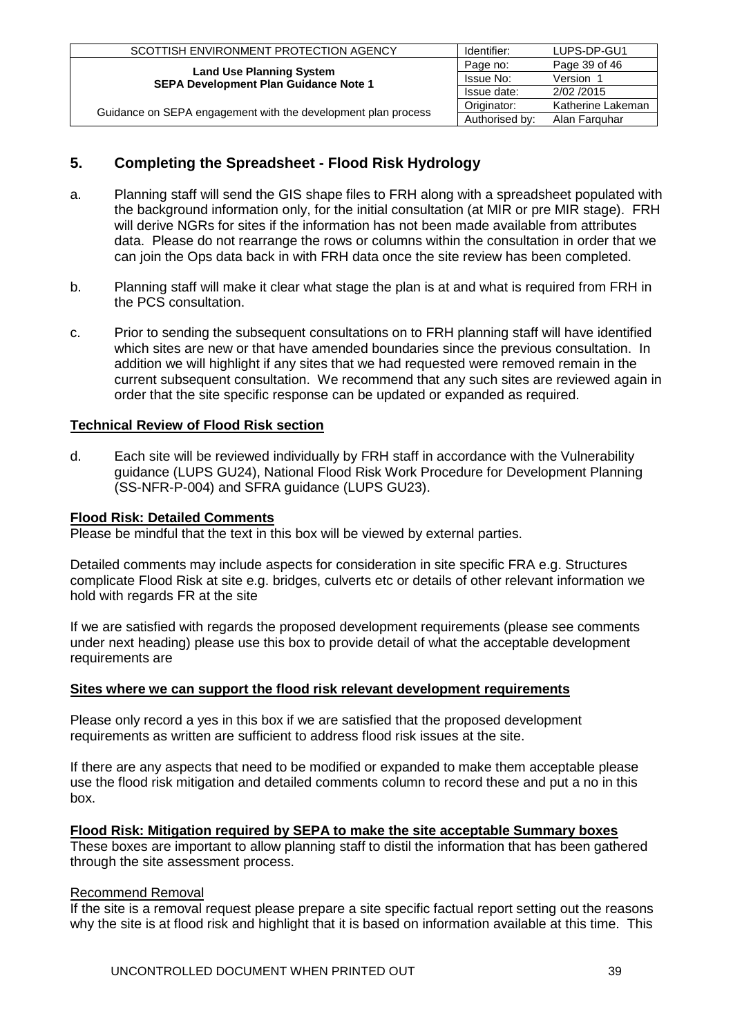| SCOTTISH ENVIRONMENT PROTECTION AGENCY                                          | Identifier:    | LUPS-DP-GU1       |
|---------------------------------------------------------------------------------|----------------|-------------------|
|                                                                                 | Page no:       | Page 39 of 46     |
| <b>Land Use Planning System</b><br><b>SEPA Development Plan Guidance Note 1</b> | Issue No:      | Version 1         |
|                                                                                 | Issue date:    | 2/02/2015         |
|                                                                                 | Originator:    | Katherine Lakeman |
| Guidance on SEPA engagement with the development plan process                   | Authorised by: | Alan Farguhar     |

# <span id="page-38-0"></span>**5. Completing the Spreadsheet - Flood Risk Hydrology**

- a. Planning staff will send the GIS shape files to FRH along with a spreadsheet populated with the background information only, for the initial consultation (at MIR or pre MIR stage). FRH will derive NGRs for sites if the information has not been made available from attributes data. Please do not rearrange the rows or columns within the consultation in order that we can join the Ops data back in with FRH data once the site review has been completed.
- b. Planning staff will make it clear what stage the plan is at and what is required from FRH in the PCS consultation.
- c. Prior to sending the subsequent consultations on to FRH planning staff will have identified which sites are new or that have amended boundaries since the previous consultation. In addition we will highlight if any sites that we had requested were removed remain in the current subsequent consultation. We recommend that any such sites are reviewed again in order that the site specific response can be updated or expanded as required.

## **Technical Review of Flood Risk section**

d. Each site will be reviewed individually by FRH staff in accordance with the Vulnerability guidance (LUPS GU24), National Flood Risk Work Procedure for Development Planning (SS-NFR-P-004) and SFRA guidance (LUPS GU23).

## **Flood Risk: Detailed Comments**

Please be mindful that the text in this box will be viewed by external parties.

Detailed comments may include aspects for consideration in site specific FRA e.g. Structures complicate Flood Risk at site e.g. bridges, culverts etc or details of other relevant information we hold with regards FR at the site

If we are satisfied with regards the proposed development requirements (please see comments under next heading) please use this box to provide detail of what the acceptable development requirements are

#### **Sites where we can support the flood risk relevant development requirements**

Please only record a yes in this box if we are satisfied that the proposed development requirements as written are sufficient to address flood risk issues at the site.

If there are any aspects that need to be modified or expanded to make them acceptable please use the flood risk mitigation and detailed comments column to record these and put a no in this box.

## **Flood Risk: Mitigation required by SEPA to make the site acceptable Summary boxes**

These boxes are important to allow planning staff to distil the information that has been gathered through the site assessment process.

#### Recommend Removal

If the site is a removal request please prepare a site specific factual report setting out the reasons why the site is at flood risk and highlight that it is based on information available at this time. This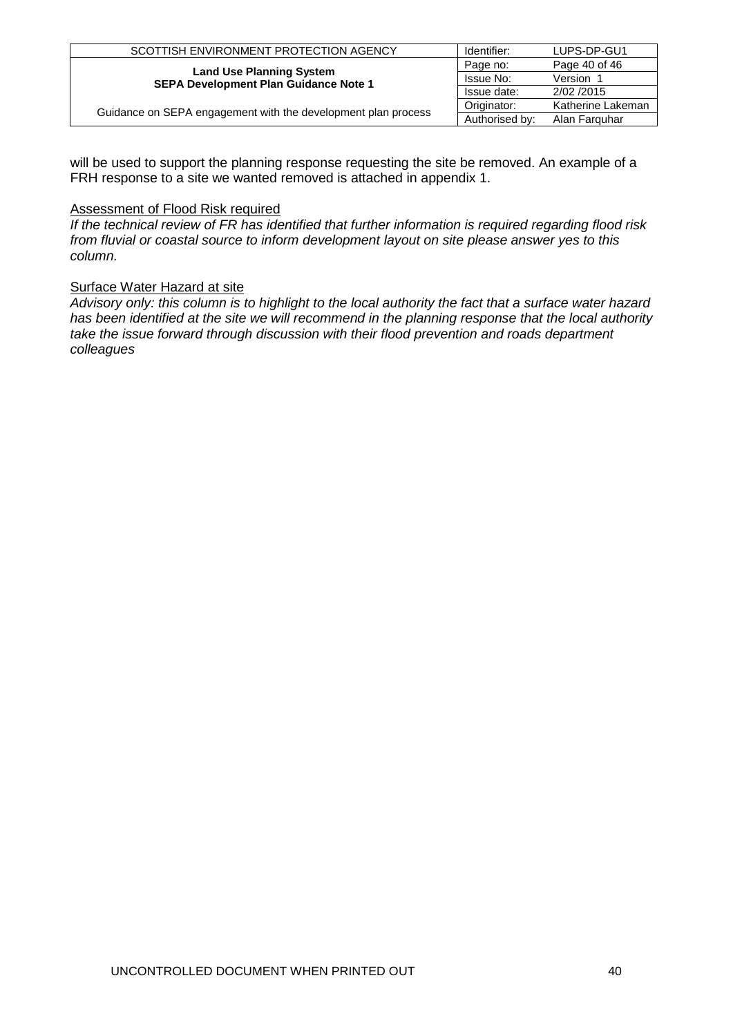| SCOTTISH ENVIRONMENT PROTECTION AGENCY                                          | Identifier:    | LUPS-DP-GU1       |
|---------------------------------------------------------------------------------|----------------|-------------------|
|                                                                                 | Page no:       | Page 40 of 46     |
| <b>Land Use Planning System</b><br><b>SEPA Development Plan Guidance Note 1</b> | Issue No:      | Version 1         |
|                                                                                 | Issue date:    | 2/02/2015         |
| Guidance on SEPA engagement with the development plan process                   | Originator:    | Katherine Lakeman |
|                                                                                 | Authorised by: | Alan Farguhar     |

will be used to support the planning response requesting the site be removed. An example of a FRH response to a site we wanted removed is attached in appendix 1.

## Assessment of Flood Risk required

*If the technical review of FR has identified that further information is required regarding flood risk from fluvial or coastal source to inform development layout on site please answer yes to this column.*

## Surface Water Hazard at site

*Advisory only: this column is to highlight to the local authority the fact that a surface water hazard has been identified at the site we will recommend in the planning response that the local authority take the issue forward through discussion with their flood prevention and roads department colleagues*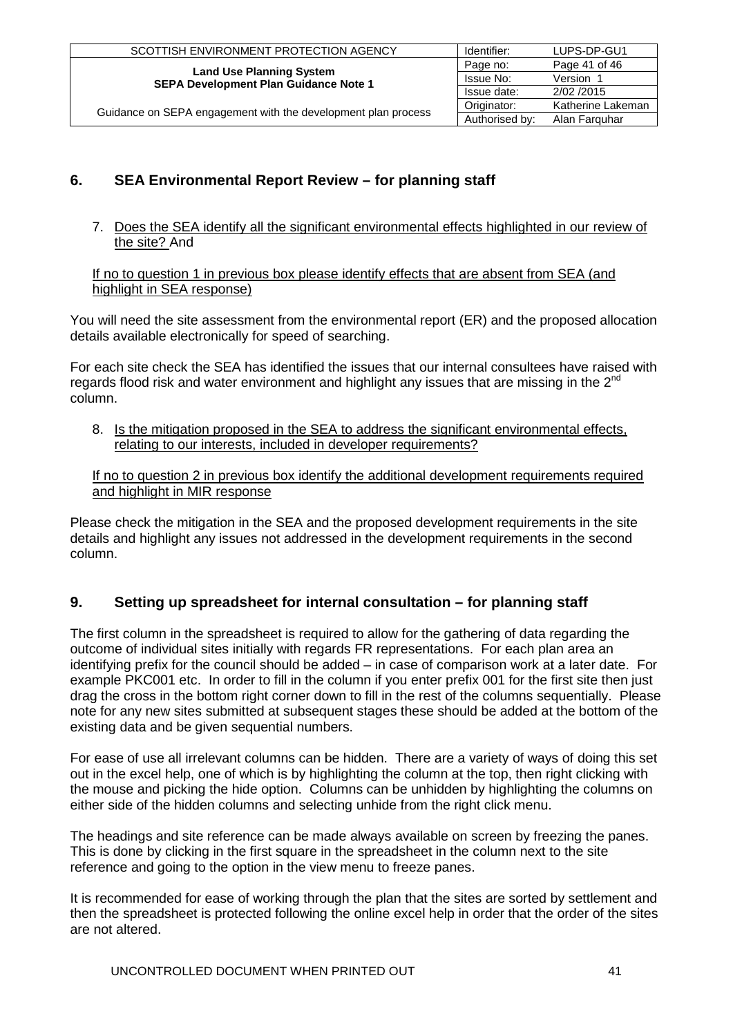| SCOTTISH ENVIRONMENT PROTECTION AGENCY                                          | Identifier:    | LUPS-DP-GU1       |
|---------------------------------------------------------------------------------|----------------|-------------------|
| <b>Land Use Planning System</b><br><b>SEPA Development Plan Guidance Note 1</b> | Page no:       | Page 41 of 46     |
|                                                                                 | Issue No:      | Version 1         |
|                                                                                 | Issue date:    | 2/02/2015         |
| Guidance on SEPA engagement with the development plan process                   | Originator:    | Katherine Lakeman |
|                                                                                 | Authorised by: | Alan Farguhar     |

# <span id="page-40-0"></span>**6. SEA Environmental Report Review – for planning staff**

7. Does the SEA identify all the significant environmental effects highlighted in our review of the site? And

If no to question 1 in previous box please identify effects that are absent from SEA (and highlight in SEA response)

You will need the site assessment from the environmental report (ER) and the proposed allocation details available electronically for speed of searching.

For each site check the SEA has identified the issues that our internal consultees have raised with regards flood risk and water environment and highlight any issues that are missing in the  $2^{nd}$ column.

8. Is the mitigation proposed in the SEA to address the significant environmental effects, relating to our interests, included in developer requirements?

If no to question 2 in previous box identify the additional development requirements required and highlight in MIR response

Please check the mitigation in the SEA and the proposed development requirements in the site details and highlight any issues not addressed in the development requirements in the second column.

# **9. Setting up spreadsheet for internal consultation – for planning staff**

The first column in the spreadsheet is required to allow for the gathering of data regarding the outcome of individual sites initially with regards FR representations. For each plan area an identifying prefix for the council should be added – in case of comparison work at a later date. For example PKC001 etc. In order to fill in the column if you enter prefix 001 for the first site then just drag the cross in the bottom right corner down to fill in the rest of the columns sequentially. Please note for any new sites submitted at subsequent stages these should be added at the bottom of the existing data and be given sequential numbers.

For ease of use all irrelevant columns can be hidden. There are a variety of ways of doing this set out in the excel help, one of which is by highlighting the column at the top, then right clicking with the mouse and picking the hide option. Columns can be unhidden by highlighting the columns on either side of the hidden columns and selecting unhide from the right click menu.

The headings and site reference can be made always available on screen by freezing the panes. This is done by clicking in the first square in the spreadsheet in the column next to the site reference and going to the option in the view menu to freeze panes.

It is recommended for ease of working through the plan that the sites are sorted by settlement and then the spreadsheet is protected following the online excel help in order that the order of the sites are not altered.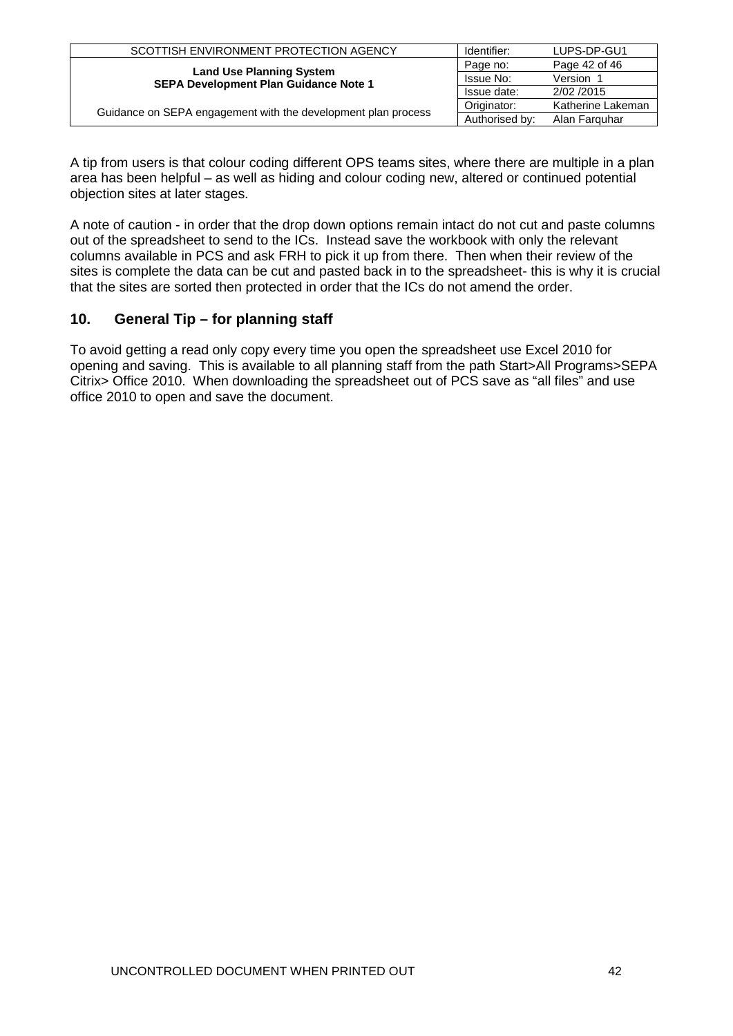| SCOTTISH ENVIRONMENT PROTECTION AGENCY                                          | Identifier:      | LUPS-DP-GU1       |
|---------------------------------------------------------------------------------|------------------|-------------------|
| <b>Land Use Planning System</b><br><b>SEPA Development Plan Guidance Note 1</b> | Page no:         | Page 42 of 46     |
|                                                                                 | <b>Issue No:</b> | Version 1         |
|                                                                                 | Issue date:      | 2/02/2015         |
| Guidance on SEPA engagement with the development plan process                   | Originator:      | Katherine Lakeman |
|                                                                                 | Authorised by:   | Alan Farguhar     |

A tip from users is that colour coding different OPS teams sites, where there are multiple in a plan area has been helpful – as well as hiding and colour coding new, altered or continued potential objection sites at later stages.

A note of caution - in order that the drop down options remain intact do not cut and paste columns out of the spreadsheet to send to the ICs. Instead save the workbook with only the relevant columns available in PCS and ask FRH to pick it up from there. Then when their review of the sites is complete the data can be cut and pasted back in to the spreadsheet- this is why it is crucial that the sites are sorted then protected in order that the ICs do not amend the order.

# **10. General Tip – for planning staff**

To avoid getting a read only copy every time you open the spreadsheet use Excel 2010 for opening and saving. This is available to all planning staff from the path Start>All Programs>SEPA Citrix> Office 2010. When downloading the spreadsheet out of PCS save as "all files" and use office 2010 to open and save the document.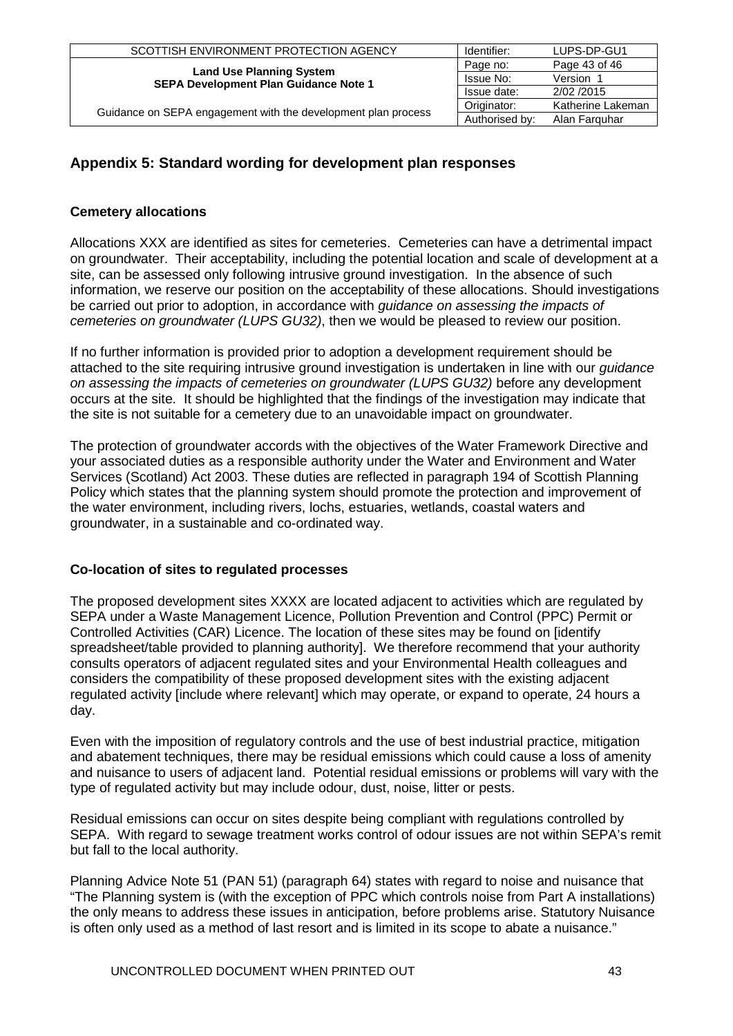| SCOTTISH ENVIRONMENT PROTECTION AGENCY                                          | Identifier:    | LUPS-DP-GU1       |
|---------------------------------------------------------------------------------|----------------|-------------------|
| <b>Land Use Planning System</b><br><b>SEPA Development Plan Guidance Note 1</b> | Page no:       | Page 43 of 46     |
|                                                                                 | Issue No:      | Version 1         |
|                                                                                 | Issue date:    | 2/02/2015         |
| Guidance on SEPA engagement with the development plan process                   | Originator:    | Katherine Lakeman |
|                                                                                 | Authorised by: | Alan Farguhar     |

# <span id="page-42-0"></span>**Appendix 5: Standard wording for development plan responses**

# **Cemetery allocations**

Allocations XXX are identified as sites for cemeteries. Cemeteries can have a detrimental impact on groundwater. Their acceptability, including the potential location and scale of development at a site, can be assessed only following intrusive ground investigation. In the absence of such information, we reserve our position on the acceptability of these allocations. Should investigations be carried out prior to adoption, in accordance with *guidance on assessing the impacts of cemeteries on groundwater (LUPS GU32)*, then we would be pleased to review our position.

If no further information is provided prior to adoption a development requirement should be attached to the site requiring intrusive ground investigation is undertaken in line with our *guidance on assessing the impacts of cemeteries on groundwater (LUPS GU32)* before any development occurs at the site. It should be highlighted that the findings of the investigation may indicate that the site is not suitable for a cemetery due to an unavoidable impact on groundwater.

The protection of groundwater accords with the objectives of the Water Framework Directive and your associated duties as a responsible authority under the Water and Environment and Water Services (Scotland) Act 2003. These duties are reflected in paragraph 194 of Scottish Planning Policy which states that the planning system should promote the protection and improvement of the water environment, including rivers, lochs, estuaries, wetlands, coastal waters and groundwater, in a sustainable and co-ordinated way.

## **Co-location of sites to regulated processes**

The proposed development sites XXXX are located adjacent to activities which are regulated by SEPA under a Waste Management Licence, Pollution Prevention and Control (PPC) Permit or Controlled Activities (CAR) Licence. The location of these sites may be found on [identify spreadsheet/table provided to planning authority]. We therefore recommend that your authority consults operators of adjacent regulated sites and your Environmental Health colleagues and considers the compatibility of these proposed development sites with the existing adjacent regulated activity linclude where relevant] which may operate, or expand to operate, 24 hours a day.

Even with the imposition of regulatory controls and the use of best industrial practice, mitigation and abatement techniques, there may be residual emissions which could cause a loss of amenity and nuisance to users of adjacent land. Potential residual emissions or problems will vary with the type of regulated activity but may include odour, dust, noise, litter or pests.

Residual emissions can occur on sites despite being compliant with regulations controlled by SEPA. With regard to sewage treatment works control of odour issues are not within SEPA's remit but fall to the local authority.

Planning Advice Note 51 (PAN 51) (paragraph 64) states with regard to noise and nuisance that "The Planning system is (with the exception of PPC which controls noise from Part A installations) the only means to address these issues in anticipation, before problems arise. Statutory Nuisance is often only used as a method of last resort and is limited in its scope to abate a nuisance."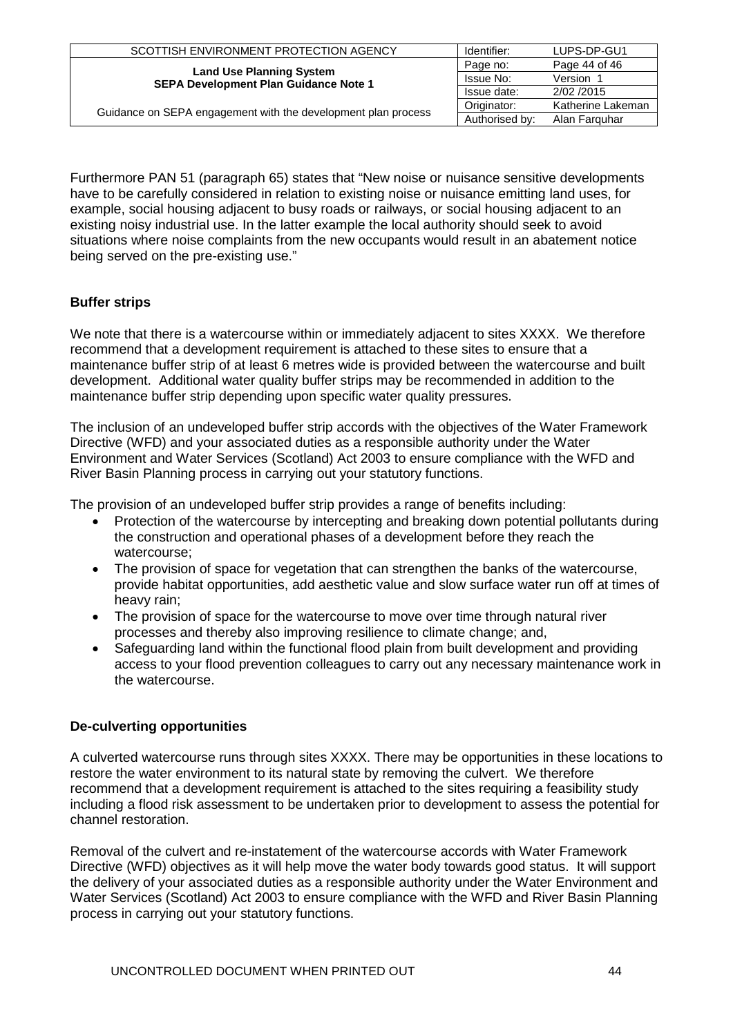| SCOTTISH ENVIRONMENT PROTECTION AGENCY                                          | Identifier:    | LUPS-DP-GU1       |
|---------------------------------------------------------------------------------|----------------|-------------------|
| <b>Land Use Planning System</b><br><b>SEPA Development Plan Guidance Note 1</b> | Page no:       | Page 44 of 46     |
|                                                                                 | Issue No:      | Version 1         |
|                                                                                 | Issue date:    | 2/02/2015         |
| Guidance on SEPA engagement with the development plan process                   | Originator:    | Katherine Lakeman |
|                                                                                 | Authorised by: | Alan Farguhar     |

Furthermore PAN 51 (paragraph 65) states that "New noise or nuisance sensitive developments have to be carefully considered in relation to existing noise or nuisance emitting land uses, for example, social housing adjacent to busy roads or railways, or social housing adjacent to an existing noisy industrial use. In the latter example the local authority should seek to avoid situations where noise complaints from the new occupants would result in an abatement notice being served on the pre-existing use."

# **Buffer strips**

We note that there is a watercourse within or immediately adjacent to sites XXXX. We therefore recommend that a development requirement is attached to these sites to ensure that a maintenance buffer strip of at least 6 metres wide is provided between the watercourse and built development. Additional water quality buffer strips may be recommended in addition to the maintenance buffer strip depending upon specific water quality pressures.

The inclusion of an undeveloped buffer strip accords with the objectives of the Water Framework Directive (WFD) and your associated duties as a responsible authority under the Water Environment and Water Services (Scotland) Act 2003 to ensure compliance with the WFD and River Basin Planning process in carrying out your statutory functions.

The provision of an undeveloped buffer strip provides a range of benefits including:

- Protection of the watercourse by intercepting and breaking down potential pollutants during the construction and operational phases of a development before they reach the watercourse;
- The provision of space for vegetation that can strengthen the banks of the watercourse, provide habitat opportunities, add aesthetic value and slow surface water run off at times of heavy rain;
- The provision of space for the watercourse to move over time through natural river processes and thereby also improving resilience to climate change; and,
- Safeguarding land within the functional flood plain from built development and providing access to your flood prevention colleagues to carry out any necessary maintenance work in the watercourse.

## **De-culverting opportunities**

A culverted watercourse runs through sites XXXX. There may be opportunities in these locations to restore the water environment to its natural state by removing the culvert. We therefore recommend that a development requirement is attached to the sites requiring a feasibility study including a flood risk assessment to be undertaken prior to development to assess the potential for channel restoration.

Removal of the culvert and re-instatement of the watercourse accords with Water Framework Directive (WFD) objectives as it will help move the water body towards good status. It will support the delivery of your associated duties as a responsible authority under the Water Environment and Water Services (Scotland) Act 2003 to ensure compliance with the WFD and River Basin Planning process in carrying out your statutory functions.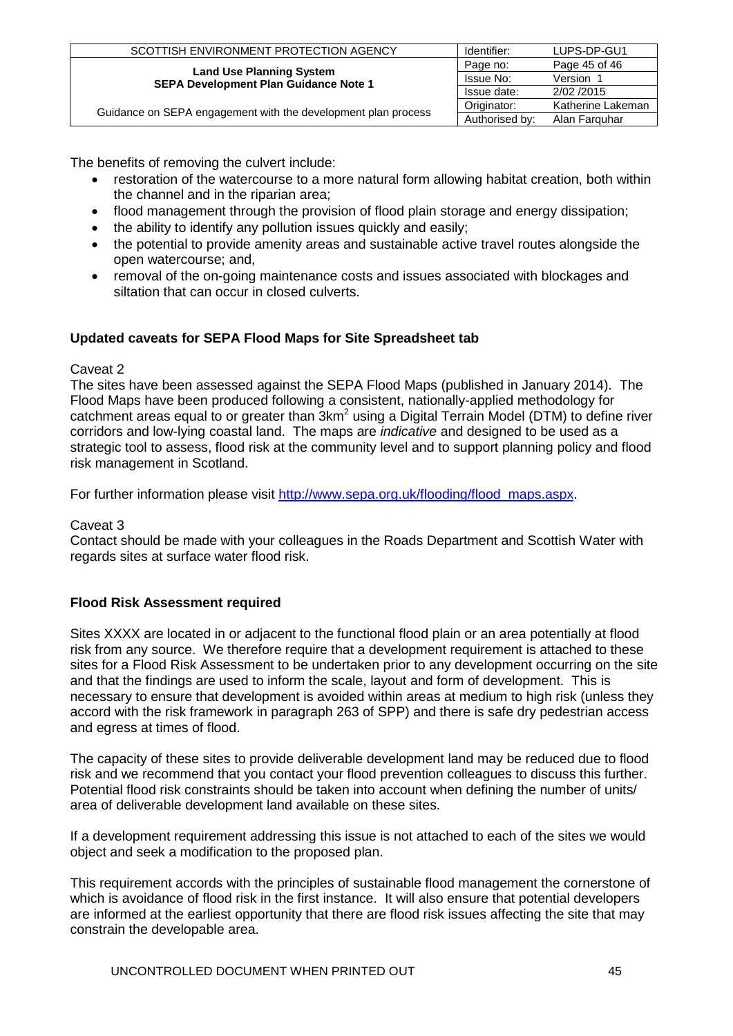| SCOTTISH ENVIRONMENT PROTECTION AGENCY                                          | Identifier:    | LUPS-DP-GU1       |
|---------------------------------------------------------------------------------|----------------|-------------------|
| <b>Land Use Planning System</b><br><b>SEPA Development Plan Guidance Note 1</b> | Page no:       | Page 45 of 46     |
|                                                                                 | Issue No:      | Version 1         |
|                                                                                 | Issue date:    | 2/02/2015         |
| Guidance on SEPA engagement with the development plan process                   | Originator:    | Katherine Lakeman |
|                                                                                 | Authorised by: | Alan Farguhar     |

The benefits of removing the culvert include:

- restoration of the watercourse to a more natural form allowing habitat creation, both within the channel and in the riparian area;
- flood management through the provision of flood plain storage and energy dissipation;
- the ability to identify any pollution issues quickly and easily;
- the potential to provide amenity areas and sustainable active travel routes alongside the open watercourse; and,
- removal of the on-going maintenance costs and issues associated with blockages and siltation that can occur in closed culverts.

# **Updated caveats for SEPA Flood Maps for Site Spreadsheet tab**

## Caveat 2

The sites have been assessed against the SEPA Flood Maps (published in January 2014). The Flood Maps have been produced following a consistent, nationally-applied methodology for catchment areas equal to or greater than  $3km^2$  using a Digital Terrain Model (DTM) to define river corridors and low-lying coastal land. The maps are *indicative* and designed to be used as a strategic tool to assess, flood risk at the community level and to support planning policy and flood risk management in Scotland.

For further information please visit [http://www.sepa.org.uk/flooding/flood\\_maps.aspx.](http://www.sepa.org.uk/flooding/flood_extent_maps.aspx)

Caveat 3

Contact should be made with your colleagues in the Roads Department and Scottish Water with regards sites at surface water flood risk.

# **Flood Risk Assessment required**

Sites XXXX are located in or adjacent to the functional flood plain or an area potentially at flood risk from any source. We therefore require that a development requirement is attached to these sites for a Flood Risk Assessment to be undertaken prior to any development occurring on the site and that the findings are used to inform the scale, layout and form of development. This is necessary to ensure that development is avoided within areas at medium to high risk (unless they accord with the risk framework in paragraph 263 of SPP) and there is safe dry pedestrian access and egress at times of flood.

The capacity of these sites to provide deliverable development land may be reduced due to flood risk and we recommend that you contact your flood prevention colleagues to discuss this further. Potential flood risk constraints should be taken into account when defining the number of units/ area of deliverable development land available on these sites.

If a development requirement addressing this issue is not attached to each of the sites we would object and seek a modification to the proposed plan.

This requirement accords with the principles of sustainable flood management the cornerstone of which is avoidance of flood risk in the first instance. It will also ensure that potential developers are informed at the earliest opportunity that there are flood risk issues affecting the site that may constrain the developable area.